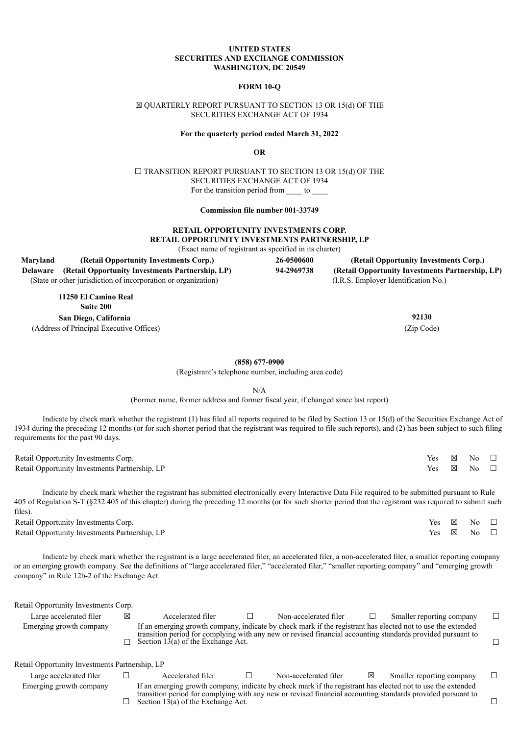#### **UNITED STATES SECURITIES AND EXCHANGE COMMISSION WASHINGTON, DC 20549**

#### **FORM 10-Q**

## ☒ QUARTERLY REPORT PURSUANT TO SECTION 13 OR 15(d) OF THE SECURITIES EXCHANGE ACT OF 1934

#### **For the quarterly period ended March 31, 2022**

**OR**

 $\Box$  TRANSITION REPORT PURSUANT TO SECTION 13 OR 15(d) OF THE SECURITIES EXCHANGE ACT OF 1934 For the transition period from to

**Commission file number 001-33749**

# **RETAIL OPPORTUNITY INVESTMENTS CORP. RETAIL OPPORTUNITY INVESTMENTS PARTNERSHIP, LP**

(Exact name of registrant as specified in its charter)

**Maryland (Retail Opportunity Investments Corp.) 26-0500600 (Retail Opportunity Investments Corp.) Delaware (Retail Opportunity Investments Partnership, LP) 94-2969738 (Retail Opportunity Investments Partnership, LP)** (State or other jurisdiction of incorporation or organization) (I.R.S. Employer Identification No.)

**11250 El Camino Real Suite 200 San Diego, California 92130**

(Address of Principal Executive Offices) (Zip Code)

**(858) 677-0900**

(Registrant's telephone number, including area code)

N/A

(Former name, former address and former fiscal year, if changed since last report)

Indicate by check mark whether the registrant (1) has filed all reports required to be filed by Section 13 or 15(d) of the Securities Exchange Act of 1934 during the preceding 12 months (or for such shorter period that the registrant was required to file such reports), and (2) has been subject to such filing requirements for the past 90 days.

| Retail Opportunity Investments Corp.           | Yes $\boxtimes$ No $\Box$ |  |  |
|------------------------------------------------|---------------------------|--|--|
| Retail Opportunity Investments Partnership, LP | Yes $\boxtimes$ No $\Box$ |  |  |

Indicate by check mark whether the registrant has submitted electronically every Interactive Data File required to be submitted pursuant to Rule 405 of Regulation S-T (§232.405 of this chapter) during the preceding 12 months (or for such shorter period that the registrant was required to submit such files).

Retail Opportunity Investments Corp.  $\Box$  No  $\Box$ Retail Opportunity Investments Partnership, LP Yes ☒ No ☐

Indicate by check mark whether the registrant is a large accelerated filer, an accelerated filer, a non-accelerated filer, a smaller reporting company or an emerging growth company. See the definitions of "large accelerated filer," "accelerated filer," "smaller reporting company" and "emerging growth company" in Rule 12b-2 of the Exchange Act.

Retail Opportunity Investments Corp.

| Large accelerated filer                        | ⊠ | Accelerated filer                                                                                                                                   | Non-accelerated filer |   | Smaller reporting company                                                                                   |  |
|------------------------------------------------|---|-----------------------------------------------------------------------------------------------------------------------------------------------------|-----------------------|---|-------------------------------------------------------------------------------------------------------------|--|
| Emerging growth company                        |   | If an emerging growth company, indicate by check mark if the registrant has elected not to use the extended<br>Section $13(a)$ of the Exchange Act. |                       |   | transition period for complying with any new or revised financial accounting standards provided pursuant to |  |
| Retail Opportunity Investments Partnership, LP |   |                                                                                                                                                     |                       |   |                                                                                                             |  |
| Large accelerated filer                        |   | Accelerated filer                                                                                                                                   | Non-accelerated filer | × | Smaller reporting company                                                                                   |  |
| Emerging growth company                        |   | If an emerging growth company, indicate by check mark if the registrant has elected not to use the extended                                         |                       |   |                                                                                                             |  |

 $\Box$  Section 13(a) of the Exchange Act.  $\Box$ transition period for complying with any new or revised financial accounting standards provided pursuant to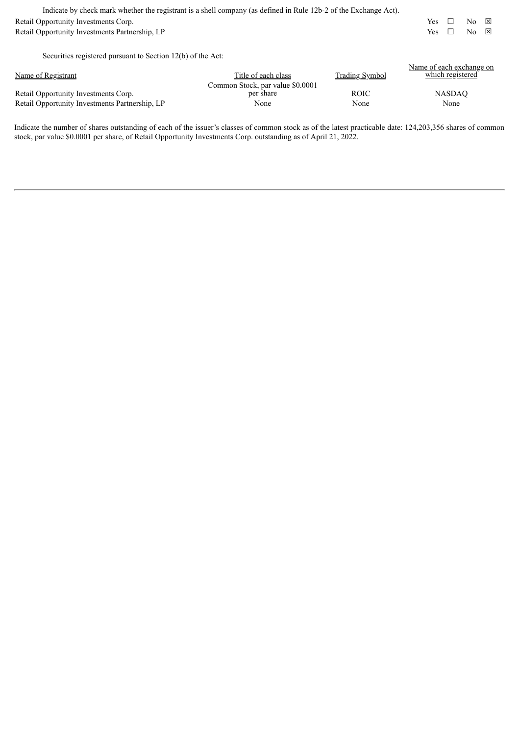| Indicate by check mark whether the registrant is a shell company (as defined in Rule 12b-2 of the Exchange Act). |                     |                       |                          |                  |      |
|------------------------------------------------------------------------------------------------------------------|---------------------|-----------------------|--------------------------|------------------|------|
| Retail Opportunity Investments Corp.                                                                             |                     |                       | Yes                      | No.              | -lxl |
| Retail Opportunity Investments Partnership, LP                                                                   |                     |                       | Yes                      | No.              | ⊠    |
|                                                                                                                  |                     |                       |                          |                  |      |
| Securities registered pursuant to Section 12(b) of the Act:                                                      |                     |                       |                          |                  |      |
| Name of Registrant                                                                                               | Title of each class | <b>Trading Symbol</b> | Name of each exchange on | which registered |      |

| <b>Native Of Registrant</b>                    | THIC 01 CAUILUIASS               | <u>riaumg o ymbor</u> | <u>WHICH TUGISICI</u> |
|------------------------------------------------|----------------------------------|-----------------------|-----------------------|
|                                                | Common Stock, par value \$0.0001 |                       |                       |
| Retail Opportunity Investments Corp.           | per share                        | ROIC                  | NASDAO                |
| Retail Opportunity Investments Partnership, LP | None                             | None                  | None                  |

Indicate the number of shares outstanding of each of the issuer's classes of common stock as of the latest practicable date: 124,203,356 shares of common stock, par value \$0.0001 per share, of Retail Opportunity Investments Corp. outstanding as of April 21, 2022.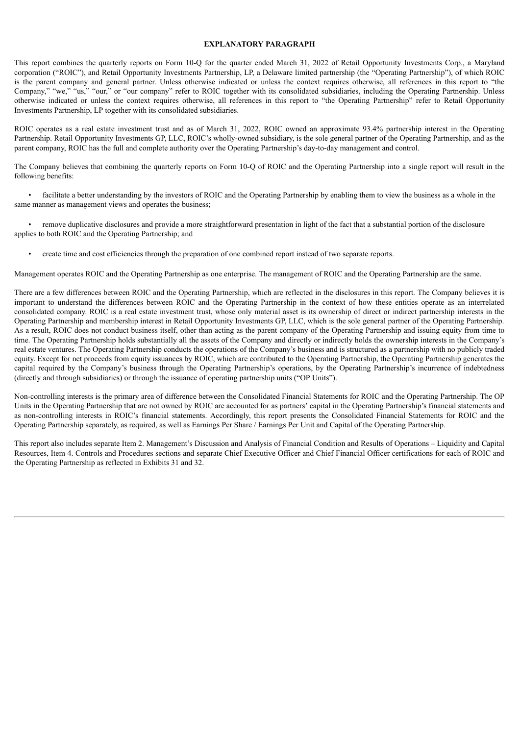#### **EXPLANATORY PARAGRAPH**

This report combines the quarterly reports on Form 10-Q for the quarter ended March 31, 2022 of Retail Opportunity Investments Corp., a Maryland corporation ("ROIC"), and Retail Opportunity Investments Partnership, LP, a Delaware limited partnership (the "Operating Partnership"), of which ROIC is the parent company and general partner. Unless otherwise indicated or unless the context requires otherwise, all references in this report to "the Company," "we," "us," "our," or "our company" refer to ROIC together with its consolidated subsidiaries, including the Operating Partnership. Unless otherwise indicated or unless the context requires otherwise, all references in this report to "the Operating Partnership" refer to Retail Opportunity Investments Partnership, LP together with its consolidated subsidiaries.

ROIC operates as a real estate investment trust and as of March 31, 2022, ROIC owned an approximate 93.4% partnership interest in the Operating Partnership. Retail Opportunity Investments GP, LLC, ROIC's wholly-owned subsidiary, is the sole general partner of the Operating Partnership, and as the parent company, ROIC has the full and complete authority over the Operating Partnership's day-to-day management and control.

The Company believes that combining the quarterly reports on Form 10-Q of ROIC and the Operating Partnership into a single report will result in the following benefits:

• facilitate a better understanding by the investors of ROIC and the Operating Partnership by enabling them to view the business as a whole in the same manner as management views and operates the business;

• remove duplicative disclosures and provide a more straightforward presentation in light of the fact that a substantial portion of the disclosure applies to both ROIC and the Operating Partnership; and

• create time and cost efficiencies through the preparation of one combined report instead of two separate reports.

Management operates ROIC and the Operating Partnership as one enterprise. The management of ROIC and the Operating Partnership are the same.

There are a few differences between ROIC and the Operating Partnership, which are reflected in the disclosures in this report. The Company believes it is important to understand the differences between ROIC and the Operating Partnership in the context of how these entities operate as an interrelated consolidated company. ROIC is a real estate investment trust, whose only material asset is its ownership of direct or indirect partnership interests in the Operating Partnership and membership interest in Retail Opportunity Investments GP, LLC, which is the sole general partner of the Operating Partnership. As a result, ROIC does not conduct business itself, other than acting as the parent company of the Operating Partnership and issuing equity from time to time. The Operating Partnership holds substantially all the assets of the Company and directly or indirectly holds the ownership interests in the Company's real estate ventures. The Operating Partnership conducts the operations of the Company's business and is structured as a partnership with no publicly traded equity. Except for net proceeds from equity issuances by ROIC, which are contributed to the Operating Partnership, the Operating Partnership generates the capital required by the Company's business through the Operating Partnership's operations, by the Operating Partnership's incurrence of indebtedness (directly and through subsidiaries) or through the issuance of operating partnership units ("OP Units").

Non-controlling interests is the primary area of difference between the Consolidated Financial Statements for ROIC and the Operating Partnership. The OP Units in the Operating Partnership that are not owned by ROIC are accounted for as partners' capital in the Operating Partnership's financial statements and as non-controlling interests in ROIC's financial statements. Accordingly, this report presents the Consolidated Financial Statements for ROIC and the Operating Partnership separately, as required, as well as Earnings Per Share / Earnings Per Unit and Capital of the Operating Partnership.

This report also includes separate Item 2. Management's Discussion and Analysis of Financial Condition and Results of Operations – Liquidity and Capital Resources, Item 4. Controls and Procedures sections and separate Chief Executive Officer and Chief Financial Officer certifications for each of ROIC and the Operating Partnership as reflected in Exhibits 31 and 32.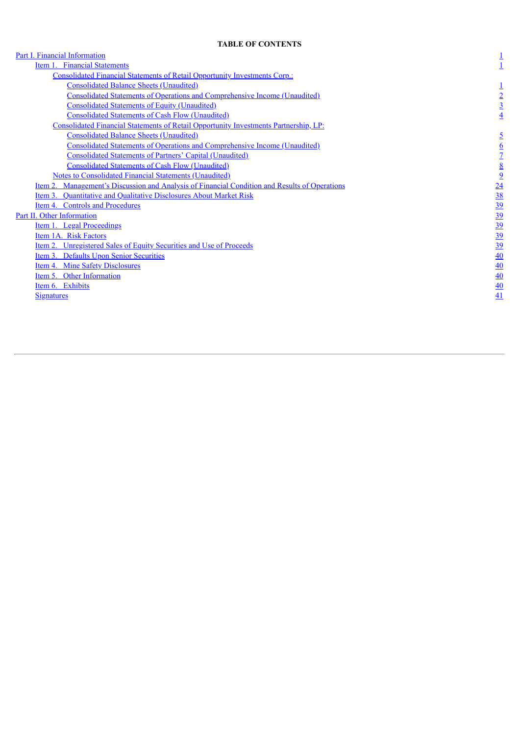# **TABLE OF CONTENTS**

<span id="page-3-0"></span>

| Part I. Financial Information                                                                        |                                                 |
|------------------------------------------------------------------------------------------------------|-------------------------------------------------|
| Item 1. Financial Statements                                                                         |                                                 |
| <b>Consolidated Financial Statements of Retail Opportunity Investments Corp.:</b>                    |                                                 |
| <b>Consolidated Balance Sheets (Unaudited)</b>                                                       |                                                 |
| Consolidated Statements of Operations and Comprehensive Income (Unaudited).                          |                                                 |
| <b>Consolidated Statements of Equity (Unaudited)</b>                                                 |                                                 |
| <b>Consolidated Statements of Cash Flow (Unaudited)</b>                                              | $\overline{4}$                                  |
| Consolidated Financial Statements of Retail Opportunity Investments Partnership, LP:                 |                                                 |
| <b>Consolidated Balance Sheets (Unaudited)</b>                                                       | <u>5</u>                                        |
| <b>Consolidated Statements of Operations and Comprehensive Income (Unaudited)</b>                    | <u>6</u>                                        |
| <b>Consolidated Statements of Partners' Capital (Unaudited)</b>                                      |                                                 |
| <b>Consolidated Statements of Cash Flow (Unaudited)</b>                                              | $\underline{8}$                                 |
| <b>Notes to Consolidated Financial Statements (Unaudited)</b>                                        | $\overline{9}$                                  |
| <u>Item 2. Management's Discussion and Analysis of Financial Condition and Results of Operations</u> | 24                                              |
| Item 3. Quantitative and Qualitative Disclosures About Market Risk                                   |                                                 |
| Item 4. Controls and Procedures                                                                      |                                                 |
| Part II. Other Information                                                                           | $\frac{38}{39}$ $\frac{39}{39}$ $\frac{39}{39}$ |
| Item 1. Legal Proceedings                                                                            |                                                 |
| Item 1A. Risk Factors                                                                                |                                                 |
| <u>Item 2. Unregistered Sales of Equity Securities and Use of Proceeds</u>                           | $\frac{39}{2}$                                  |
| Item 3. Defaults Upon Senior Securities                                                              |                                                 |
| Item 4. Mine Safety Disclosures                                                                      |                                                 |
| Item 5. Other Information                                                                            |                                                 |
| Item 6. Exhibits                                                                                     | $\frac{40}{40}$ $\frac{40}{40}$                 |
| <b>Signatures</b>                                                                                    | 41                                              |
|                                                                                                      |                                                 |
|                                                                                                      |                                                 |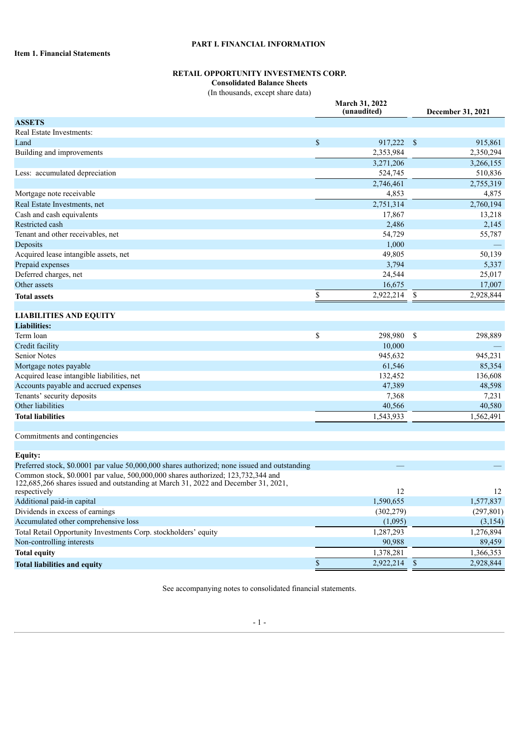# **PART I. FINANCIAL INFORMATION**

# **RETAIL OPPORTUNITY INVESTMENTS CORP.**

**Consolidated Balance Sheets**

(In thousands, except share data)

<span id="page-4-2"></span><span id="page-4-1"></span><span id="page-4-0"></span>

|                                                                                                                                                                        | <b>March 31, 2022</b><br>(unaudited) |            |               | December 31, 2021 |  |  |
|------------------------------------------------------------------------------------------------------------------------------------------------------------------------|--------------------------------------|------------|---------------|-------------------|--|--|
| <b>ASSETS</b>                                                                                                                                                          |                                      |            |               |                   |  |  |
| Real Estate Investments:                                                                                                                                               |                                      |            |               |                   |  |  |
| Land                                                                                                                                                                   | \$                                   | 917,222    | $\mathbb{S}$  | 915,861           |  |  |
| Building and improvements                                                                                                                                              |                                      | 2,353,984  |               | 2,350,294         |  |  |
|                                                                                                                                                                        |                                      | 3,271,206  |               | 3,266,155         |  |  |
| Less: accumulated depreciation                                                                                                                                         |                                      | 524,745    |               | 510,836           |  |  |
|                                                                                                                                                                        |                                      | 2,746,461  |               | 2,755,319         |  |  |
| Mortgage note receivable                                                                                                                                               |                                      | 4,853      |               | 4,875             |  |  |
| Real Estate Investments, net                                                                                                                                           |                                      | 2,751,314  |               | 2,760,194         |  |  |
| Cash and cash equivalents                                                                                                                                              |                                      | 17,867     |               | 13,218            |  |  |
| Restricted cash                                                                                                                                                        |                                      | 2,486      |               | 2,145             |  |  |
| Tenant and other receivables, net                                                                                                                                      |                                      | 54,729     |               | 55,787            |  |  |
| Deposits                                                                                                                                                               |                                      | 1,000      |               |                   |  |  |
| Acquired lease intangible assets, net                                                                                                                                  |                                      | 49,805     |               | 50,139            |  |  |
| Prepaid expenses                                                                                                                                                       |                                      | 3,794      |               | 5,337             |  |  |
| Deferred charges, net                                                                                                                                                  |                                      | 24,544     |               | 25,017            |  |  |
| Other assets                                                                                                                                                           |                                      | 16,675     |               | 17,007            |  |  |
| <b>Total assets</b>                                                                                                                                                    | \$                                   | 2,922,214  | \$            | 2,928,844         |  |  |
|                                                                                                                                                                        |                                      |            |               |                   |  |  |
| <b>LIABILITIES AND EQUITY</b>                                                                                                                                          |                                      |            |               |                   |  |  |
| <b>Liabilities:</b><br>Term loan                                                                                                                                       | \$                                   | 298,980    | <sup>\$</sup> | 298,889           |  |  |
| Credit facility                                                                                                                                                        |                                      | 10,000     |               |                   |  |  |
| Senior Notes                                                                                                                                                           |                                      | 945,632    |               | 945,231           |  |  |
|                                                                                                                                                                        |                                      | 61,546     |               | 85,354            |  |  |
| Mortgage notes payable<br>Acquired lease intangible liabilities, net                                                                                                   |                                      | 132,452    |               | 136,608           |  |  |
| Accounts payable and accrued expenses                                                                                                                                  |                                      | 47,389     |               | 48,598            |  |  |
| Tenants' security deposits                                                                                                                                             |                                      | 7,368      |               | 7,231             |  |  |
| Other liabilities                                                                                                                                                      |                                      | 40,566     |               | 40,580            |  |  |
| <b>Total liabilities</b>                                                                                                                                               |                                      | 1,543,933  |               | 1,562,491         |  |  |
|                                                                                                                                                                        |                                      |            |               |                   |  |  |
| Commitments and contingencies                                                                                                                                          |                                      |            |               |                   |  |  |
| <b>Equity:</b>                                                                                                                                                         |                                      |            |               |                   |  |  |
| Preferred stock, \$0,0001 par value 50,000,000 shares authorized; none issued and outstanding                                                                          |                                      |            |               |                   |  |  |
| Common stock, \$0.0001 par value, 500,000,000 shares authorized; 123,732,344 and<br>122,685,266 shares issued and outstanding at March 31, 2022 and December 31, 2021, |                                      |            |               |                   |  |  |
| respectively                                                                                                                                                           |                                      | 12         |               | 12                |  |  |
| Additional paid-in capital                                                                                                                                             |                                      | 1,590,655  |               | 1,577,837         |  |  |
| Dividends in excess of earnings                                                                                                                                        |                                      | (302, 279) |               | (297, 801)        |  |  |
| Accumulated other comprehensive loss                                                                                                                                   |                                      | (1,095)    |               | (3, 154)          |  |  |
| Total Retail Opportunity Investments Corp. stockholders' equity                                                                                                        |                                      | 1,287,293  |               | 1,276,894         |  |  |
| Non-controlling interests                                                                                                                                              |                                      | 90,988     |               | 89,459            |  |  |
| <b>Total equity</b>                                                                                                                                                    |                                      | 1,378,281  |               | 1,366,353         |  |  |
| <b>Total liabilities and equity</b>                                                                                                                                    | $\mathbb S$                          | 2,922,214  | $\mathbb{S}$  | 2,928,844         |  |  |

<span id="page-4-3"></span>See accompanying notes to consolidated financial statements.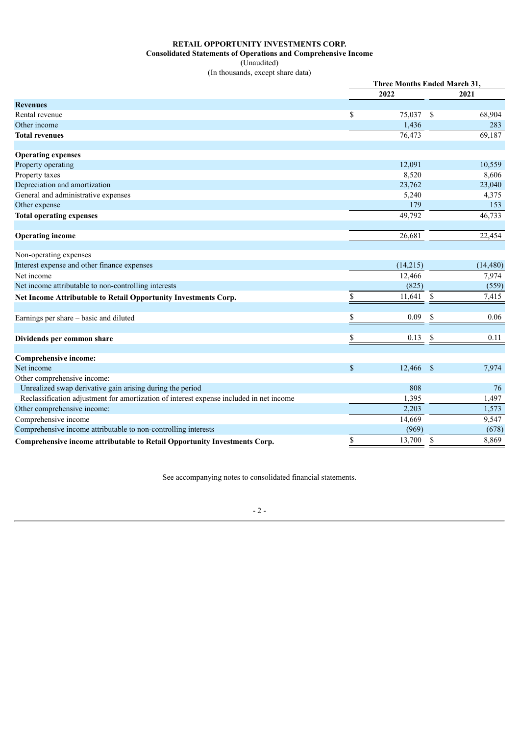# **RETAIL OPPORTUNITY INVESTMENTS CORP.**

#### **Consolidated Statements of Operations and Comprehensive Income**

(Unaudited)

(In thousands, except share data)

|                                                                                         | Three Months Ended March 31, |               |           |
|-----------------------------------------------------------------------------------------|------------------------------|---------------|-----------|
|                                                                                         | 2022                         |               | 2021      |
| <b>Revenues</b>                                                                         |                              |               |           |
| Rental revenue                                                                          | \$<br>75,037                 | \$            | 68,904    |
| Other income                                                                            | 1,436                        |               | 283       |
| <b>Total revenues</b>                                                                   | 76,473                       |               | 69,187    |
| <b>Operating expenses</b>                                                               |                              |               |           |
| Property operating                                                                      | 12,091                       |               | 10,559    |
| Property taxes                                                                          | 8,520                        |               | 8,606     |
| Depreciation and amortization                                                           | 23,762                       |               | 23,040    |
| General and administrative expenses                                                     | 5,240                        |               | 4,375     |
| Other expense                                                                           | 179                          |               | 153       |
| <b>Total operating expenses</b>                                                         | 49,792                       |               | 46,733    |
| <b>Operating income</b>                                                                 | 26,681                       |               | 22,454    |
| Non-operating expenses                                                                  |                              |               |           |
| Interest expense and other finance expenses                                             | (14,215)                     |               | (14, 480) |
| Net income                                                                              | 12,466                       |               | 7,974     |
| Net income attributable to non-controlling interests                                    | (825)                        |               | (559)     |
| Net Income Attributable to Retail Opportunity Investments Corp.                         | \$<br>11,641                 | \$            | 7,415     |
| Earnings per share - basic and diluted                                                  | \$<br>0.09                   | \$            | 0.06      |
| Dividends per common share                                                              | \$<br>0.13                   | \$            | 0.11      |
| <b>Comprehensive income:</b>                                                            |                              |               |           |
| Net income                                                                              | \$<br>12,466                 | -S            | 7,974     |
| Other comprehensive income:                                                             |                              |               |           |
| Unrealized swap derivative gain arising during the period                               | 808                          |               | 76        |
| Reclassification adjustment for amortization of interest expense included in net income | 1,395                        |               | 1,497     |
| Other comprehensive income:                                                             | 2,203                        |               | 1,573     |
| Comprehensive income                                                                    | 14,669                       |               | 9,547     |
| Comprehensive income attributable to non-controlling interests                          | (969)                        |               | (678)     |
| Comprehensive income attributable to Retail Opportunity Investments Corp.               | \$<br>13,700                 | $\mathsf{\$}$ | 8,869     |

<span id="page-5-0"></span>See accompanying notes to consolidated financial statements.

# - 2 -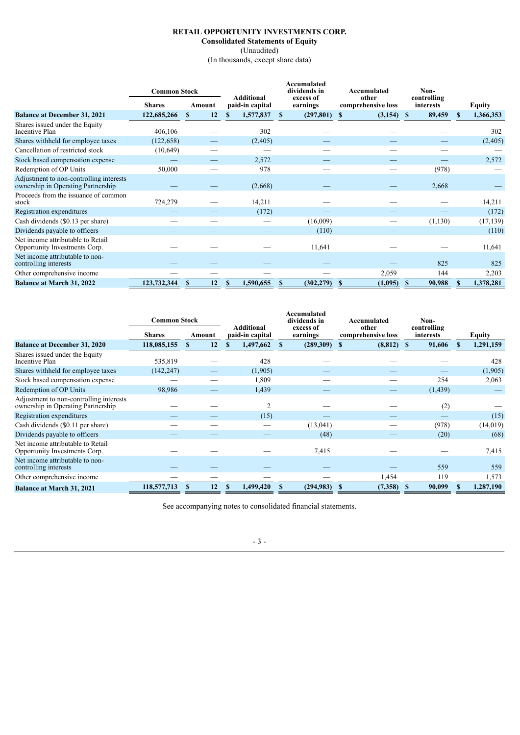# **RETAIL OPPORTUNITY INVESTMENTS CORP. Consolidated Statements of Equity** (Unaudited) (In thousands, except share data)

|                                                                               | <b>Common Stock</b> |               |        |   | <b>Additional</b> |               | Accumulated<br>dividends in<br>excess of | Accumulated<br>other | Non-<br>controlling |     |           |
|-------------------------------------------------------------------------------|---------------------|---------------|--------|---|-------------------|---------------|------------------------------------------|----------------------|---------------------|-----|-----------|
|                                                                               | <b>Shares</b>       |               | Amount |   | paid-in capital   |               | earnings                                 | comprehensive loss   | interests           |     | Equity    |
| <b>Balance at December 31, 2021</b>                                           | 122,685,266         | <sup>\$</sup> | 12     |   | 1,577,837         | <sup>\$</sup> | (297, 801)                               | $(3,154)$ \$<br>-S   | 89,459              | -SS | 1,366,353 |
| Shares issued under the Equity<br>Incentive Plan                              | 406,106             |               |        |   | 302               |               |                                          |                      |                     |     | 302       |
| Shares withheld for employee taxes                                            | (122, 658)          |               |        |   | (2,405)           |               |                                          |                      |                     |     | (2,405)   |
| Cancellation of restricted stock                                              | (10,649)            |               |        |   |                   |               |                                          |                      |                     |     |           |
| Stock based compensation expense                                              |                     |               |        |   | 2,572             |               |                                          |                      |                     |     | 2,572     |
| Redemption of OP Units                                                        | 50,000              |               |        |   | 978               |               |                                          |                      | (978)               |     |           |
| Adjustment to non-controlling interests<br>ownership in Operating Partnership |                     |               |        |   | (2,668)           |               |                                          |                      | 2,668               |     |           |
| Proceeds from the issuance of common<br>stock                                 | 724,279             |               |        |   | 14,211            |               |                                          |                      |                     |     | 14,211    |
| Registration expenditures                                                     |                     |               |        |   | (172)             |               |                                          |                      |                     |     | (172)     |
| Cash dividends (\$0.13 per share)                                             |                     |               |        |   |                   |               | (16,009)                                 |                      | (1,130)             |     | (17, 139) |
| Dividends payable to officers                                                 |                     |               |        |   |                   |               | (110)                                    |                      |                     |     | (110)     |
| Net income attributable to Retail<br>Opportunity Investments Corp.            |                     |               |        |   |                   |               | 11,641                                   |                      |                     |     | 11,641    |
| Net income attributable to non-<br>controlling interests                      |                     |               |        |   |                   |               |                                          |                      | 825                 |     | 825       |
| Other comprehensive income                                                    |                     |               |        |   |                   |               |                                          | 2,059                | 144                 |     | 2,203     |
| <b>Balance at March 31, 2022</b>                                              | 123,732,344         | S.            | 12     | S | 1,590,655         | S.            | (302, 279)                               | (1,095)<br>- \$      | 90,988<br>-S        |     | 1,378,281 |

|                                                                               | <b>Common Stock</b> |        |    |   |                                      | Accumulated<br>dividends in | Accumulated                 | Non-                     |           |
|-------------------------------------------------------------------------------|---------------------|--------|----|---|--------------------------------------|-----------------------------|-----------------------------|--------------------------|-----------|
|                                                                               | <b>Shares</b>       | Amount |    |   | <b>Additional</b><br>paid-in capital | excess of<br>earnings       | other<br>comprehensive loss | controlling<br>interests | Equity    |
| <b>Balance at December 31, 2020</b>                                           | 118,085,155         |        | 12 |   | 1,497,662                            | (289,309)                   | (8,812)<br>S                | 91,606                   | 1,291,159 |
| Shares issued under the Equity<br>Incentive Plan                              | 535,819             |        |    |   | 428                                  |                             |                             |                          | 428       |
| Shares withheld for employee taxes                                            | (142, 247)          |        |    |   | (1,905)                              |                             |                             |                          | (1,905)   |
| Stock based compensation expense                                              |                     |        |    |   | 1,809                                |                             |                             | 254                      | 2,063     |
| Redemption of OP Units                                                        | 98,986              |        |    |   | 1,439                                |                             |                             | (1, 439)                 |           |
| Adjustment to non-controlling interests<br>ownership in Operating Partnership |                     |        |    |   |                                      |                             |                             | (2)                      |           |
| Registration expenditures                                                     |                     |        |    |   | (15)                                 |                             |                             |                          | (15)      |
| Cash dividends (\$0.11 per share)                                             |                     |        |    |   |                                      | (13,041)                    |                             | (978)                    | (14,019)  |
| Dividends payable to officers                                                 |                     |        |    |   |                                      | (48)                        |                             | (20)                     | (68)      |
| Net income attributable to Retail<br>Opportunity Investments Corp.            |                     |        |    |   |                                      | 7,415                       |                             |                          | 7,415     |
| Net income attributable to non-<br>controlling interests                      |                     |        |    |   |                                      |                             |                             | 559                      | 559       |
| Other comprehensive income                                                    |                     |        |    |   |                                      |                             | 1,454                       | 119                      | 1,573     |
| <b>Balance at March 31, 2021</b>                                              | 118,577,713         |        | 12 | S | 1,499,420                            | $(294, 983)$ \$             | (7,358)                     | 90,099                   | 1,287,190 |

<span id="page-6-0"></span>See accompanying notes to consolidated financial statements.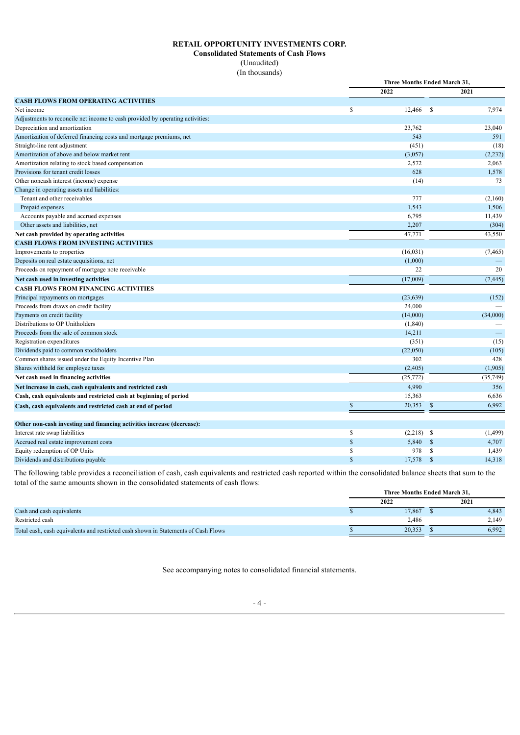# **RETAIL OPPORTUNITY INVESTMENTS CORP.**

**Consolidated Statements of Cash Flows**

(Unaudited)

(In thousands)

| 2022<br>2021<br><b>CASH FLOWS FROM OPERATING ACTIVITIES</b><br>\$<br>Net income<br>12,466<br>\$<br>Adjustments to reconcile net income to cash provided by operating activities:<br>Depreciation and amortization<br>23,762<br>543<br>Amortization of deferred financing costs and mortgage premiums, net<br>(451)<br>Straight-line rent adjustment<br>Amortization of above and below market rent<br>(3,057)<br>2,572<br>Amortization relating to stock based compensation<br>628<br>Provisions for tenant credit losses<br>Other noncash interest (income) expense<br>(14)<br>Change in operating assets and liabilities: | Three Months Ended March 31, |  |          |
|-----------------------------------------------------------------------------------------------------------------------------------------------------------------------------------------------------------------------------------------------------------------------------------------------------------------------------------------------------------------------------------------------------------------------------------------------------------------------------------------------------------------------------------------------------------------------------------------------------------------------------|------------------------------|--|----------|
|                                                                                                                                                                                                                                                                                                                                                                                                                                                                                                                                                                                                                             |                              |  |          |
|                                                                                                                                                                                                                                                                                                                                                                                                                                                                                                                                                                                                                             |                              |  |          |
|                                                                                                                                                                                                                                                                                                                                                                                                                                                                                                                                                                                                                             |                              |  | 7,974    |
|                                                                                                                                                                                                                                                                                                                                                                                                                                                                                                                                                                                                                             |                              |  |          |
|                                                                                                                                                                                                                                                                                                                                                                                                                                                                                                                                                                                                                             |                              |  | 23,040   |
|                                                                                                                                                                                                                                                                                                                                                                                                                                                                                                                                                                                                                             |                              |  | 591      |
|                                                                                                                                                                                                                                                                                                                                                                                                                                                                                                                                                                                                                             |                              |  | (18)     |
|                                                                                                                                                                                                                                                                                                                                                                                                                                                                                                                                                                                                                             |                              |  | (2, 232) |
|                                                                                                                                                                                                                                                                                                                                                                                                                                                                                                                                                                                                                             |                              |  | 2,063    |
|                                                                                                                                                                                                                                                                                                                                                                                                                                                                                                                                                                                                                             |                              |  | 1,578    |
|                                                                                                                                                                                                                                                                                                                                                                                                                                                                                                                                                                                                                             |                              |  | 73       |
|                                                                                                                                                                                                                                                                                                                                                                                                                                                                                                                                                                                                                             |                              |  |          |
| Tenant and other receivables<br>777                                                                                                                                                                                                                                                                                                                                                                                                                                                                                                                                                                                         |                              |  | (2,160)  |
| Prepaid expenses<br>1,543                                                                                                                                                                                                                                                                                                                                                                                                                                                                                                                                                                                                   |                              |  | 1,506    |
| 6,795<br>Accounts payable and accrued expenses                                                                                                                                                                                                                                                                                                                                                                                                                                                                                                                                                                              |                              |  | 11,439   |
| 2,207<br>Other assets and liabilities, net                                                                                                                                                                                                                                                                                                                                                                                                                                                                                                                                                                                  |                              |  | (304)    |
| Net cash provided by operating activities<br>47,771                                                                                                                                                                                                                                                                                                                                                                                                                                                                                                                                                                         |                              |  | 43,550   |
| <b>CASH FLOWS FROM INVESTING ACTIVITIES</b>                                                                                                                                                                                                                                                                                                                                                                                                                                                                                                                                                                                 |                              |  |          |
| Improvements to properties<br>(16, 031)                                                                                                                                                                                                                                                                                                                                                                                                                                                                                                                                                                                     |                              |  | (7, 465) |
| Deposits on real estate acquisitions, net<br>(1,000)                                                                                                                                                                                                                                                                                                                                                                                                                                                                                                                                                                        |                              |  |          |
| 22<br>Proceeds on repayment of mortgage note receivable                                                                                                                                                                                                                                                                                                                                                                                                                                                                                                                                                                     |                              |  | 20       |
| Net cash used in investing activities<br>(17,009)                                                                                                                                                                                                                                                                                                                                                                                                                                                                                                                                                                           |                              |  | (7, 445) |
| <b>CASH FLOWS FROM FINANCING ACTIVITIES</b>                                                                                                                                                                                                                                                                                                                                                                                                                                                                                                                                                                                 |                              |  |          |
| (23, 639)<br>Principal repayments on mortgages                                                                                                                                                                                                                                                                                                                                                                                                                                                                                                                                                                              |                              |  | (152)    |
| Proceeds from draws on credit facility<br>24,000                                                                                                                                                                                                                                                                                                                                                                                                                                                                                                                                                                            |                              |  |          |
| Payments on credit facility<br>(14,000)                                                                                                                                                                                                                                                                                                                                                                                                                                                                                                                                                                                     |                              |  | (34,000) |
| Distributions to OP Unitholders<br>(1, 840)                                                                                                                                                                                                                                                                                                                                                                                                                                                                                                                                                                                 |                              |  |          |
| Proceeds from the sale of common stock<br>14,211                                                                                                                                                                                                                                                                                                                                                                                                                                                                                                                                                                            |                              |  |          |
| Registration expenditures<br>(351)                                                                                                                                                                                                                                                                                                                                                                                                                                                                                                                                                                                          |                              |  | (15)     |
| Dividends paid to common stockholders<br>(22,050)                                                                                                                                                                                                                                                                                                                                                                                                                                                                                                                                                                           |                              |  | (105)    |
| Common shares issued under the Equity Incentive Plan<br>302                                                                                                                                                                                                                                                                                                                                                                                                                                                                                                                                                                 |                              |  | 428      |
| Shares withheld for employee taxes<br>(2,405)                                                                                                                                                                                                                                                                                                                                                                                                                                                                                                                                                                               |                              |  | (1,905)  |
| Net cash used in financing activities<br>(25, 772)                                                                                                                                                                                                                                                                                                                                                                                                                                                                                                                                                                          |                              |  | (35,749) |
| 4,990<br>Net increase in cash, cash equivalents and restricted cash                                                                                                                                                                                                                                                                                                                                                                                                                                                                                                                                                         |                              |  | 356      |
| 15,363<br>Cash, cash equivalents and restricted cash at beginning of period                                                                                                                                                                                                                                                                                                                                                                                                                                                                                                                                                 |                              |  | 6,636    |
| $\mathbb{S}$<br>20,353<br>$\mathbb{S}$<br>Cash, cash equivalents and restricted cash at end of period                                                                                                                                                                                                                                                                                                                                                                                                                                                                                                                       |                              |  | 6,992    |
|                                                                                                                                                                                                                                                                                                                                                                                                                                                                                                                                                                                                                             |                              |  |          |
| Other non-cash investing and financing activities increase (decrease):                                                                                                                                                                                                                                                                                                                                                                                                                                                                                                                                                      |                              |  |          |
| \$<br>(2,218)<br>$\mathbb{S}$<br>Interest rate swap liabilities                                                                                                                                                                                                                                                                                                                                                                                                                                                                                                                                                             |                              |  | (1, 499) |
| Accrued real estate improvement costs<br>\$<br>5,840<br>$\mathbb{S}$                                                                                                                                                                                                                                                                                                                                                                                                                                                                                                                                                        |                              |  | 4,707    |
| \$<br>978<br>$\mathbb{S}$<br>Equity redemption of OP Units                                                                                                                                                                                                                                                                                                                                                                                                                                                                                                                                                                  |                              |  | 1,439    |
| \$<br>Dividends and distributions payable<br>17,578<br>$\mathbb{S}$                                                                                                                                                                                                                                                                                                                                                                                                                                                                                                                                                         |                              |  | 14,318   |

The following table provides a reconciliation of cash, cash equivalents and restricted cash reported within the consolidated balance sheets that sum to the total of the same amounts shown in the consolidated statements of cash flows:

<span id="page-7-0"></span>

|                                                                                    | Three Months Ended March 31. |        |  |       |  |
|------------------------------------------------------------------------------------|------------------------------|--------|--|-------|--|
|                                                                                    |                              | 2022   |  | 2021  |  |
| Cash and cash equivalents                                                          |                              | 17.867 |  | 4,843 |  |
| Restricted cash                                                                    |                              | 2.486  |  | 2.149 |  |
| Total cash, cash equivalents and restricted cash shown in Statements of Cash Flows |                              | 20.353 |  | 6.992 |  |
|                                                                                    |                              |        |  |       |  |

See accompanying notes to consolidated financial statements.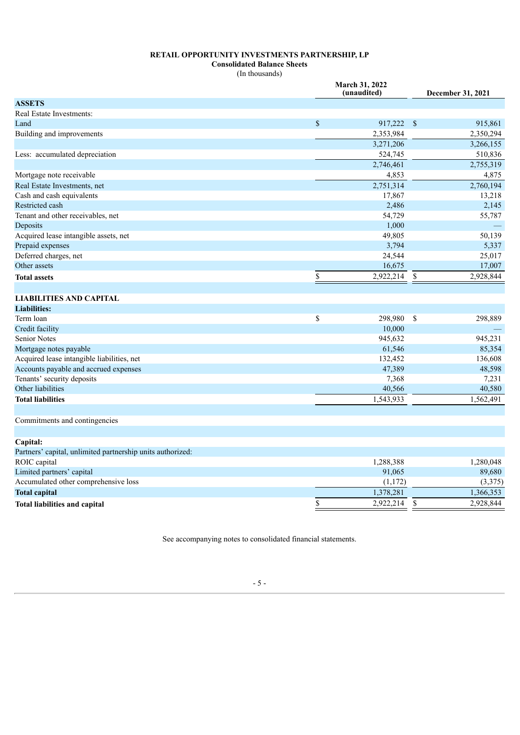# **RETAIL OPPORTUNITY INVESTMENTS PARTNERSHIP, LP**

**Consolidated Balance Sheets**

(In thousands)

<span id="page-8-0"></span>

|                                            | March 31, 2022<br>(unaudited) |                    | December 31, 2021 |
|--------------------------------------------|-------------------------------|--------------------|-------------------|
| <b>ASSETS</b>                              |                               |                    |                   |
| Real Estate Investments:                   |                               |                    |                   |
| Land                                       | \$<br>917,222                 | $\mathbf{\hat{s}}$ | 915,861           |
| Building and improvements                  | 2,353,984                     |                    | 2,350,294         |
|                                            | 3,271,206                     |                    | 3,266,155         |
| Less: accumulated depreciation             | 524,745                       |                    | 510,836           |
|                                            | 2,746,461                     |                    | 2,755,319         |
| Mortgage note receivable                   | 4,853                         |                    | 4,875             |
| Real Estate Investments, net               | 2,751,314                     |                    | 2,760,194         |
| Cash and cash equivalents                  | 17,867                        |                    | 13,218            |
| Restricted cash                            | 2,486                         |                    | 2,145             |
| Tenant and other receivables, net          | 54,729                        |                    | 55,787            |
| Deposits                                   | 1,000                         |                    |                   |
| Acquired lease intangible assets, net      | 49,805                        |                    | 50,139            |
| Prepaid expenses                           | 3,794                         |                    | 5,337             |
| Deferred charges, net                      | 24,544                        |                    | 25,017            |
| Other assets                               | 16,675                        |                    | 17,007            |
| <b>Total assets</b>                        | \$<br>2,922,214               | \$                 | 2,928,844         |
|                                            |                               |                    |                   |
| <b>LIABILITIES AND CAPITAL</b>             |                               |                    |                   |
| <b>Liabilities:</b>                        |                               |                    |                   |
| Term loan                                  | \$<br>298,980                 | $\mathbb{S}$       | 298,889           |
| Credit facility                            | 10,000                        |                    |                   |
| Senior Notes                               | 945,632                       |                    | 945,231           |
| Mortgage notes payable                     | 61,546                        |                    | 85,354            |
| Acquired lease intangible liabilities, net | 132,452                       |                    | 136,608           |
| Accounts payable and accrued expenses      | 47,389                        |                    | 48,598            |
| Tenants' security deposits                 | 7,368                         |                    | 7,231             |
| Other liabilities                          | 40,566                        |                    | 40,580            |
| <b>Total liabilities</b>                   | 1,543,933                     |                    | 1,562,491         |
|                                            |                               |                    |                   |
| Commitments and contingencies              |                               |                    |                   |
|                                            |                               |                    |                   |
| Capital:                                   |                               |                    |                   |

<span id="page-8-1"></span>

| Partners' capital, unlimited partnership units authorized: |           |           |
|------------------------------------------------------------|-----------|-----------|
| ROIC capital                                               | 1,288,388 | 1,280,048 |
| Limited partners' capital                                  | 91,065    | 89,680    |
| Accumulated other comprehensive loss                       | (1,172)   | (3,375)   |
| <b>Total capital</b>                                       | 1,378,281 | 1,366,353 |
| <b>Total liabilities and capital</b>                       | 2,922,214 | 2,928,844 |
|                                                            |           |           |

See accompanying notes to consolidated financial statements.

- 5 -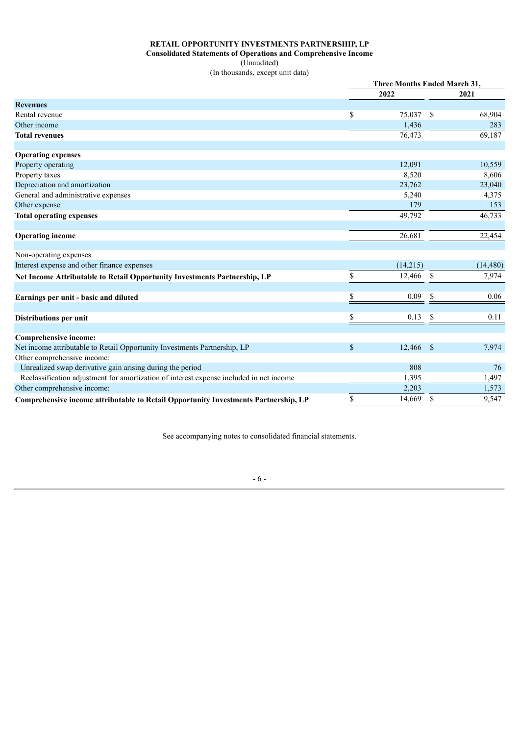# **RETAIL OPPORTUNITY INVESTMENTS PARTNERSHIP, LP**

**Consolidated Statements of Operations and Comprehensive Income**

(Unaudited)

(In thousands, except unit data)

|                                                                                         | Three Months Ended March 31, |             |               |           |
|-----------------------------------------------------------------------------------------|------------------------------|-------------|---------------|-----------|
|                                                                                         |                              | 2022        |               | 2021      |
| <b>Revenues</b>                                                                         |                              |             |               |           |
| Rental revenue                                                                          | \$                           | 75,037      | \$            | 68,904    |
| Other income                                                                            |                              | 1,436       |               | 283       |
| <b>Total revenues</b>                                                                   |                              | 76,473      |               | 69,187    |
| <b>Operating expenses</b>                                                               |                              |             |               |           |
| Property operating                                                                      |                              | 12,091      |               | 10,559    |
| Property taxes                                                                          |                              | 8,520       |               | 8,606     |
| Depreciation and amortization                                                           |                              | 23,762      |               | 23,040    |
| General and administrative expenses                                                     |                              | 5,240       |               | 4,375     |
| Other expense                                                                           |                              | 179         |               | 153       |
| <b>Total operating expenses</b>                                                         |                              | 49,792      |               | 46,733    |
| <b>Operating income</b>                                                                 |                              | 26,681      |               | 22,454    |
| Non-operating expenses                                                                  |                              |             |               |           |
| Interest expense and other finance expenses                                             |                              | (14,215)    |               | (14, 480) |
| Net Income Attributable to Retail Opportunity Investments Partnership, LP               | \$                           | 12,466      | S             | 7,974     |
| Earnings per unit - basic and diluted                                                   | \$                           | 0.09        | \$            | 0.06      |
| Distributions per unit                                                                  | \$                           | 0.13        | <sup>\$</sup> | 0.11      |
| <b>Comprehensive income:</b>                                                            |                              |             |               |           |
| Net income attributable to Retail Opportunity Investments Partnership, LP               | \$                           | $12,466$ \$ |               | 7,974     |
| Other comprehensive income:                                                             |                              |             |               |           |
| Unrealized swap derivative gain arising during the period                               |                              | 808         |               | 76        |
| Reclassification adjustment for amortization of interest expense included in net income |                              | 1,395       |               | 1,497     |
| Other comprehensive income:                                                             |                              | 2,203       |               | 1,573     |
| Comprehensive income attributable to Retail Opportunity Investments Partnership, LP     | \$                           | 14,669      | \$            | 9,547     |

<span id="page-9-0"></span>See accompanying notes to consolidated financial statements.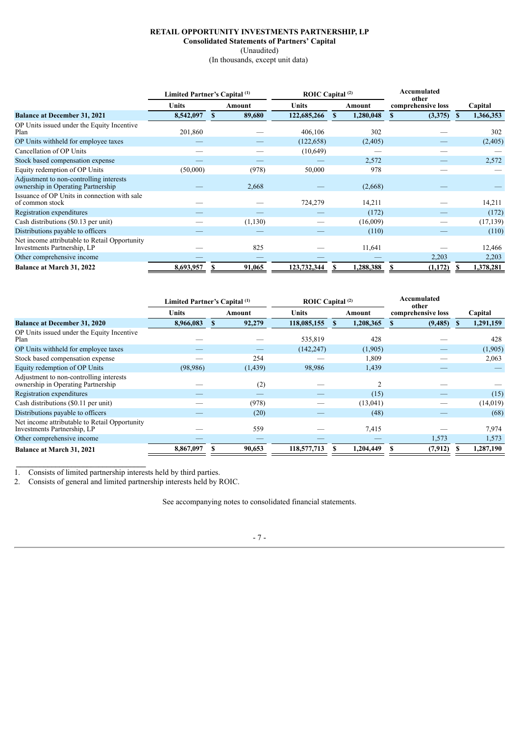## **RETAIL OPPORTUNITY INVESTMENTS PARTNERSHIP, LP Consolidated Statements of Partners' Capital** (Unaudited) (In thousands, except unit data)

|                                                                               | Limited Partner's Capital (1) |    |         | ROIC Capital $(2)$ |           | Accumulated<br>other     |           |
|-------------------------------------------------------------------------------|-------------------------------|----|---------|--------------------|-----------|--------------------------|-----------|
|                                                                               | Units                         |    | Amount  | Units              | Amount    | comprehensive loss       | Capital   |
| <b>Balance at December 31, 2021</b>                                           | 8,542,097                     | -S | 89,680  | 122,685,266        | 1,280,048 | $(3,375)$ \$<br><b>S</b> | 1,366,353 |
| OP Units issued under the Equity Incentive<br>Plan                            | 201,860                       |    |         | 406,106            | 302       |                          | 302       |
| OP Units withheld for employee taxes                                          |                               |    |         | (122, 658)         | (2,405)   |                          | (2,405)   |
| Cancellation of OP Units                                                      |                               |    |         | (10,649)           |           |                          |           |
| Stock based compensation expense                                              |                               |    |         |                    | 2,572     |                          | 2,572     |
| Equity redemption of OP Units                                                 | (50,000)                      |    | (978)   | 50,000             | 978       |                          |           |
| Adjustment to non-controlling interests<br>ownership in Operating Partnership |                               |    | 2,668   |                    | (2,668)   |                          |           |
| Issuance of OP Units in connection with sale<br>of common stock               |                               |    |         | 724,279            | 14,211    |                          | 14,211    |
| Registration expenditures                                                     |                               |    |         |                    | (172)     |                          | (172)     |
| Cash distributions (\$0.13 per unit)                                          |                               |    | (1,130) |                    | (16,009)  |                          | (17, 139) |
| Distributions payable to officers                                             |                               |    |         |                    | (110)     |                          | (110)     |
| Net income attributable to Retail Opportunity<br>Investments Partnership, LP  |                               |    | 825     |                    | 11,641    |                          | 12,466    |
| Other comprehensive income                                                    |                               |    |         |                    |           | 2,203                    | 2,203     |
| <b>Balance at March 31, 2022</b>                                              | 8,693,957                     |    | 91,065  | 123,732,344        | 1,288,388 | (1,172)<br>-S            | 1,378,281 |

|                                                                               |              | ROIC Capital $(2)$<br>Limited Partner's Capital (1) |          |             |  |           |                             |           |
|-------------------------------------------------------------------------------|--------------|-----------------------------------------------------|----------|-------------|--|-----------|-----------------------------|-----------|
|                                                                               | <b>Units</b> |                                                     | Amount   | Units       |  | Amount    | other<br>comprehensive loss | Capital   |
| <b>Balance at December 31, 2020</b>                                           | 8,966,083    |                                                     | 92,279   | 118,085,155 |  | 1,208,365 | (9, 485)                    | 1,291,159 |
| OP Units issued under the Equity Incentive<br>Plan                            |              |                                                     |          | 535,819     |  | 428       |                             | 428       |
| OP Units withheld for employee taxes                                          |              |                                                     |          | (142, 247)  |  | (1,905)   |                             | (1,905)   |
| Stock based compensation expense                                              |              |                                                     | 254      |             |  | 1,809     |                             | 2,063     |
| Equity redemption of OP Units                                                 | (98, 986)    |                                                     | (1, 439) | 98,986      |  | 1,439     |                             |           |
| Adjustment to non-controlling interests<br>ownership in Operating Partnership |              |                                                     | (2)      |             |  |           |                             |           |
| Registration expenditures                                                     |              |                                                     |          |             |  | (15)      |                             | (15)      |
| Cash distributions (\$0.11 per unit)                                          |              |                                                     | (978)    |             |  | (13,041)  |                             | (14,019)  |
| Distributions payable to officers                                             |              |                                                     | (20)     |             |  | (48)      |                             | (68)      |
| Net income attributable to Retail Opportunity<br>Investments Partnership, LP  |              |                                                     | 559      |             |  | 7,415     |                             | 7,974     |
| Other comprehensive income                                                    |              |                                                     |          |             |  |           | 1,573                       | 1,573     |
| <b>Balance at March 31, 2021</b>                                              | 8,867,097    | ъ                                                   | 90,653   | 118,577,713 |  | 1.204.449 | (7, 912)                    | 1,287,190 |

1. Consists of limited partnership interests held by third parties.

<span id="page-10-0"></span>2. Consists of general and limited partnership interests held by ROIC.

See accompanying notes to consolidated financial statements.

# - 7 -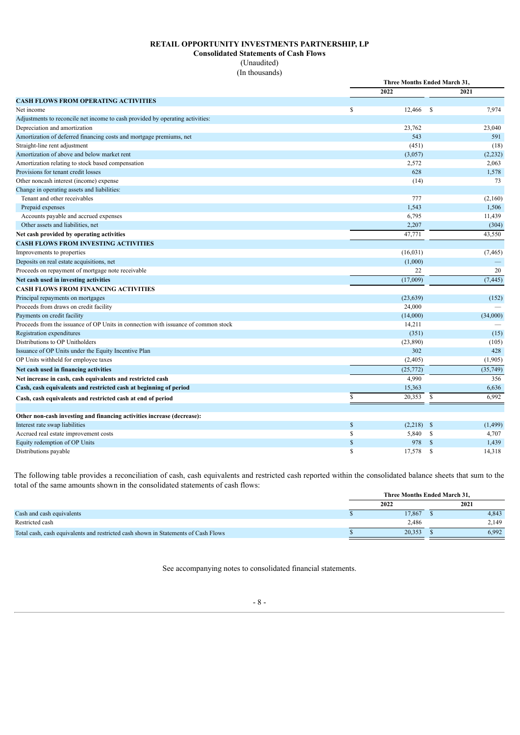# **RETAIL OPPORTUNITY INVESTMENTS PARTNERSHIP, LP**

**Consolidated Statements of Cash Flows**

(Unaudited)

(In thousands)

|                                                                                    | Three Months Ended March 31, |                         |  |  |
|------------------------------------------------------------------------------------|------------------------------|-------------------------|--|--|
|                                                                                    | 2022                         | 2021                    |  |  |
| <b>CASH FLOWS FROM OPERATING ACTIVITIES</b>                                        |                              |                         |  |  |
| Net income                                                                         | \$<br>12,466                 | <sup>\$</sup><br>7,974  |  |  |
| Adjustments to reconcile net income to cash provided by operating activities:      |                              |                         |  |  |
| Depreciation and amortization                                                      | 23,762                       | 23,040                  |  |  |
| Amortization of deferred financing costs and mortgage premiums, net                | 543                          | 591                     |  |  |
| Straight-line rent adjustment                                                      | (451)                        | (18)                    |  |  |
| Amortization of above and below market rent                                        | (3,057)                      | (2, 232)                |  |  |
| Amortization relating to stock based compensation                                  | 2,572                        | 2,063                   |  |  |
| Provisions for tenant credit losses                                                | 628                          | 1,578                   |  |  |
| Other noncash interest (income) expense                                            | (14)                         | 73                      |  |  |
| Change in operating assets and liabilities:                                        |                              |                         |  |  |
| Tenant and other receivables                                                       | 777                          | (2,160)                 |  |  |
| Prepaid expenses                                                                   | 1,543                        | 1,506                   |  |  |
| Accounts payable and accrued expenses                                              | 6,795                        | 11,439                  |  |  |
| Other assets and liabilities, net                                                  | 2,207                        | (304)                   |  |  |
| Net cash provided by operating activities                                          | 47,771                       | 43,550                  |  |  |
| <b>CASH FLOWS FROM INVESTING ACTIVITIES</b>                                        |                              |                         |  |  |
| Improvements to properties                                                         | (16, 031)                    | (7, 465)                |  |  |
| Deposits on real estate acquisitions, net                                          | (1,000)                      |                         |  |  |
| Proceeds on repayment of mortgage note receivable                                  | 22                           | 20                      |  |  |
| Net cash used in investing activities                                              | (17,009)                     | (7, 445)                |  |  |
| <b>CASH FLOWS FROM FINANCING ACTIVITIES</b>                                        |                              |                         |  |  |
| Principal repayments on mortgages                                                  | (23, 639)                    | (152)                   |  |  |
| Proceeds from draws on credit facility                                             | 24,000                       |                         |  |  |
| Payments on credit facility                                                        | (14,000)                     | (34,000)                |  |  |
| Proceeds from the issuance of OP Units in connection with issuance of common stock | 14,211                       |                         |  |  |
| Registration expenditures                                                          | (351)                        | (15)                    |  |  |
| Distributions to OP Unitholders                                                    | (23,890)                     | (105)                   |  |  |
| Issuance of OP Units under the Equity Incentive Plan                               | 302                          | 428                     |  |  |
| OP Units withheld for employee taxes                                               | (2,405)                      | (1,905)                 |  |  |
| Net cash used in financing activities                                              | (25, 772)                    | (35, 749)               |  |  |
| Net increase in cash, cash equivalents and restricted cash                         | 4,990                        | 356                     |  |  |
| Cash, cash equivalents and restricted cash at beginning of period                  | 15,363                       | 6,636                   |  |  |
| Cash, cash equivalents and restricted cash at end of period                        | \$<br>20,353                 | $\mathbb S$<br>6,992    |  |  |
| Other non-cash investing and financing activities increase (decrease):             |                              |                         |  |  |
| Interest rate swap liabilities                                                     | \$<br>$(2,218)$ \$           | (1, 499)                |  |  |
| Accrued real estate improvement costs                                              | \$<br>5,840                  | \$<br>4,707             |  |  |
| Equity redemption of OP Units                                                      | \$<br>978                    | $\mathbb{S}$<br>1,439   |  |  |
| Distributions payable                                                              | \$<br>17,578                 | <sup>\$</sup><br>14,318 |  |  |

The following table provides a reconciliation of cash, cash equivalents and restricted cash reported within the consolidated balance sheets that sum to the total of the same amounts shown in the consolidated statements of cash flows:

<span id="page-11-0"></span>

|                                                                                    | Three Months Ended March 31. |        |  |       |
|------------------------------------------------------------------------------------|------------------------------|--------|--|-------|
|                                                                                    |                              | 2022   |  | 2021  |
| Cash and cash equivalents                                                          |                              | 17,867 |  | 4.843 |
| Restricted cash                                                                    |                              | 2.486  |  | 2,149 |
| Total cash, cash equivalents and restricted cash shown in Statements of Cash Flows |                              | 20.353 |  | 6.992 |

See accompanying notes to consolidated financial statements.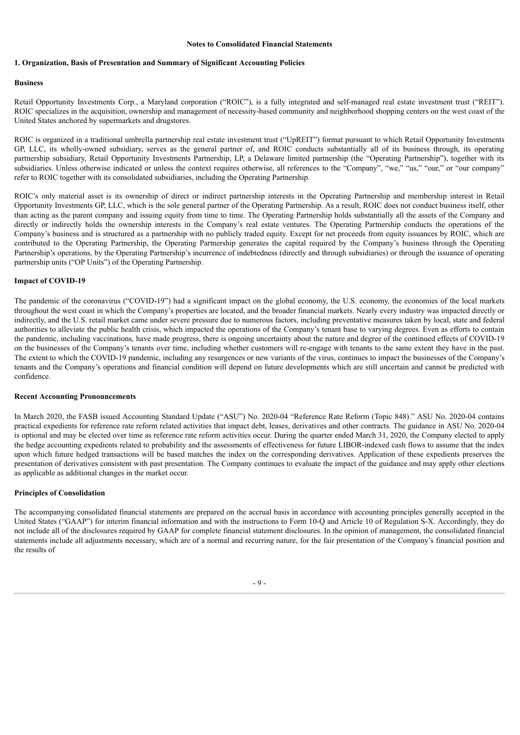#### **Notes to Consolidated Financial Statements**

# **1. Organization, Basis of Presentation and Summary of Significant Accounting Policies**

# **Business**

Retail Opportunity Investments Corp., a Maryland corporation ("ROIC"), is a fully integrated and self-managed real estate investment trust ("REIT"). ROIC specializes in the acquisition, ownership and management of necessity-based community and neighborhood shopping centers on the west coast of the United States anchored by supermarkets and drugstores.

ROIC is organized in a traditional umbrella partnership real estate investment trust ("UpREIT") format pursuant to which Retail Opportunity Investments GP, LLC, its wholly-owned subsidiary, serves as the general partner of, and ROIC conducts substantially all of its business through, its operating partnership subsidiary, Retail Opportunity Investments Partnership, LP, a Delaware limited partnership (the "Operating Partnership"), together with its subsidiaries. Unless otherwise indicated or unless the context requires otherwise, all references to the "Company", "we," "us," "our," or "our company" refer to ROIC together with its consolidated subsidiaries, including the Operating Partnership.

ROIC's only material asset is its ownership of direct or indirect partnership interests in the Operating Partnership and membership interest in Retail Opportunity Investments GP, LLC, which is the sole general partner of the Operating Partnership. As a result, ROIC does not conduct business itself, other than acting as the parent company and issuing equity from time to time. The Operating Partnership holds substantially all the assets of the Company and directly or indirectly holds the ownership interests in the Company's real estate ventures. The Operating Partnership conducts the operations of the Company's business and is structured as a partnership with no publicly traded equity. Except for net proceeds from equity issuances by ROIC, which are contributed to the Operating Partnership, the Operating Partnership generates the capital required by the Company's business through the Operating Partnership's operations, by the Operating Partnership's incurrence of indebtedness (directly and through subsidiaries) or through the issuance of operating partnership units ("OP Units") of the Operating Partnership.

#### **Impact of COVID-19**

The pandemic of the coronavirus ("COVID-19") had a significant impact on the global economy, the U.S. economy, the economies of the local markets throughout the west coast in which the Company's properties are located, and the broader financial markets. Nearly every industry was impacted directly or indirectly, and the U.S. retail market came under severe pressure due to numerous factors, including preventative measures taken by local, state and federal authorities to alleviate the public health crisis, which impacted the operations of the Company's tenant base to varying degrees. Even as efforts to contain the pandemic, including vaccinations, have made progress, there is ongoing uncertainty about the nature and degree of the continued effects of COVID-19 on the businesses of the Company's tenants over time, including whether customers will re-engage with tenants to the same extent they have in the past. The extent to which the COVID-19 pandemic, including any resurgences or new variants of the virus, continues to impact the businesses of the Company's tenants and the Company's operations and financial condition will depend on future developments which are still uncertain and cannot be predicted with confidence.

#### **Recent Accounting Pronouncements**

In March 2020, the FASB issued Accounting Standard Update ("ASU") No. 2020-04 "Reference Rate Reform (Topic 848)." ASU No. 2020-04 contains practical expedients for reference rate reform related activities that impact debt, leases, derivatives and other contracts. The guidance in ASU No. 2020-04 is optional and may be elected over time as reference rate reform activities occur. During the quarter ended March 31, 2020, the Company elected to apply the hedge accounting expedients related to probability and the assessments of effectiveness for future LIBOR-indexed cash flows to assume that the index upon which future hedged transactions will be based matches the index on the corresponding derivatives. Application of these expedients preserves the presentation of derivatives consistent with past presentation. The Company continues to evaluate the impact of the guidance and may apply other elections as applicable as additional changes in the market occur.

#### **Principles of Consolidation**

The accompanying consolidated financial statements are prepared on the accrual basis in accordance with accounting principles generally accepted in the United States ("GAAP") for interim financial information and with the instructions to Form 10-Q and Article 10 of Regulation S-X. Accordingly, they do not include all of the disclosures required by GAAP for complete financial statement disclosures. In the opinion of management, the consolidated financial statements include all adjustments necessary, which are of a normal and recurring nature, for the fair presentation of the Company's financial position and the results of

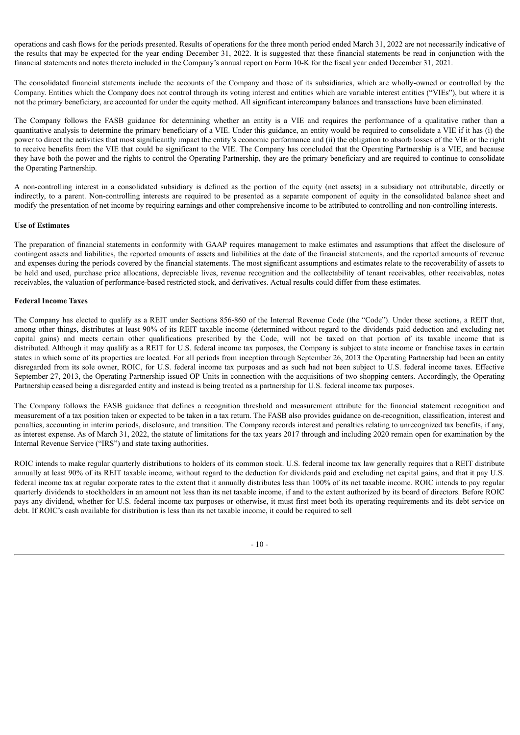operations and cash flows for the periods presented. Results of operations for the three month period ended March 31, 2022 are not necessarily indicative of the results that may be expected for the year ending December 31, 2022. It is suggested that these financial statements be read in conjunction with the financial statements and notes thereto included in the Company's annual report on Form 10-K for the fiscal year ended December 31, 2021.

The consolidated financial statements include the accounts of the Company and those of its subsidiaries, which are wholly-owned or controlled by the Company. Entities which the Company does not control through its voting interest and entities which are variable interest entities ("VIEs"), but where it is not the primary beneficiary, are accounted for under the equity method. All significant intercompany balances and transactions have been eliminated.

The Company follows the FASB guidance for determining whether an entity is a VIE and requires the performance of a qualitative rather than a quantitative analysis to determine the primary beneficiary of a VIE. Under this guidance, an entity would be required to consolidate a VIE if it has (i) the power to direct the activities that most significantly impact the entity's economic performance and (ii) the obligation to absorb losses of the VIE or the right to receive benefits from the VIE that could be significant to the VIE. The Company has concluded that the Operating Partnership is a VIE, and because they have both the power and the rights to control the Operating Partnership, they are the primary beneficiary and are required to continue to consolidate the Operating Partnership.

A non-controlling interest in a consolidated subsidiary is defined as the portion of the equity (net assets) in a subsidiary not attributable, directly or indirectly, to a parent. Non-controlling interests are required to be presented as a separate component of equity in the consolidated balance sheet and modify the presentation of net income by requiring earnings and other comprehensive income to be attributed to controlling and non-controlling interests.

## **Use of Estimates**

The preparation of financial statements in conformity with GAAP requires management to make estimates and assumptions that affect the disclosure of contingent assets and liabilities, the reported amounts of assets and liabilities at the date of the financial statements, and the reported amounts of revenue and expenses during the periods covered by the financial statements. The most significant assumptions and estimates relate to the recoverability of assets to be held and used, purchase price allocations, depreciable lives, revenue recognition and the collectability of tenant receivables, other receivables, notes receivables, the valuation of performance-based restricted stock, and derivatives. Actual results could differ from these estimates.

#### **Federal Income Taxes**

The Company has elected to qualify as a REIT under Sections 856-860 of the Internal Revenue Code (the "Code"). Under those sections, a REIT that, among other things, distributes at least 90% of its REIT taxable income (determined without regard to the dividends paid deduction and excluding net capital gains) and meets certain other qualifications prescribed by the Code, will not be taxed on that portion of its taxable income that is distributed. Although it may qualify as a REIT for U.S. federal income tax purposes, the Company is subject to state income or franchise taxes in certain states in which some of its properties are located. For all periods from inception through September 26, 2013 the Operating Partnership had been an entity disregarded from its sole owner, ROIC, for U.S. federal income tax purposes and as such had not been subject to U.S. federal income taxes. Effective September 27, 2013, the Operating Partnership issued OP Units in connection with the acquisitions of two shopping centers. Accordingly, the Operating Partnership ceased being a disregarded entity and instead is being treated as a partnership for U.S. federal income tax purposes.

The Company follows the FASB guidance that defines a recognition threshold and measurement attribute for the financial statement recognition and measurement of a tax position taken or expected to be taken in a tax return. The FASB also provides guidance on de-recognition, classification, interest and penalties, accounting in interim periods, disclosure, and transition. The Company records interest and penalties relating to unrecognized tax benefits, if any, as interest expense. As of March 31, 2022, the statute of limitations for the tax years 2017 through and including 2020 remain open for examination by the Internal Revenue Service ("IRS") and state taxing authorities.

ROIC intends to make regular quarterly distributions to holders of its common stock. U.S. federal income tax law generally requires that a REIT distribute annually at least 90% of its REIT taxable income, without regard to the deduction for dividends paid and excluding net capital gains, and that it pay U.S. federal income tax at regular corporate rates to the extent that it annually distributes less than 100% of its net taxable income. ROIC intends to pay regular quarterly dividends to stockholders in an amount not less than its net taxable income, if and to the extent authorized by its board of directors. Before ROIC pays any dividend, whether for U.S. federal income tax purposes or otherwise, it must first meet both its operating requirements and its debt service on debt. If ROIC's cash available for distribution is less than its net taxable income, it could be required to sell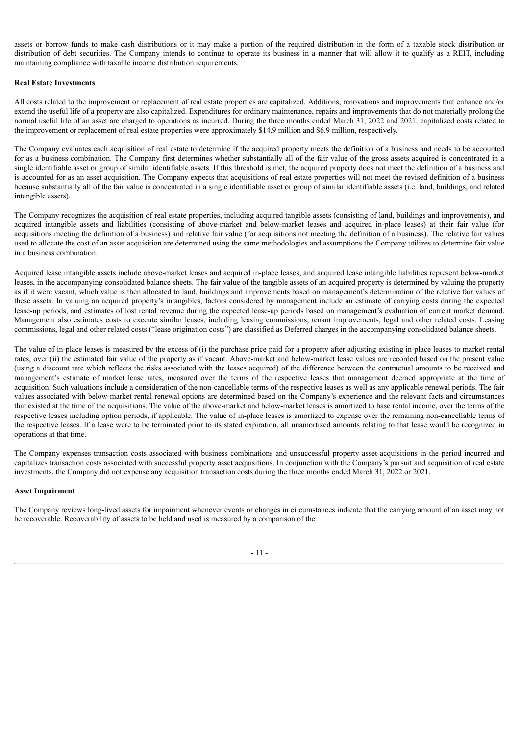assets or borrow funds to make cash distributions or it may make a portion of the required distribution in the form of a taxable stock distribution or distribution of debt securities. The Company intends to continue to operate its business in a manner that will allow it to qualify as a REIT, including maintaining compliance with taxable income distribution requirements.

# **Real Estate Investments**

All costs related to the improvement or replacement of real estate properties are capitalized. Additions, renovations and improvements that enhance and/or extend the useful life of a property are also capitalized. Expenditures for ordinary maintenance, repairs and improvements that do not materially prolong the normal useful life of an asset are charged to operations as incurred. During the three months ended March 31, 2022 and 2021, capitalized costs related to the improvement or replacement of real estate properties were approximately \$14.9 million and \$6.9 million, respectively.

The Company evaluates each acquisition of real estate to determine if the acquired property meets the definition of a business and needs to be accounted for as a business combination. The Company first determines whether substantially all of the fair value of the gross assets acquired is concentrated in a single identifiable asset or group of similar identifiable assets. If this threshold is met, the acquired property does not meet the definition of a business and is accounted for as an asset acquisition. The Company expects that acquisitions of real estate properties will not meet the revised definition of a business because substantially all of the fair value is concentrated in a single identifiable asset or group of similar identifiable assets (i.e. land, buildings, and related intangible assets).

The Company recognizes the acquisition of real estate properties, including acquired tangible assets (consisting of land, buildings and improvements), and acquired intangible assets and liabilities (consisting of above-market and below-market leases and acquired in-place leases) at their fair value (for acquisitions meeting the definition of a business) and relative fair value (for acquisitions not meeting the definition of a business). The relative fair values used to allocate the cost of an asset acquisition are determined using the same methodologies and assumptions the Company utilizes to determine fair value in a business combination.

Acquired lease intangible assets include above-market leases and acquired in-place leases, and acquired lease intangible liabilities represent below-market leases, in the accompanying consolidated balance sheets. The fair value of the tangible assets of an acquired property is determined by valuing the property as if it were vacant, which value is then allocated to land, buildings and improvements based on management's determination of the relative fair values of these assets. In valuing an acquired property's intangibles, factors considered by management include an estimate of carrying costs during the expected lease-up periods, and estimates of lost rental revenue during the expected lease-up periods based on management's evaluation of current market demand. Management also estimates costs to execute similar leases, including leasing commissions, tenant improvements, legal and other related costs. Leasing commissions, legal and other related costs ("lease origination costs") are classified as Deferred charges in the accompanying consolidated balance sheets.

The value of in-place leases is measured by the excess of (i) the purchase price paid for a property after adjusting existing in-place leases to market rental rates, over (ii) the estimated fair value of the property as if vacant. Above-market and below-market lease values are recorded based on the present value (using a discount rate which reflects the risks associated with the leases acquired) of the difference between the contractual amounts to be received and management's estimate of market lease rates, measured over the terms of the respective leases that management deemed appropriate at the time of acquisition. Such valuations include a consideration of the non-cancellable terms of the respective leases as well as any applicable renewal periods. The fair values associated with below-market rental renewal options are determined based on the Company's experience and the relevant facts and circumstances that existed at the time of the acquisitions. The value of the above-market and below-market leases is amortized to base rental income, over the terms of the respective leases including option periods, if applicable. The value of in-place leases is amortized to expense over the remaining non-cancellable terms of the respective leases. If a lease were to be terminated prior to its stated expiration, all unamortized amounts relating to that lease would be recognized in operations at that time.

The Company expenses transaction costs associated with business combinations and unsuccessful property asset acquisitions in the period incurred and capitalizes transaction costs associated with successful property asset acquisitions. In conjunction with the Company's pursuit and acquisition of real estate investments, the Company did not expense any acquisition transaction costs during the three months ended March 31, 2022 or 2021.

# **Asset Impairment**

The Company reviews long-lived assets for impairment whenever events or changes in circumstances indicate that the carrying amount of an asset may not be recoverable. Recoverability of assets to be held and used is measured by a comparison of the

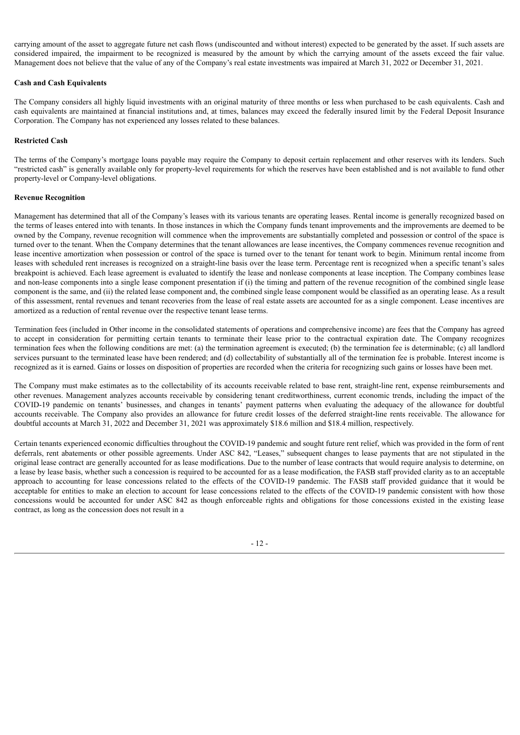carrying amount of the asset to aggregate future net cash flows (undiscounted and without interest) expected to be generated by the asset. If such assets are considered impaired, the impairment to be recognized is measured by the amount by which the carrying amount of the assets exceed the fair value. Management does not believe that the value of any of the Company's real estate investments was impaired at March 31, 2022 or December 31, 2021.

# **Cash and Cash Equivalents**

The Company considers all highly liquid investments with an original maturity of three months or less when purchased to be cash equivalents. Cash and cash equivalents are maintained at financial institutions and, at times, balances may exceed the federally insured limit by the Federal Deposit Insurance Corporation. The Company has not experienced any losses related to these balances.

# **Restricted Cash**

The terms of the Company's mortgage loans payable may require the Company to deposit certain replacement and other reserves with its lenders. Such "restricted cash" is generally available only for property-level requirements for which the reserves have been established and is not available to fund other property-level or Company-level obligations.

## **Revenue Recognition**

Management has determined that all of the Company's leases with its various tenants are operating leases. Rental income is generally recognized based on the terms of leases entered into with tenants. In those instances in which the Company funds tenant improvements and the improvements are deemed to be owned by the Company, revenue recognition will commence when the improvements are substantially completed and possession or control of the space is turned over to the tenant. When the Company determines that the tenant allowances are lease incentives, the Company commences revenue recognition and lease incentive amortization when possession or control of the space is turned over to the tenant for tenant work to begin. Minimum rental income from leases with scheduled rent increases is recognized on a straight-line basis over the lease term. Percentage rent is recognized when a specific tenant's sales breakpoint is achieved. Each lease agreement is evaluated to identify the lease and nonlease components at lease inception. The Company combines lease and non-lease components into a single lease component presentation if (i) the timing and pattern of the revenue recognition of the combined single lease component is the same, and (ii) the related lease component and, the combined single lease component would be classified as an operating lease. As a result of this assessment, rental revenues and tenant recoveries from the lease of real estate assets are accounted for as a single component. Lease incentives are amortized as a reduction of rental revenue over the respective tenant lease terms.

Termination fees (included in Other income in the consolidated statements of operations and comprehensive income) are fees that the Company has agreed to accept in consideration for permitting certain tenants to terminate their lease prior to the contractual expiration date. The Company recognizes termination fees when the following conditions are met: (a) the termination agreement is executed; (b) the termination fee is determinable; (c) all landlord services pursuant to the terminated lease have been rendered; and (d) collectability of substantially all of the termination fee is probable. Interest income is recognized as it is earned. Gains or losses on disposition of properties are recorded when the criteria for recognizing such gains or losses have been met.

The Company must make estimates as to the collectability of its accounts receivable related to base rent, straight-line rent, expense reimbursements and other revenues. Management analyzes accounts receivable by considering tenant creditworthiness, current economic trends, including the impact of the COVID-19 pandemic on tenants' businesses, and changes in tenants' payment patterns when evaluating the adequacy of the allowance for doubtful accounts receivable. The Company also provides an allowance for future credit losses of the deferred straight-line rents receivable. The allowance for doubtful accounts at March 31, 2022 and December 31, 2021 was approximately \$18.6 million and \$18.4 million, respectively.

Certain tenants experienced economic difficulties throughout the COVID-19 pandemic and sought future rent relief, which was provided in the form of rent deferrals, rent abatements or other possible agreements. Under ASC 842, "Leases," subsequent changes to lease payments that are not stipulated in the original lease contract are generally accounted for as lease modifications. Due to the number of lease contracts that would require analysis to determine, on a lease by lease basis, whether such a concession is required to be accounted for as a lease modification, the FASB staff provided clarity as to an acceptable approach to accounting for lease concessions related to the effects of the COVID-19 pandemic. The FASB staff provided guidance that it would be acceptable for entities to make an election to account for lease concessions related to the effects of the COVID-19 pandemic consistent with how those concessions would be accounted for under ASC 842 as though enforceable rights and obligations for those concessions existed in the existing lease contract, as long as the concession does not result in a

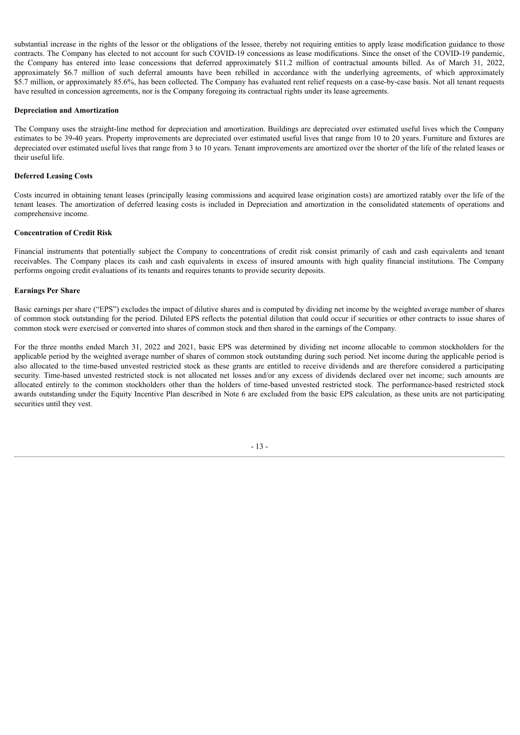substantial increase in the rights of the lessor or the obligations of the lessee, thereby not requiring entities to apply lease modification guidance to those contracts. The Company has elected to not account for such COVID-19 concessions as lease modifications. Since the onset of the COVID-19 pandemic, the Company has entered into lease concessions that deferred approximately \$11.2 million of contractual amounts billed. As of March 31, 2022, approximately \$6.7 million of such deferral amounts have been rebilled in accordance with the underlying agreements, of which approximately \$5.7 million, or approximately 85.6%, has been collected. The Company has evaluated rent relief requests on a case-by-case basis. Not all tenant requests have resulted in concession agreements, nor is the Company foregoing its contractual rights under its lease agreements.

#### **Depreciation and Amortization**

The Company uses the straight-line method for depreciation and amortization. Buildings are depreciated over estimated useful lives which the Company estimates to be 39-40 years. Property improvements are depreciated over estimated useful lives that range from 10 to 20 years. Furniture and fixtures are depreciated over estimated useful lives that range from 3 to 10 years. Tenant improvements are amortized over the shorter of the life of the related leases or their useful life.

#### **Deferred Leasing Costs**

Costs incurred in obtaining tenant leases (principally leasing commissions and acquired lease origination costs) are amortized ratably over the life of the tenant leases. The amortization of deferred leasing costs is included in Depreciation and amortization in the consolidated statements of operations and comprehensive income.

#### **Concentration of Credit Risk**

Financial instruments that potentially subject the Company to concentrations of credit risk consist primarily of cash and cash equivalents and tenant receivables. The Company places its cash and cash equivalents in excess of insured amounts with high quality financial institutions. The Company performs ongoing credit evaluations of its tenants and requires tenants to provide security deposits.

#### **Earnings Per Share**

Basic earnings per share ("EPS") excludes the impact of dilutive shares and is computed by dividing net income by the weighted average number of shares of common stock outstanding for the period. Diluted EPS reflects the potential dilution that could occur if securities or other contracts to issue shares of common stock were exercised or converted into shares of common stock and then shared in the earnings of the Company.

For the three months ended March 31, 2022 and 2021, basic EPS was determined by dividing net income allocable to common stockholders for the applicable period by the weighted average number of shares of common stock outstanding during such period. Net income during the applicable period is also allocated to the time-based unvested restricted stock as these grants are entitled to receive dividends and are therefore considered a participating security. Time-based unvested restricted stock is not allocated net losses and/or any excess of dividends declared over net income; such amounts are allocated entirely to the common stockholders other than the holders of time-based unvested restricted stock. The performance-based restricted stock awards outstanding under the Equity Incentive Plan described in Note 6 are excluded from the basic EPS calculation, as these units are not participating securities until they vest.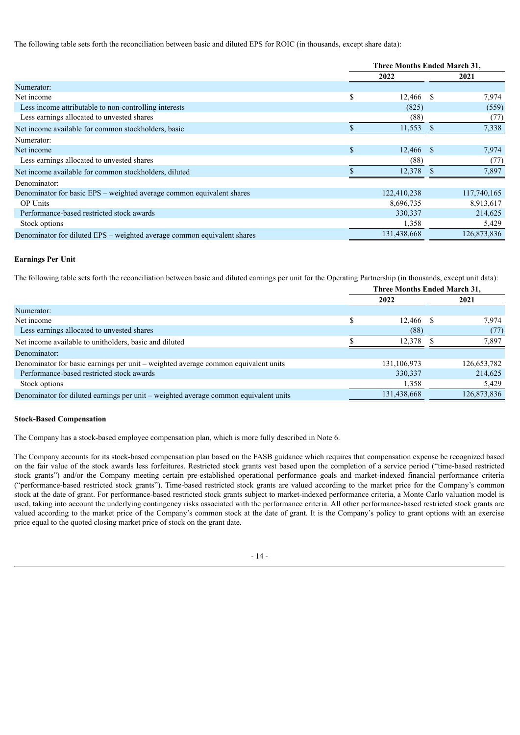The following table sets forth the reconciliation between basic and diluted EPS for ROIC (in thousands, except share data):

|                                                                         |      | <b>Three Months Ended March 31,</b> |  |             |  |
|-------------------------------------------------------------------------|------|-------------------------------------|--|-------------|--|
|                                                                         | 2022 |                                     |  | 2021        |  |
| Numerator:                                                              |      |                                     |  |             |  |
| Net income                                                              | \$   | $12,466$ \$                         |  | 7,974       |  |
| Less income attributable to non-controlling interests                   |      | (825)                               |  | (559)       |  |
| Less earnings allocated to unvested shares                              |      | (88)                                |  | (77)        |  |
| Net income available for common stockholders, basic                     |      | 11,553                              |  | 7,338       |  |
| Numerator:                                                              |      |                                     |  |             |  |
| Net income                                                              | \$   | $12,466$ \$                         |  | 7,974       |  |
| Less earnings allocated to unvested shares                              |      | (88)                                |  | (77)        |  |
| Net income available for common stockholders, diluted                   |      | 12,378                              |  | 7,897       |  |
| Denominator:                                                            |      |                                     |  |             |  |
| Denominator for basic EPS – weighted average common equivalent shares   |      | 122,410,238                         |  | 117,740,165 |  |
| <b>OP Units</b>                                                         |      | 8,696,735                           |  | 8,913,617   |  |
| Performance-based restricted stock awards                               |      | 330,337                             |  | 214,625     |  |
| Stock options                                                           |      | 1,358                               |  | 5,429       |  |
| Denominator for diluted EPS – weighted average common equivalent shares |      | 131,438,668                         |  | 126,873,836 |  |

## **Earnings Per Unit**

The following table sets forth the reconciliation between basic and diluted earnings per unit for the Operating Partnership (in thousands, except unit data):

|                                                                                      |      | Three Months Ended March 31, |  |             |  |
|--------------------------------------------------------------------------------------|------|------------------------------|--|-------------|--|
|                                                                                      | 2022 |                              |  | 2021        |  |
| Numerator:                                                                           |      |                              |  |             |  |
| Net income                                                                           |      | 12,466 \$                    |  | 7,974       |  |
| Less earnings allocated to unvested shares                                           |      | (88)                         |  | (77)        |  |
| Net income available to unitholders, basic and diluted                               |      | 12.378                       |  | 7,897       |  |
| Denominator:                                                                         |      |                              |  |             |  |
| Denominator for basic earnings per unit – weighted average common equivalent units   |      | 131,106,973                  |  | 126,653,782 |  |
| Performance-based restricted stock awards                                            |      | 330,337                      |  | 214,625     |  |
| Stock options                                                                        |      | 1,358                        |  | 5,429       |  |
| Denominator for diluted earnings per unit - weighted average common equivalent units |      | 131,438,668                  |  | 126,873,836 |  |

# **Stock-Based Compensation**

The Company has a stock-based employee compensation plan, which is more fully described in Note 6.

The Company accounts for its stock-based compensation plan based on the FASB guidance which requires that compensation expense be recognized based on the fair value of the stock awards less forfeitures. Restricted stock grants vest based upon the completion of a service period ("time-based restricted stock grants") and/or the Company meeting certain pre-established operational performance goals and market-indexed financial performance criteria ("performance-based restricted stock grants"). Time-based restricted stock grants are valued according to the market price for the Company's common stock at the date of grant. For performance-based restricted stock grants subject to market-indexed performance criteria, a Monte Carlo valuation model is used, taking into account the underlying contingency risks associated with the performance criteria. All other performance-based restricted stock grants are valued according to the market price of the Company's common stock at the date of grant. It is the Company's policy to grant options with an exercise price equal to the quoted closing market price of stock on the grant date.

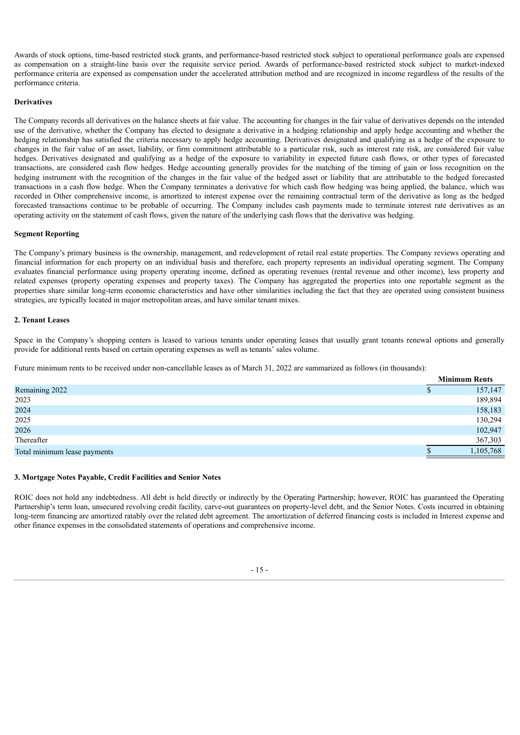Awards of stock options, time-based restricted stock grants, and performance-based restricted stock subject to operational performance goals are expensed as compensation on a straight-line basis over the requisite service period. Awards of performance-based restricted stock subject to market-indexed performance criteria are expensed as compensation under the accelerated attribution method and are recognized in income regardless of the results of the performance criteria.

#### **Derivatives**

The Company records all derivatives on the balance sheets at fair value. The accounting for changes in the fair value of derivatives depends on the intended use of the derivative, whether the Company has elected to designate a derivative in a hedging relationship and apply hedge accounting and whether the hedging relationship has satisfied the criteria necessary to apply hedge accounting. Derivatives designated and qualifying as a hedge of the exposure to changes in the fair value of an asset, liability, or firm commitment attributable to a particular risk, such as interest rate risk, are considered fair value hedges. Derivatives designated and qualifying as a hedge of the exposure to variability in expected future cash flows, or other types of forecasted transactions, are considered cash flow hedges. Hedge accounting generally provides for the matching of the timing of gain or loss recognition on the hedging instrument with the recognition of the changes in the fair value of the hedged asset or liability that are attributable to the hedged forecasted transactions in a cash flow hedge. When the Company terminates a derivative for which cash flow hedging was being applied, the balance, which was recorded in Other comprehensive income, is amortized to interest expense over the remaining contractual term of the derivative as long as the hedged forecasted transactions continue to be probable of occurring. The Company includes cash payments made to terminate interest rate derivatives as an operating activity on the statement of cash flows, given the nature of the underlying cash flows that the derivative was hedging.

#### **Segment Reporting**

The Company's primary business is the ownership, management, and redevelopment of retail real estate properties. The Company reviews operating and financial information for each property on an individual basis and therefore, each property represents an individual operating segment. The Company evaluates financial performance using property operating income, defined as operating revenues (rental revenue and other income), less property and related expenses (property operating expenses and property taxes). The Company has aggregated the properties into one reportable segment as the properties share similar long-term economic characteristics and have other similarities including the fact that they are operated using consistent business strategies, are typically located in major metropolitan areas, and have similar tenant mixes.

#### **2. Tenant Leases**

Space in the Company's shopping centers is leased to various tenants under operating leases that usually grant tenants renewal options and generally provide for additional rents based on certain operating expenses as well as tenants' sales volume.

Future minimum rents to be received under non-cancellable leases as of March 31, 2022 are summarized as follows (in thousands):

|                              | <b>Minimum Rents</b> |
|------------------------------|----------------------|
| Remaining 2022               | 157,147              |
| 2023                         | 189,894              |
| 2024                         | 158,183              |
| 2025                         | 130,294              |
| 2026                         | 102,947              |
| Thereafter                   | 367,303              |
| Total minimum lease payments | 1,105,768            |

#### **3. Mortgage Notes Payable, Credit Facilities and Senior Notes**

ROIC does not hold any indebtedness. All debt is held directly or indirectly by the Operating Partnership; however, ROIC has guaranteed the Operating Partnership's term loan, unsecured revolving credit facility, carve-out guarantees on property-level debt, and the Senior Notes. Costs incurred in obtaining long-term financing are amortized ratably over the related debt agreement. The amortization of deferred financing costs is included in Interest expense and other finance expenses in the consolidated statements of operations and comprehensive income.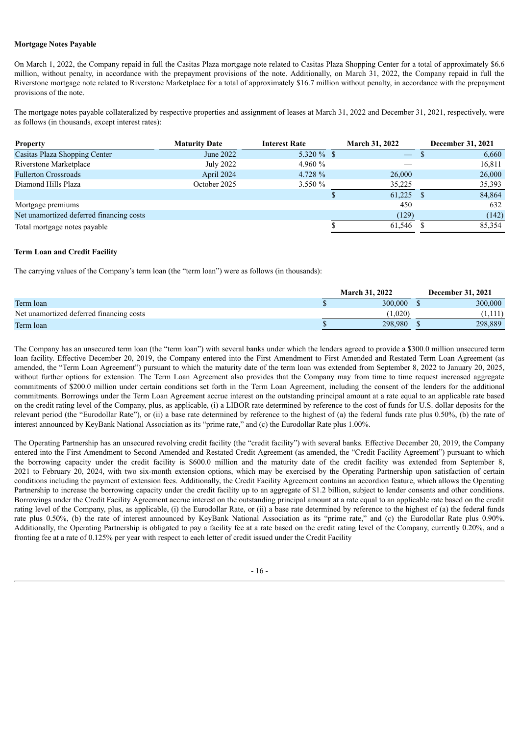## **Mortgage Notes Payable**

On March 1, 2022, the Company repaid in full the Casitas Plaza mortgage note related to Casitas Plaza Shopping Center for a total of approximately \$6.6 million, without penalty, in accordance with the prepayment provisions of the note. Additionally, on March 31, 2022, the Company repaid in full the Riverstone mortgage note related to Riverstone Marketplace for a total of approximately \$16.7 million without penalty, in accordance with the prepayment provisions of the note.

The mortgage notes payable collateralized by respective properties and assignment of leases at March 31, 2022 and December 31, 2021, respectively, were as follows (in thousands, except interest rates):

| <b>Property</b>                          | <b>Maturity Date</b> | <b>Interest Rate</b> | <b>March 31, 2022</b> |  | December 31, 2021 |
|------------------------------------------|----------------------|----------------------|-----------------------|--|-------------------|
| Casitas Plaza Shopping Center            | June 2022            | 5.320 $\%$ \$        |                       |  | 6,660             |
| Riverstone Marketplace                   | July 2022            | 4.960 $%$            |                       |  | 16,811            |
| <b>Fullerton Crossroads</b>              | April 2024           | 4.728 $%$            | 26,000                |  | 26,000            |
| Diamond Hills Plaza                      | October 2025         | $3.550\%$            | 35,225                |  | 35,393            |
|                                          |                      |                      | 61,225                |  | 84,864            |
| Mortgage premiums                        |                      |                      | 450                   |  | 632               |
| Net unamortized deferred financing costs |                      |                      | (129)                 |  | (142)             |
| Total mortgage notes payable             |                      |                      | 61,546                |  | 85,354            |

#### **Term Loan and Credit Facility**

The carrying values of the Company's term loan (the "term loan") were as follows (in thousands):

|                                          | <b>March 31, 2022</b> |         |  | <b>December 31, 2021</b> |
|------------------------------------------|-----------------------|---------|--|--------------------------|
| Term loan                                |                       | 300,000 |  | 300,000                  |
| Net unamortized deferred financing costs |                       | (1,020) |  | (1,111)                  |
| Term loan                                |                       | 298.980 |  | 298,889                  |

The Company has an unsecured term loan (the "term loan") with several banks under which the lenders agreed to provide a \$300.0 million unsecured term loan facility. Effective December 20, 2019, the Company entered into the First Amendment to First Amended and Restated Term Loan Agreement (as amended, the "Term Loan Agreement") pursuant to which the maturity date of the term loan was extended from September 8, 2022 to January 20, 2025, without further options for extension. The Term Loan Agreement also provides that the Company may from time to time request increased aggregate commitments of \$200.0 million under certain conditions set forth in the Term Loan Agreement, including the consent of the lenders for the additional commitments. Borrowings under the Term Loan Agreement accrue interest on the outstanding principal amount at a rate equal to an applicable rate based on the credit rating level of the Company, plus, as applicable, (i) a LIBOR rate determined by reference to the cost of funds for U.S. dollar deposits for the relevant period (the "Eurodollar Rate"), or (ii) a base rate determined by reference to the highest of (a) the federal funds rate plus 0.50%, (b) the rate of interest announced by KeyBank National Association as its "prime rate," and (c) the Eurodollar Rate plus 1.00%.

The Operating Partnership has an unsecured revolving credit facility (the "credit facility") with several banks. Effective December 20, 2019, the Company entered into the First Amendment to Second Amended and Restated Credit Agreement (as amended, the "Credit Facility Agreement") pursuant to which the borrowing capacity under the credit facility is \$600.0 million and the maturity date of the credit facility was extended from September 8, 2021 to February 20, 2024, with two six-month extension options, which may be exercised by the Operating Partnership upon satisfaction of certain conditions including the payment of extension fees. Additionally, the Credit Facility Agreement contains an accordion feature, which allows the Operating Partnership to increase the borrowing capacity under the credit facility up to an aggregate of \$1.2 billion, subject to lender consents and other conditions. Borrowings under the Credit Facility Agreement accrue interest on the outstanding principal amount at a rate equal to an applicable rate based on the credit rating level of the Company, plus, as applicable, (i) the Eurodollar Rate, or (ii) a base rate determined by reference to the highest of (a) the federal funds rate plus 0.50%, (b) the rate of interest announced by KeyBank National Association as its "prime rate," and (c) the Eurodollar Rate plus 0.90%. Additionally, the Operating Partnership is obligated to pay a facility fee at a rate based on the credit rating level of the Company, currently 0.20%, and a fronting fee at a rate of 0.125% per year with respect to each letter of credit issued under the Credit Facility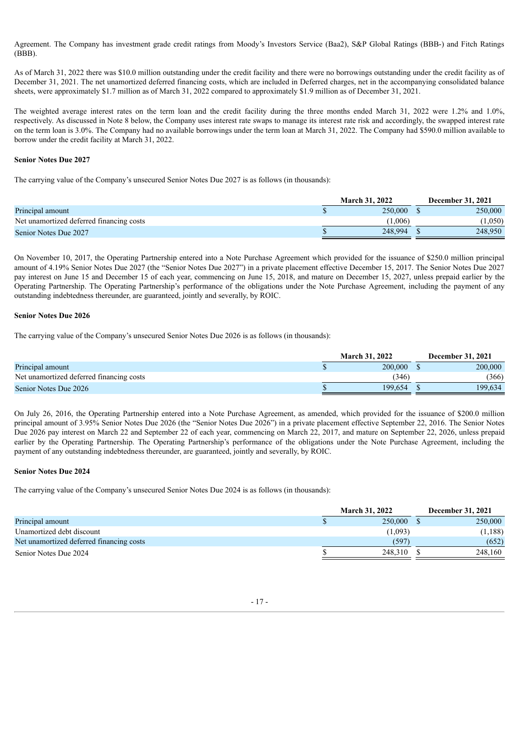Agreement. The Company has investment grade credit ratings from Moody's Investors Service (Baa2), S&P Global Ratings (BBB-) and Fitch Ratings (BBB).

As of March 31, 2022 there was \$10.0 million outstanding under the credit facility and there were no borrowings outstanding under the credit facility as of December 31, 2021. The net unamortized deferred financing costs, which are included in Deferred charges, net in the accompanying consolidated balance sheets, were approximately \$1.7 million as of March 31, 2022 compared to approximately \$1.9 million as of December 31, 2021.

The weighted average interest rates on the term loan and the credit facility during the three months ended March 31, 2022 were 1.2% and 1.0%, respectively. As discussed in Note 8 below, the Company uses interest rate swaps to manage its interest rate risk and accordingly, the swapped interest rate on the term loan is 3.0%. The Company had no available borrowings under the term loan at March 31, 2022. The Company had \$590.0 million available to borrow under the credit facility at March 31, 2022.

# **Senior Notes Due 2027**

The carrying value of the Company's unsecured Senior Notes Due 2027 is as follows (in thousands):

|                                          | <b>March 31, 2022</b> |         |  | <b>December 31, 2021</b> |
|------------------------------------------|-----------------------|---------|--|--------------------------|
| Principal amount                         |                       | 250,000 |  | 250,000                  |
| Net unamortized deferred financing costs |                       | (1.006) |  | (1,050)                  |
| Senior Notes Due 2027                    |                       | 248.994 |  | 248.950                  |

On November 10, 2017, the Operating Partnership entered into a Note Purchase Agreement which provided for the issuance of \$250.0 million principal amount of 4.19% Senior Notes Due 2027 (the "Senior Notes Due 2027") in a private placement effective December 15, 2017. The Senior Notes Due 2027 pay interest on June 15 and December 15 of each year, commencing on June 15, 2018, and mature on December 15, 2027, unless prepaid earlier by the Operating Partnership. The Operating Partnership's performance of the obligations under the Note Purchase Agreement, including the payment of any outstanding indebtedness thereunder, are guaranteed, jointly and severally, by ROIC.

#### **Senior Notes Due 2026**

The carrying value of the Company's unsecured Senior Notes Due 2026 is as follows (in thousands):

|                                          | <b>March 31, 2022</b> |         |  | <b>December 31, 2021</b> |
|------------------------------------------|-----------------------|---------|--|--------------------------|
| Principal amount                         |                       | 200.000 |  | 200,000                  |
| Net unamortized deferred financing costs |                       | (346)   |  | (366)                    |
| Senior Notes Due 2026                    |                       | 199.654 |  | 199.634                  |

On July 26, 2016, the Operating Partnership entered into a Note Purchase Agreement, as amended, which provided for the issuance of \$200.0 million principal amount of 3.95% Senior Notes Due 2026 (the "Senior Notes Due 2026") in a private placement effective September 22, 2016. The Senior Notes Due 2026 pay interest on March 22 and September 22 of each year, commencing on March 22, 2017, and mature on September 22, 2026, unless prepaid earlier by the Operating Partnership. The Operating Partnership's performance of the obligations under the Note Purchase Agreement, including the payment of any outstanding indebtedness thereunder, are guaranteed, jointly and severally, by ROIC.

## **Senior Notes Due 2024**

The carrying value of the Company's unsecured Senior Notes Due 2024 is as follows (in thousands):

|                                          | <b>March 31, 2022</b> |         |  | <b>December 31, 2021</b> |
|------------------------------------------|-----------------------|---------|--|--------------------------|
| Principal amount                         |                       | 250,000 |  | 250,000                  |
| Unamortized debt discount                |                       | (1,093) |  | (1, 188)                 |
| Net unamortized deferred financing costs |                       | (597)   |  | (652)                    |
| Senior Notes Due 2024                    |                       | 248.310 |  | 248,160                  |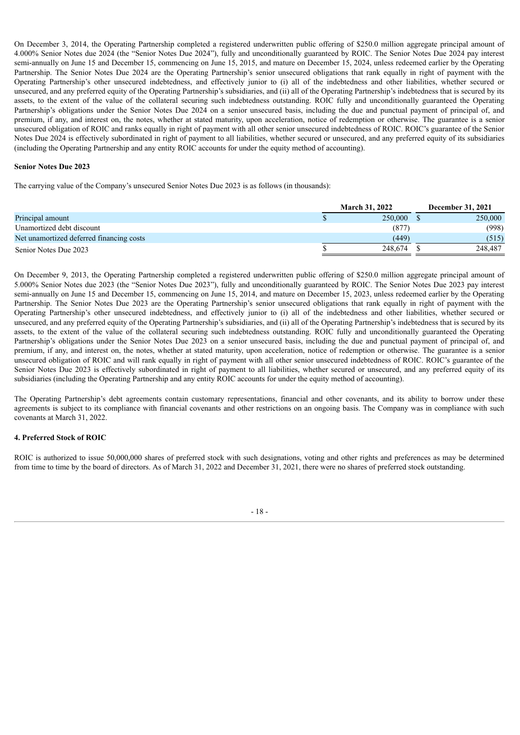On December 3, 2014, the Operating Partnership completed a registered underwritten public offering of \$250.0 million aggregate principal amount of 4.000% Senior Notes due 2024 (the "Senior Notes Due 2024"), fully and unconditionally guaranteed by ROIC. The Senior Notes Due 2024 pay interest semi-annually on June 15 and December 15, commencing on June 15, 2015, and mature on December 15, 2024, unless redeemed earlier by the Operating Partnership. The Senior Notes Due 2024 are the Operating Partnership's senior unsecured obligations that rank equally in right of payment with the Operating Partnership's other unsecured indebtedness, and effectively junior to (i) all of the indebtedness and other liabilities, whether secured or unsecured, and any preferred equity of the Operating Partnership's subsidiaries, and (ii) all of the Operating Partnership's indebtedness that is secured by its assets, to the extent of the value of the collateral securing such indebtedness outstanding. ROIC fully and unconditionally guaranteed the Operating Partnership's obligations under the Senior Notes Due 2024 on a senior unsecured basis, including the due and punctual payment of principal of, and premium, if any, and interest on, the notes, whether at stated maturity, upon acceleration, notice of redemption or otherwise. The guarantee is a senior unsecured obligation of ROIC and ranks equally in right of payment with all other senior unsecured indebtedness of ROIC. ROIC's guarantee of the Senior Notes Due 2024 is effectively subordinated in right of payment to all liabilities, whether secured or unsecured, and any preferred equity of its subsidiaries (including the Operating Partnership and any entity ROIC accounts for under the equity method of accounting).

#### **Senior Notes Due 2023**

The carrying value of the Company's unsecured Senior Notes Due 2023 is as follows (in thousands):

|                                          | <b>March 31, 2022</b> |         |  | <b>December 31, 2021</b> |
|------------------------------------------|-----------------------|---------|--|--------------------------|
| Principal amount                         |                       | 250,000 |  | 250,000                  |
| Unamortized debt discount                |                       | (877)   |  | (998)                    |
| Net unamortized deferred financing costs |                       | (449)   |  | (515)                    |
| Senior Notes Due 2023                    |                       | 248,674 |  | 248,487                  |

On December 9, 2013, the Operating Partnership completed a registered underwritten public offering of \$250.0 million aggregate principal amount of 5.000% Senior Notes due 2023 (the "Senior Notes Due 2023"), fully and unconditionally guaranteed by ROIC. The Senior Notes Due 2023 pay interest semi-annually on June 15 and December 15, commencing on June 15, 2014, and mature on December 15, 2023, unless redeemed earlier by the Operating Partnership. The Senior Notes Due 2023 are the Operating Partnership's senior unsecured obligations that rank equally in right of payment with the Operating Partnership's other unsecured indebtedness, and effectively junior to (i) all of the indebtedness and other liabilities, whether secured or unsecured, and any preferred equity of the Operating Partnership's subsidiaries, and (ii) all of the Operating Partnership's indebtedness that is secured by its assets, to the extent of the value of the collateral securing such indebtedness outstanding. ROIC fully and unconditionally guaranteed the Operating Partnership's obligations under the Senior Notes Due 2023 on a senior unsecured basis, including the due and punctual payment of principal of, and premium, if any, and interest on, the notes, whether at stated maturity, upon acceleration, notice of redemption or otherwise. The guarantee is a senior unsecured obligation of ROIC and will rank equally in right of payment with all other senior unsecured indebtedness of ROIC. ROIC's guarantee of the Senior Notes Due 2023 is effectively subordinated in right of payment to all liabilities, whether secured or unsecured, and any preferred equity of its subsidiaries (including the Operating Partnership and any entity ROIC accounts for under the equity method of accounting).

The Operating Partnership's debt agreements contain customary representations, financial and other covenants, and its ability to borrow under these agreements is subject to its compliance with financial covenants and other restrictions on an ongoing basis. The Company was in compliance with such covenants at March 31, 2022.

# **4. Preferred Stock of ROIC**

ROIC is authorized to issue 50,000,000 shares of preferred stock with such designations, voting and other rights and preferences as may be determined from time to time by the board of directors. As of March 31, 2022 and December 31, 2021, there were no shares of preferred stock outstanding.

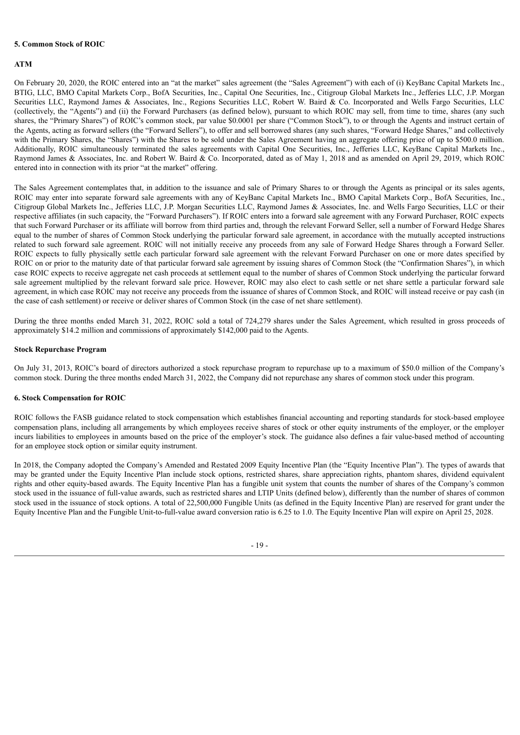## **5. Common Stock of ROIC**

## **ATM**

On February 20, 2020, the ROIC entered into an "at the market" sales agreement (the "Sales Agreement") with each of (i) KeyBanc Capital Markets Inc., BTIG, LLC, BMO Capital Markets Corp., BofA Securities, Inc., Capital One Securities, Inc., Citigroup Global Markets Inc., Jefferies LLC, J.P. Morgan Securities LLC, Raymond James & Associates, Inc., Regions Securities LLC, Robert W. Baird & Co. Incorporated and Wells Fargo Securities, LLC (collectively, the "Agents") and (ii) the Forward Purchasers (as defined below), pursuant to which ROIC may sell, from time to time, shares (any such shares, the "Primary Shares") of ROIC's common stock, par value \$0.0001 per share ("Common Stock"), to or through the Agents and instruct certain of the Agents, acting as forward sellers (the "Forward Sellers"), to offer and sell borrowed shares (any such shares, "Forward Hedge Shares," and collectively with the Primary Shares, the "Shares") with the Shares to be sold under the Sales Agreement having an aggregate offering price of up to \$500.0 million. Additionally, ROIC simultaneously terminated the sales agreements with Capital One Securities, Inc., Jefferies LLC, KeyBanc Capital Markets Inc., Raymond James & Associates, Inc. and Robert W. Baird & Co. Incorporated, dated as of May 1, 2018 and as amended on April 29, 2019, which ROIC entered into in connection with its prior "at the market" offering.

The Sales Agreement contemplates that, in addition to the issuance and sale of Primary Shares to or through the Agents as principal or its sales agents, ROIC may enter into separate forward sale agreements with any of KeyBanc Capital Markets Inc., BMO Capital Markets Corp., BofA Securities, Inc., Citigroup Global Markets Inc., Jefferies LLC, J.P. Morgan Securities LLC, Raymond James & Associates, Inc. and Wells Fargo Securities, LLC or their respective affiliates (in such capacity, the "Forward Purchasers"). If ROIC enters into a forward sale agreement with any Forward Purchaser, ROIC expects that such Forward Purchaser or its affiliate will borrow from third parties and, through the relevant Forward Seller, sell a number of Forward Hedge Shares equal to the number of shares of Common Stock underlying the particular forward sale agreement, in accordance with the mutually accepted instructions related to such forward sale agreement. ROIC will not initially receive any proceeds from any sale of Forward Hedge Shares through a Forward Seller. ROIC expects to fully physically settle each particular forward sale agreement with the relevant Forward Purchaser on one or more dates specified by ROIC on or prior to the maturity date of that particular forward sale agreement by issuing shares of Common Stock (the "Confirmation Shares"), in which case ROIC expects to receive aggregate net cash proceeds at settlement equal to the number of shares of Common Stock underlying the particular forward sale agreement multiplied by the relevant forward sale price. However, ROIC may also elect to cash settle or net share settle a particular forward sale agreement, in which case ROIC may not receive any proceeds from the issuance of shares of Common Stock, and ROIC will instead receive or pay cash (in the case of cash settlement) or receive or deliver shares of Common Stock (in the case of net share settlement).

During the three months ended March 31, 2022, ROIC sold a total of 724,279 shares under the Sales Agreement, which resulted in gross proceeds of approximately \$14.2 million and commissions of approximately \$142,000 paid to the Agents.

#### **Stock Repurchase Program**

On July 31, 2013, ROIC's board of directors authorized a stock repurchase program to repurchase up to a maximum of \$50.0 million of the Company's common stock. During the three months ended March 31, 2022, the Company did not repurchase any shares of common stock under this program.

#### **6. Stock Compensation for ROIC**

ROIC follows the FASB guidance related to stock compensation which establishes financial accounting and reporting standards for stock-based employee compensation plans, including all arrangements by which employees receive shares of stock or other equity instruments of the employer, or the employer incurs liabilities to employees in amounts based on the price of the employer's stock. The guidance also defines a fair value-based method of accounting for an employee stock option or similar equity instrument.

In 2018, the Company adopted the Company's Amended and Restated 2009 Equity Incentive Plan (the "Equity Incentive Plan"). The types of awards that may be granted under the Equity Incentive Plan include stock options, restricted shares, share appreciation rights, phantom shares, dividend equivalent rights and other equity-based awards. The Equity Incentive Plan has a fungible unit system that counts the number of shares of the Company's common stock used in the issuance of full-value awards, such as restricted shares and LTIP Units (defined below), differently than the number of shares of common stock used in the issuance of stock options. A total of 22,500,000 Fungible Units (as defined in the Equity Incentive Plan) are reserved for grant under the Equity Incentive Plan and the Fungible Unit-to-full-value award conversion ratio is 6.25 to 1.0. The Equity Incentive Plan will expire on April 25, 2028.

#### - 19 -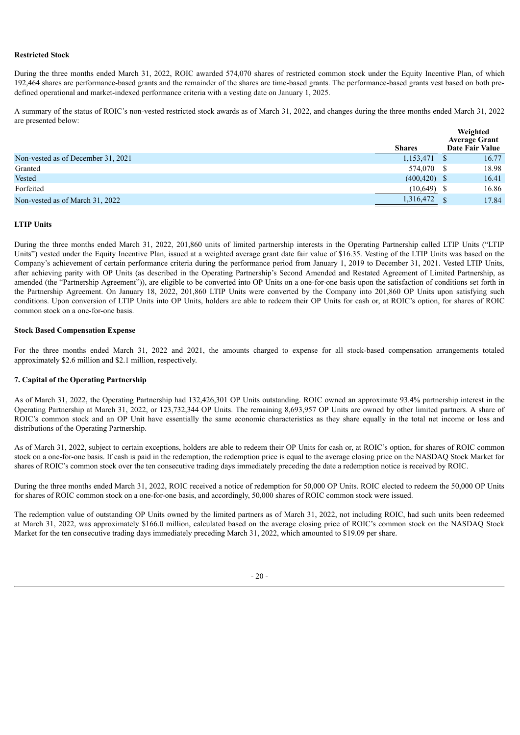# **Restricted Stock**

During the three months ended March 31, 2022, ROIC awarded 574,070 shares of restricted common stock under the Equity Incentive Plan, of which 192,464 shares are performance-based grants and the remainder of the shares are time-based grants. The performance-based grants vest based on both predefined operational and market-indexed performance criteria with a vesting date on January 1, 2025.

A summary of the status of ROIC's non-vested restricted stock awards as of March 31, 2022, and changes during the three months ended March 31, 2022 are presented below:

|                                    | <b>Shares</b>   | Weighted<br><b>Average Grant</b><br>Date Fair Value |
|------------------------------------|-----------------|-----------------------------------------------------|
|                                    |                 |                                                     |
| Non-vested as of December 31, 2021 | $1,153,471$ \$  | 16.77                                               |
| Granted                            | 574,070 \$      | 18.98                                               |
| Vested                             | $(400, 420)$ \$ | 16.41                                               |
| Forfeited                          | $(10,649)$ \$   | 16.86                                               |
| Non-vested as of March 31, 2022    | 1,316,472       | 17.84                                               |

# **LTIP Units**

During the three months ended March 31, 2022, 201,860 units of limited partnership interests in the Operating Partnership called LTIP Units ("LTIP Units") vested under the Equity Incentive Plan, issued at a weighted average grant date fair value of \$16.35. Vesting of the LTIP Units was based on the Company's achievement of certain performance criteria during the performance period from January 1, 2019 to December 31, 2021. Vested LTIP Units, after achieving parity with OP Units (as described in the Operating Partnership's Second Amended and Restated Agreement of Limited Partnership, as amended (the "Partnership Agreement")), are eligible to be converted into OP Units on a one-for-one basis upon the satisfaction of conditions set forth in the Partnership Agreement. On January 18, 2022, 201,860 LTIP Units were converted by the Company into 201,860 OP Units upon satisfying such conditions. Upon conversion of LTIP Units into OP Units, holders are able to redeem their OP Units for cash or, at ROIC's option, for shares of ROIC common stock on a one-for-one basis.

#### **Stock Based Compensation Expense**

For the three months ended March 31, 2022 and 2021, the amounts charged to expense for all stock-based compensation arrangements totaled approximately \$2.6 million and \$2.1 million, respectively.

#### **7. Capital of the Operating Partnership**

As of March 31, 2022, the Operating Partnership had 132,426,301 OP Units outstanding. ROIC owned an approximate 93.4% partnership interest in the Operating Partnership at March 31, 2022, or 123,732,344 OP Units. The remaining 8,693,957 OP Units are owned by other limited partners. A share of ROIC's common stock and an OP Unit have essentially the same economic characteristics as they share equally in the total net income or loss and distributions of the Operating Partnership.

As of March 31, 2022, subject to certain exceptions, holders are able to redeem their OP Units for cash or, at ROIC's option, for shares of ROIC common stock on a one-for-one basis. If cash is paid in the redemption, the redemption price is equal to the average closing price on the NASDAQ Stock Market for shares of ROIC's common stock over the ten consecutive trading days immediately preceding the date a redemption notice is received by ROIC.

During the three months ended March 31, 2022, ROIC received a notice of redemption for 50,000 OP Units. ROIC elected to redeem the 50,000 OP Units for shares of ROIC common stock on a one-for-one basis, and accordingly, 50,000 shares of ROIC common stock were issued.

The redemption value of outstanding OP Units owned by the limited partners as of March 31, 2022, not including ROIC, had such units been redeemed at March 31, 2022, was approximately \$166.0 million, calculated based on the average closing price of ROIC's common stock on the NASDAQ Stock Market for the ten consecutive trading days immediately preceding March 31, 2022, which amounted to \$19.09 per share.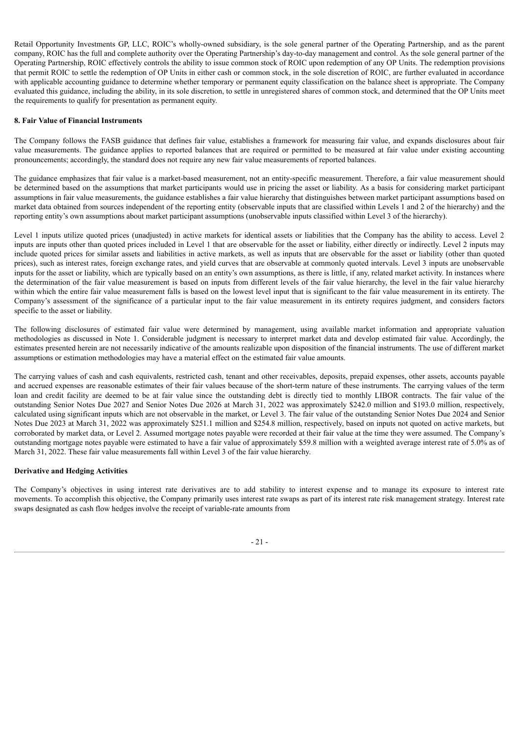Retail Opportunity Investments GP, LLC, ROIC's wholly-owned subsidiary, is the sole general partner of the Operating Partnership, and as the parent company, ROIC has the full and complete authority over the Operating Partnership's day-to-day management and control. As the sole general partner of the Operating Partnership, ROIC effectively controls the ability to issue common stock of ROIC upon redemption of any OP Units. The redemption provisions that permit ROIC to settle the redemption of OP Units in either cash or common stock, in the sole discretion of ROIC, are further evaluated in accordance with applicable accounting guidance to determine whether temporary or permanent equity classification on the balance sheet is appropriate. The Company evaluated this guidance, including the ability, in its sole discretion, to settle in unregistered shares of common stock, and determined that the OP Units meet the requirements to qualify for presentation as permanent equity.

#### **8. Fair Value of Financial Instruments**

The Company follows the FASB guidance that defines fair value, establishes a framework for measuring fair value, and expands disclosures about fair value measurements. The guidance applies to reported balances that are required or permitted to be measured at fair value under existing accounting pronouncements; accordingly, the standard does not require any new fair value measurements of reported balances.

The guidance emphasizes that fair value is a market-based measurement, not an entity-specific measurement. Therefore, a fair value measurement should be determined based on the assumptions that market participants would use in pricing the asset or liability. As a basis for considering market participant assumptions in fair value measurements, the guidance establishes a fair value hierarchy that distinguishes between market participant assumptions based on market data obtained from sources independent of the reporting entity (observable inputs that are classified within Levels 1 and 2 of the hierarchy) and the reporting entity's own assumptions about market participant assumptions (unobservable inputs classified within Level 3 of the hierarchy).

Level 1 inputs utilize quoted prices (unadjusted) in active markets for identical assets or liabilities that the Company has the ability to access. Level 2 inputs are inputs other than quoted prices included in Level 1 that are observable for the asset or liability, either directly or indirectly. Level 2 inputs may include quoted prices for similar assets and liabilities in active markets, as well as inputs that are observable for the asset or liability (other than quoted prices), such as interest rates, foreign exchange rates, and yield curves that are observable at commonly quoted intervals. Level 3 inputs are unobservable inputs for the asset or liability, which are typically based on an entity's own assumptions, as there is little, if any, related market activity. In instances where the determination of the fair value measurement is based on inputs from different levels of the fair value hierarchy, the level in the fair value hierarchy within which the entire fair value measurement falls is based on the lowest level input that is significant to the fair value measurement in its entirety. The Company's assessment of the significance of a particular input to the fair value measurement in its entirety requires judgment, and considers factors specific to the asset or liability.

The following disclosures of estimated fair value were determined by management, using available market information and appropriate valuation methodologies as discussed in Note 1. Considerable judgment is necessary to interpret market data and develop estimated fair value. Accordingly, the estimates presented herein are not necessarily indicative of the amounts realizable upon disposition of the financial instruments. The use of different market assumptions or estimation methodologies may have a material effect on the estimated fair value amounts.

The carrying values of cash and cash equivalents, restricted cash, tenant and other receivables, deposits, prepaid expenses, other assets, accounts payable and accrued expenses are reasonable estimates of their fair values because of the short-term nature of these instruments. The carrying values of the term loan and credit facility are deemed to be at fair value since the outstanding debt is directly tied to monthly LIBOR contracts. The fair value of the outstanding Senior Notes Due 2027 and Senior Notes Due 2026 at March 31, 2022 was approximately \$242.0 million and \$193.0 million, respectively, calculated using significant inputs which are not observable in the market, or Level 3. The fair value of the outstanding Senior Notes Due 2024 and Senior Notes Due 2023 at March 31, 2022 was approximately \$251.1 million and \$254.8 million, respectively, based on inputs not quoted on active markets, but corroborated by market data, or Level 2. Assumed mortgage notes payable were recorded at their fair value at the time they were assumed. The Company's outstanding mortgage notes payable were estimated to have a fair value of approximately \$59.8 million with a weighted average interest rate of 5.0% as of March 31, 2022. These fair value measurements fall within Level 3 of the fair value hierarchy.

## **Derivative and Hedging Activities**

The Company's objectives in using interest rate derivatives are to add stability to interest expense and to manage its exposure to interest rate movements. To accomplish this objective, the Company primarily uses interest rate swaps as part of its interest rate risk management strategy. Interest rate swaps designated as cash flow hedges involve the receipt of variable-rate amounts from

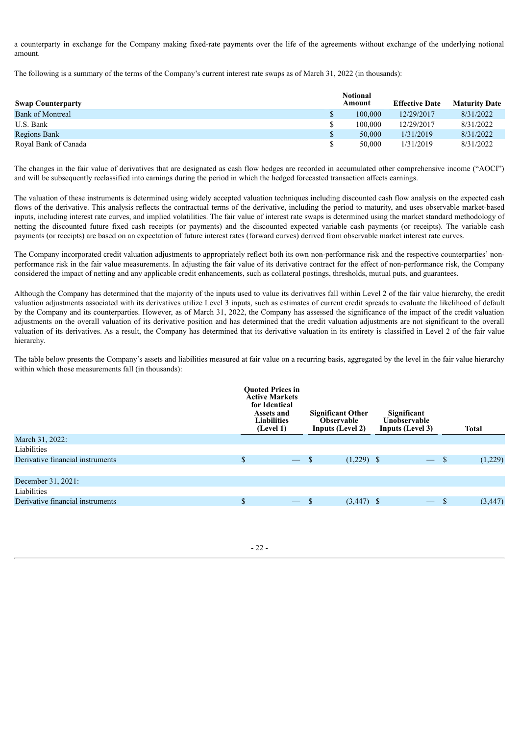a counterparty in exchange for the Company making fixed-rate payments over the life of the agreements without exchange of the underlying notional amount.

The following is a summary of the terms of the Company's current interest rate swaps as of March 31, 2022 (in thousands):

| <b>Swap Counterparty</b> |    | <b>Notional</b><br>Amount | <b>Effective Date</b> | <b>Maturity Date</b> |
|--------------------------|----|---------------------------|-----------------------|----------------------|
| <b>Bank of Montreal</b>  | S  | 100.000                   | 12/29/2017            | 8/31/2022            |
| U.S. Bank                |    | 100.000                   | 12/29/2017            | 8/31/2022            |
| <b>Regions Bank</b>      | \$ | 50,000                    | 1/31/2019             | 8/31/2022            |
| Royal Bank of Canada     | S  | 50,000                    | 1/31/2019             | 8/31/2022            |

The changes in the fair value of derivatives that are designated as cash flow hedges are recorded in accumulated other comprehensive income ("AOCI") and will be subsequently reclassified into earnings during the period in which the hedged forecasted transaction affects earnings.

The valuation of these instruments is determined using widely accepted valuation techniques including discounted cash flow analysis on the expected cash flows of the derivative. This analysis reflects the contractual terms of the derivative, including the period to maturity, and uses observable market-based inputs, including interest rate curves, and implied volatilities. The fair value of interest rate swaps is determined using the market standard methodology of netting the discounted future fixed cash receipts (or payments) and the discounted expected variable cash payments (or receipts). The variable cash payments (or receipts) are based on an expectation of future interest rates (forward curves) derived from observable market interest rate curves.

The Company incorporated credit valuation adjustments to appropriately reflect both its own non-performance risk and the respective counterparties' nonperformance risk in the fair value measurements. In adjusting the fair value of its derivative contract for the effect of non-performance risk, the Company considered the impact of netting and any applicable credit enhancements, such as collateral postings, thresholds, mutual puts, and guarantees.

Although the Company has determined that the majority of the inputs used to value its derivatives fall within Level 2 of the fair value hierarchy, the credit valuation adjustments associated with its derivatives utilize Level 3 inputs, such as estimates of current credit spreads to evaluate the likelihood of default by the Company and its counterparties. However, as of March 31, 2022, the Company has assessed the significance of the impact of the credit valuation adjustments on the overall valuation of its derivative position and has determined that the credit valuation adjustments are not significant to the overall valuation of its derivatives. As a result, the Company has determined that its derivative valuation in its entirety is classified in Level 2 of the fair value hierarchy.

The table below presents the Company's assets and liabilities measured at fair value on a recurring basis, aggregated by the level in the fair value hierarchy within which those measurements fall (in thousands):

|                                  | <b>Ouoted Prices in</b><br><b>Active Markets</b><br>for Identical<br>Assets and<br><b>Liabilities</b><br>(Level 1) |                                   | <b>Significant Other</b><br><b>Observable</b><br>Inputs (Level 2) |              | Significant<br>Unobservable<br>Inputs (Level 3) |                          |      | <b>Total</b> |
|----------------------------------|--------------------------------------------------------------------------------------------------------------------|-----------------------------------|-------------------------------------------------------------------|--------------|-------------------------------------------------|--------------------------|------|--------------|
| March 31, 2022:                  |                                                                                                                    |                                   |                                                                   |              |                                                 |                          |      |              |
| Liabilities                      |                                                                                                                    |                                   |                                                                   |              |                                                 |                          |      |              |
| Derivative financial instruments | \$                                                                                                                 | $\overline{\phantom{m}}$          | -S                                                                | $(1,229)$ \$ |                                                 | $\overline{\phantom{m}}$ | - \$ | (1,229)      |
|                                  |                                                                                                                    |                                   |                                                                   |              |                                                 |                          |      |              |
| December 31, 2021:               |                                                                                                                    |                                   |                                                                   |              |                                                 |                          |      |              |
| Liabilities                      |                                                                                                                    |                                   |                                                                   |              |                                                 |                          |      |              |
| Derivative financial instruments | \$.                                                                                                                | <b>Contract Contract Contract</b> | <sup>S</sup>                                                      | $(3,447)$ \$ |                                                 | $\qquad \qquad -$        | - \$ | (3, 447)     |
|                                  |                                                                                                                    |                                   |                                                                   |              |                                                 |                          |      |              |

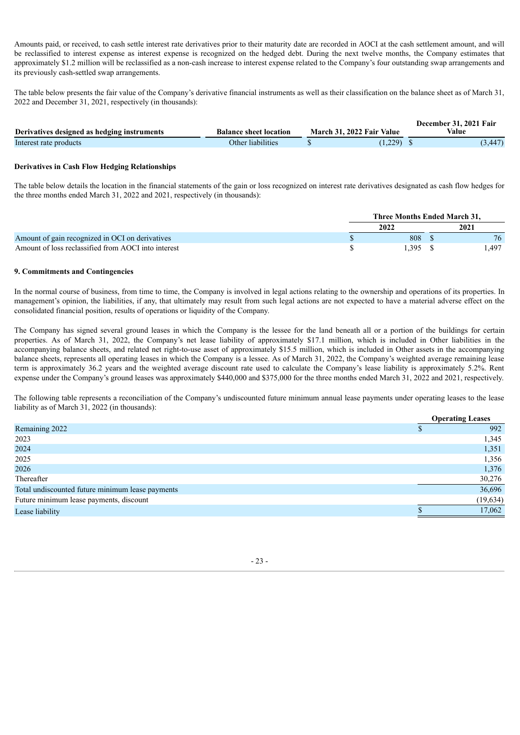Amounts paid, or received, to cash settle interest rate derivatives prior to their maturity date are recorded in AOCI at the cash settlement amount, and will be reclassified to interest expense as interest expense is recognized on the hedged debt. During the next twelve months, the Company estimates that approximately \$1.2 million will be reclassified as a non-cash increase to interest expense related to the Company's four outstanding swap arrangements and its previously cash-settled swap arrangements.

The table below presents the fair value of the Company's derivative financial instruments as well as their classification on the balance sheet as of March 31, 2022 and December 31, 2021, respectively (in thousands):

| Derivatives designed as hedging instruments | <b>Balance sheet location</b> | March 31, 2022 Fair Value | December 31, 2021 Fair<br>Value |         |  |
|---------------------------------------------|-------------------------------|---------------------------|---------------------------------|---------|--|
| Interest rate products                      | Other liabilities             | (1.229)                   |                                 | (3.447) |  |

#### **Derivatives in Cash Flow Hedging Relationships**

The table below details the location in the financial statements of the gain or loss recognized on interest rate derivatives designated as cash flow hedges for the three months ended March 31, 2022 and 2021, respectively (in thousands):

|                                                     | Three Months Ended March 31. |  |      |  |  |
|-----------------------------------------------------|------------------------------|--|------|--|--|
|                                                     | 2022                         |  | 2021 |  |  |
| Amount of gain recognized in OCI on derivatives     | 808                          |  | 76   |  |  |
| Amount of loss reclassified from AOCI into interest | 395                          |  | .497 |  |  |

## **9. Commitments and Contingencies**

In the normal course of business, from time to time, the Company is involved in legal actions relating to the ownership and operations of its properties. In management's opinion, the liabilities, if any, that ultimately may result from such legal actions are not expected to have a material adverse effect on the consolidated financial position, results of operations or liquidity of the Company.

The Company has signed several ground leases in which the Company is the lessee for the land beneath all or a portion of the buildings for certain properties. As of March 31, 2022, the Company's net lease liability of approximately \$17.1 million, which is included in Other liabilities in the accompanying balance sheets, and related net right-to-use asset of approximately \$15.5 million, which is included in Other assets in the accompanying balance sheets, represents all operating leases in which the Company is a lessee. As of March 31, 2022, the Company's weighted average remaining lease term is approximately 36.2 years and the weighted average discount rate used to calculate the Company's lease liability is approximately 5.2%. Rent expense under the Company's ground leases was approximately \$440,000 and \$375,000 for the three months ended March 31, 2022 and 2021, respectively.

The following table represents a reconciliation of the Company's undiscounted future minimum annual lease payments under operating leases to the lease liability as of March 31, 2022 (in thousands):

| <b>Operating Leases</b> |
|-------------------------|
| 992                     |
| 1,345                   |
| 1,351                   |
| 1,356                   |
| 1,376                   |
| 30,276                  |
| 36,696                  |
| (19, 634)               |
| 17,062                  |
|                         |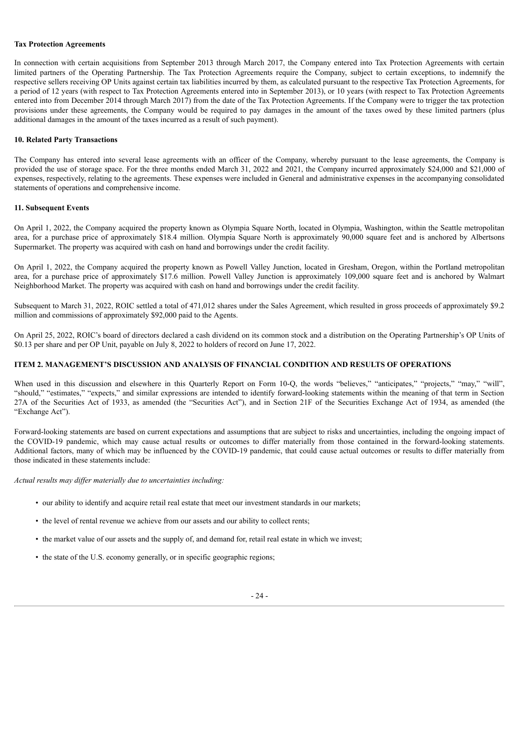## **Tax Protection Agreements**

In connection with certain acquisitions from September 2013 through March 2017, the Company entered into Tax Protection Agreements with certain limited partners of the Operating Partnership. The Tax Protection Agreements require the Company, subject to certain exceptions, to indemnify the respective sellers receiving OP Units against certain tax liabilities incurred by them, as calculated pursuant to the respective Tax Protection Agreements, for a period of 12 years (with respect to Tax Protection Agreements entered into in September 2013), or 10 years (with respect to Tax Protection Agreements entered into from December 2014 through March 2017) from the date of the Tax Protection Agreements. If the Company were to trigger the tax protection provisions under these agreements, the Company would be required to pay damages in the amount of the taxes owed by these limited partners (plus additional damages in the amount of the taxes incurred as a result of such payment).

## **10. Related Party Transactions**

The Company has entered into several lease agreements with an officer of the Company, whereby pursuant to the lease agreements, the Company is provided the use of storage space. For the three months ended March 31, 2022 and 2021, the Company incurred approximately \$24,000 and \$21,000 of expenses, respectively, relating to the agreements. These expenses were included in General and administrative expenses in the accompanying consolidated statements of operations and comprehensive income.

#### **11. Subsequent Events**

On April 1, 2022, the Company acquired the property known as Olympia Square North, located in Olympia, Washington, within the Seattle metropolitan area, for a purchase price of approximately \$18.4 million. Olympia Square North is approximately 90,000 square feet and is anchored by Albertsons Supermarket. The property was acquired with cash on hand and borrowings under the credit facility.

On April 1, 2022, the Company acquired the property known as Powell Valley Junction, located in Gresham, Oregon, within the Portland metropolitan area, for a purchase price of approximately \$17.6 million. Powell Valley Junction is approximately 109,000 square feet and is anchored by Walmart Neighborhood Market. The property was acquired with cash on hand and borrowings under the credit facility.

Subsequent to March 31, 2022, ROIC settled a total of 471,012 shares under the Sales Agreement, which resulted in gross proceeds of approximately \$9.2 million and commissions of approximately \$92,000 paid to the Agents.

On April 25, 2022, ROIC's board of directors declared a cash dividend on its common stock and a distribution on the Operating Partnership's OP Units of \$0.13 per share and per OP Unit, payable on July 8, 2022 to holders of record on June 17, 2022.

## <span id="page-27-0"></span>**ITEM 2. MANAGEMENT'S DISCUSSION AND ANALYSIS OF FINANCIAL CONDITION AND RESULTS OF OPERATIONS**

When used in this discussion and elsewhere in this Quarterly Report on Form 10-Q, the words "believes," "anticipates," "projects," "may," "will", "should," "estimates," "expects," and similar expressions are intended to identify forward-looking statements within the meaning of that term in Section 27A of the Securities Act of 1933, as amended (the "Securities Act"), and in Section 21F of the Securities Exchange Act of 1934, as amended (the "Exchange Act").

Forward-looking statements are based on current expectations and assumptions that are subject to risks and uncertainties, including the ongoing impact of the COVID-19 pandemic, which may cause actual results or outcomes to differ materially from those contained in the forward-looking statements. Additional factors, many of which may be influenced by the COVID-19 pandemic, that could cause actual outcomes or results to differ materially from those indicated in these statements include:

*Actual results may dif er materially due to uncertainties including:*

- our ability to identify and acquire retail real estate that meet our investment standards in our markets;
- the level of rental revenue we achieve from our assets and our ability to collect rents;
- the market value of our assets and the supply of, and demand for, retail real estate in which we invest;
- the state of the U.S. economy generally, or in specific geographic regions;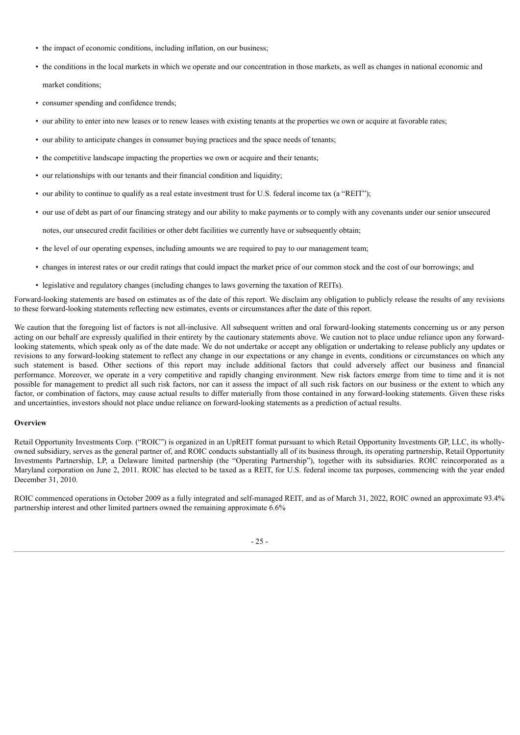- the impact of economic conditions, including inflation, on our business;
- the conditions in the local markets in which we operate and our concentration in those markets, as well as changes in national economic and market conditions;
- consumer spending and confidence trends;
- our ability to enter into new leases or to renew leases with existing tenants at the properties we own or acquire at favorable rates;
- our ability to anticipate changes in consumer buying practices and the space needs of tenants;
- the competitive landscape impacting the properties we own or acquire and their tenants;
- our relationships with our tenants and their financial condition and liquidity;
- our ability to continue to qualify as a real estate investment trust for U.S. federal income tax (a "REIT");
- our use of debt as part of our financing strategy and our ability to make payments or to comply with any covenants under our senior unsecured

notes, our unsecured credit facilities or other debt facilities we currently have or subsequently obtain;

- the level of our operating expenses, including amounts we are required to pay to our management team;
- changes in interest rates or our credit ratings that could impact the market price of our common stock and the cost of our borrowings; and
- legislative and regulatory changes (including changes to laws governing the taxation of REITs).

Forward-looking statements are based on estimates as of the date of this report. We disclaim any obligation to publicly release the results of any revisions to these forward-looking statements reflecting new estimates, events or circumstances after the date of this report.

We caution that the foregoing list of factors is not all-inclusive. All subsequent written and oral forward-looking statements concerning us or any person acting on our behalf are expressly qualified in their entirety by the cautionary statements above. We caution not to place undue reliance upon any forwardlooking statements, which speak only as of the date made. We do not undertake or accept any obligation or undertaking to release publicly any updates or revisions to any forward-looking statement to reflect any change in our expectations or any change in events, conditions or circumstances on which any such statement is based. Other sections of this report may include additional factors that could adversely affect our business and financial performance. Moreover, we operate in a very competitive and rapidly changing environment. New risk factors emerge from time to time and it is not possible for management to predict all such risk factors, nor can it assess the impact of all such risk factors on our business or the extent to which any factor, or combination of factors, may cause actual results to differ materially from those contained in any forward-looking statements. Given these risks and uncertainties, investors should not place undue reliance on forward-looking statements as a prediction of actual results.

#### **Overview**

Retail Opportunity Investments Corp. ("ROIC") is organized in an UpREIT format pursuant to which Retail Opportunity Investments GP, LLC, its whollyowned subsidiary, serves as the general partner of, and ROIC conducts substantially all of its business through, its operating partnership, Retail Opportunity Investments Partnership, LP, a Delaware limited partnership (the "Operating Partnership"), together with its subsidiaries. ROIC reincorporated as a Maryland corporation on June 2, 2011. ROIC has elected to be taxed as a REIT, for U.S. federal income tax purposes, commencing with the year ended December 31, 2010.

ROIC commenced operations in October 2009 as a fully integrated and self-managed REIT, and as of March 31, 2022, ROIC owned an approximate 93.4% partnership interest and other limited partners owned the remaining approximate 6.6%

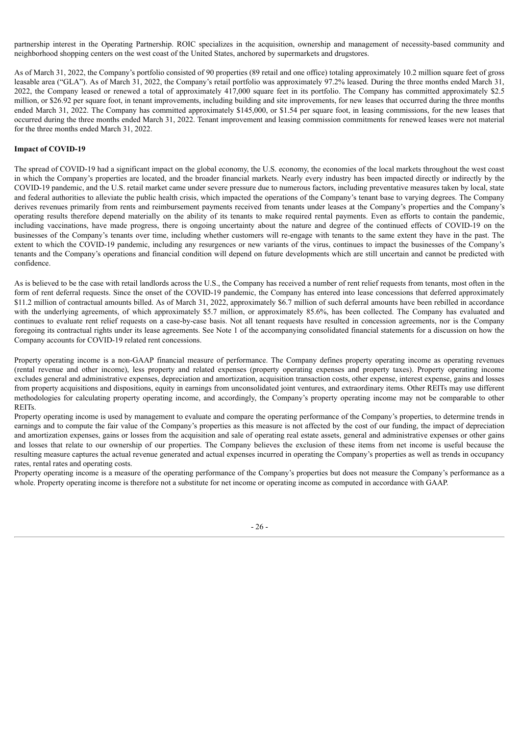partnership interest in the Operating Partnership. ROIC specializes in the acquisition, ownership and management of necessity-based community and neighborhood shopping centers on the west coast of the United States, anchored by supermarkets and drugstores.

As of March 31, 2022, the Company's portfolio consisted of 90 properties (89 retail and one office) totaling approximately 10.2 million square feet of gross leasable area ("GLA"). As of March 31, 2022, the Company's retail portfolio was approximately 97.2% leased. During the three months ended March 31, 2022, the Company leased or renewed a total of approximately 417,000 square feet in its portfolio. The Company has committed approximately \$2.5 million, or \$26.92 per square foot, in tenant improvements, including building and site improvements, for new leases that occurred during the three months ended March 31, 2022. The Company has committed approximately \$145,000, or \$1.54 per square foot, in leasing commissions, for the new leases that occurred during the three months ended March 31, 2022. Tenant improvement and leasing commission commitments for renewed leases were not material for the three months ended March 31, 2022.

# **Impact of COVID-19**

The spread of COVID-19 had a significant impact on the global economy, the U.S. economy, the economies of the local markets throughout the west coast in which the Company's properties are located, and the broader financial markets. Nearly every industry has been impacted directly or indirectly by the COVID-19 pandemic, and the U.S. retail market came under severe pressure due to numerous factors, including preventative measures taken by local, state and federal authorities to alleviate the public health crisis, which impacted the operations of the Company's tenant base to varying degrees. The Company derives revenues primarily from rents and reimbursement payments received from tenants under leases at the Company's properties and the Company's operating results therefore depend materially on the ability of its tenants to make required rental payments. Even as efforts to contain the pandemic, including vaccinations, have made progress, there is ongoing uncertainty about the nature and degree of the continued effects of COVID-19 on the businesses of the Company's tenants over time, including whether customers will re-engage with tenants to the same extent they have in the past. The extent to which the COVID-19 pandemic, including any resurgences or new variants of the virus, continues to impact the businesses of the Company's tenants and the Company's operations and financial condition will depend on future developments which are still uncertain and cannot be predicted with confidence.

As is believed to be the case with retail landlords across the U.S., the Company has received a number of rent relief requests from tenants, most often in the form of rent deferral requests. Since the onset of the COVID-19 pandemic, the Company has entered into lease concessions that deferred approximately \$11.2 million of contractual amounts billed. As of March 31, 2022, approximately \$6.7 million of such deferral amounts have been rebilled in accordance with the underlying agreements, of which approximately \$5.7 million, or approximately 85.6%, has been collected. The Company has evaluated and continues to evaluate rent relief requests on a case-by-case basis. Not all tenant requests have resulted in concession agreements, nor is the Company foregoing its contractual rights under its lease agreements. See Note 1 of the accompanying consolidated financial statements for a discussion on how the Company accounts for COVID-19 related rent concessions.

Property operating income is a non-GAAP financial measure of performance. The Company defines property operating income as operating revenues (rental revenue and other income), less property and related expenses (property operating expenses and property taxes). Property operating income excludes general and administrative expenses, depreciation and amortization, acquisition transaction costs, other expense, interest expense, gains and losses from property acquisitions and dispositions, equity in earnings from unconsolidated joint ventures, and extraordinary items. Other REITs may use different methodologies for calculating property operating income, and accordingly, the Company's property operating income may not be comparable to other REITs.

Property operating income is used by management to evaluate and compare the operating performance of the Company's properties, to determine trends in earnings and to compute the fair value of the Company's properties as this measure is not affected by the cost of our funding, the impact of depreciation and amortization expenses, gains or losses from the acquisition and sale of operating real estate assets, general and administrative expenses or other gains and losses that relate to our ownership of our properties. The Company believes the exclusion of these items from net income is useful because the resulting measure captures the actual revenue generated and actual expenses incurred in operating the Company's properties as well as trends in occupancy rates, rental rates and operating costs.

Property operating income is a measure of the operating performance of the Company's properties but does not measure the Company's performance as a whole. Property operating income is therefore not a substitute for net income or operating income as computed in accordance with GAAP.

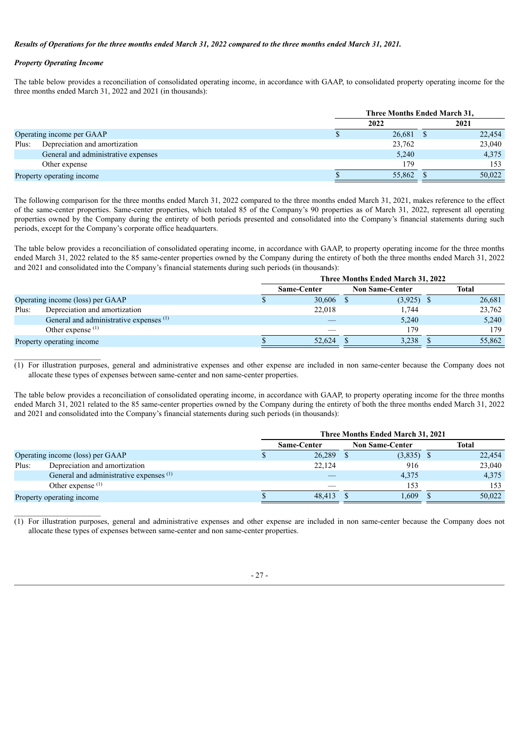# Results of Operations for the three months ended March 31, 2022 compared to the three months ended March 31, 2021.

#### *Property Operating Income*

 $\mathcal{L}_\text{max}$ 

The table below provides a reconciliation of consolidated operating income, in accordance with GAAP, to consolidated property operating income for the three months ended March 31, 2022 and 2021 (in thousands):

|       |                                     | Three Months Ended March 31, |  |        |  |
|-------|-------------------------------------|------------------------------|--|--------|--|
|       |                                     | 2022                         |  | 2021   |  |
|       | Operating income per GAAP           | 26,681                       |  | 22,454 |  |
| Plus: | Depreciation and amortization       | 23,762                       |  | 23,040 |  |
|       | General and administrative expenses | 5,240                        |  | 4,375  |  |
|       | Other expense                       | 179                          |  | 153    |  |
|       | Property operating income           | 55,862                       |  | 50,022 |  |

The following comparison for the three months ended March 31, 2022 compared to the three months ended March 31, 2021, makes reference to the effect of the same-center properties. Same-center properties, which totaled 85 of the Company's 90 properties as of March 31, 2022, represent all operating properties owned by the Company during the entirety of both periods presented and consolidated into the Company's financial statements during such periods, except for the Company's corporate office headquarters.

The table below provides a reconciliation of consolidated operating income, in accordance with GAAP, to property operating income for the three months ended March 31, 2022 related to the 85 same-center properties owned by the Company during the entirety of both the three months ended March 31, 2022 and 2021 and consolidated into the Company's financial statements during such periods (in thousands):

|       |                                                    | Three Months Ended March 31, 2022 |  |                        |  |              |
|-------|----------------------------------------------------|-----------------------------------|--|------------------------|--|--------------|
|       |                                                    | Same-Center                       |  | <b>Non Same-Center</b> |  | <b>Total</b> |
|       | Operating income (loss) per GAAP                   | 30,606                            |  | (3,925)                |  | 26,681       |
| Plus: | Depreciation and amortization                      | 22,018                            |  | 1,744                  |  | 23,762       |
|       | General and administrative expenses <sup>(1)</sup> |                                   |  | 5,240                  |  | 5,240        |
|       | Other expense $(1)$                                |                                   |  | 179                    |  | 179          |
|       | Property operating income                          | 52.624                            |  | 3.238                  |  | 55,862       |

(1) For illustration purposes, general and administrative expenses and other expense are included in non same-center because the Company does not allocate these types of expenses between same-center and non same-center properties.

The table below provides a reconciliation of consolidated operating income, in accordance with GAAP, to property operating income for the three months ended March 31, 2021 related to the 85 same-center properties owned by the Company during the entirety of both the three months ended March 31, 2022 and 2021 and consolidated into the Company's financial statements during such periods (in thousands):

|       |                                         | Three Months Ended March 31, 2021 |             |  |                        |  |              |
|-------|-----------------------------------------|-----------------------------------|-------------|--|------------------------|--|--------------|
|       |                                         |                                   | Same-Center |  | <b>Non Same-Center</b> |  | <b>Total</b> |
|       | Operating income (loss) per GAAP        |                                   | 26,289      |  | $(3,835)$ \$           |  | 22,454       |
| Plus: | Depreciation and amortization           |                                   | 22,124      |  | 916                    |  | 23,040       |
|       | General and administrative expenses (1) |                                   |             |  | 4,375                  |  | 4,375        |
|       | Other expense $(1)$                     |                                   |             |  | 153                    |  | 153          |
|       | Property operating income               |                                   | 48.413      |  | 1,609                  |  | 50.022       |

(1) For illustration purposes, general and administrative expenses and other expense are included in non same-center because the Company does not allocate these types of expenses between same-center and non same-center properties.

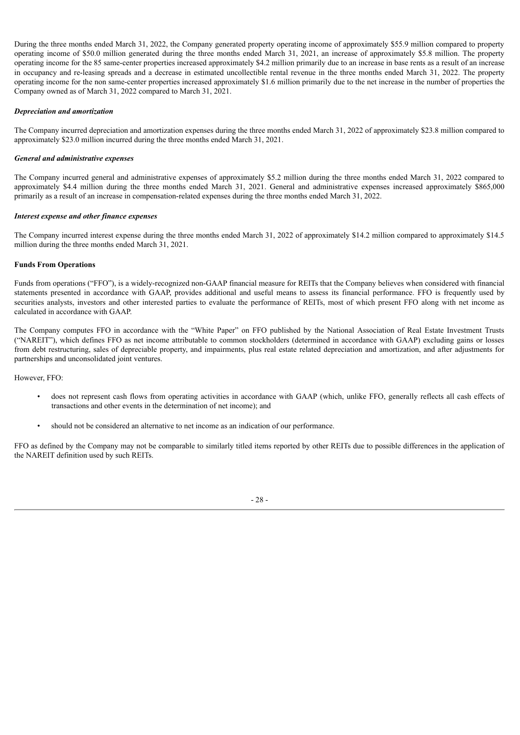During the three months ended March 31, 2022, the Company generated property operating income of approximately \$55.9 million compared to property operating income of \$50.0 million generated during the three months ended March 31, 2021, an increase of approximately \$5.8 million. The property operating income for the 85 same-center properties increased approximately \$4.2 million primarily due to an increase in base rents as a result of an increase in occupancy and re-leasing spreads and a decrease in estimated uncollectible rental revenue in the three months ended March 31, 2022. The property operating income for the non same-center properties increased approximately \$1.6 million primarily due to the net increase in the number of properties the Company owned as of March 31, 2022 compared to March 31, 2021.

#### *Depreciation and amortization*

The Company incurred depreciation and amortization expenses during the three months ended March 31, 2022 of approximately \$23.8 million compared to approximately \$23.0 million incurred during the three months ended March 31, 2021.

#### *General and administrative expenses*

The Company incurred general and administrative expenses of approximately \$5.2 million during the three months ended March 31, 2022 compared to approximately \$4.4 million during the three months ended March 31, 2021. General and administrative expenses increased approximately \$865,000 primarily as a result of an increase in compensation-related expenses during the three months ended March 31, 2022.

## *Interest expense and other finance expenses*

The Company incurred interest expense during the three months ended March 31, 2022 of approximately \$14.2 million compared to approximately \$14.5 million during the three months ended March 31, 2021.

## **Funds From Operations**

Funds from operations ("FFO"), is a widely-recognized non-GAAP financial measure for REITs that the Company believes when considered with financial statements presented in accordance with GAAP, provides additional and useful means to assess its financial performance. FFO is frequently used by securities analysts, investors and other interested parties to evaluate the performance of REITs, most of which present FFO along with net income as calculated in accordance with GAAP.

The Company computes FFO in accordance with the "White Paper" on FFO published by the National Association of Real Estate Investment Trusts ("NAREIT"), which defines FFO as net income attributable to common stockholders (determined in accordance with GAAP) excluding gains or losses from debt restructuring, sales of depreciable property, and impairments, plus real estate related depreciation and amortization, and after adjustments for partnerships and unconsolidated joint ventures.

However, FFO:

- does not represent cash flows from operating activities in accordance with GAAP (which, unlike FFO, generally reflects all cash effects of transactions and other events in the determination of net income); and
- should not be considered an alternative to net income as an indication of our performance.

FFO as defined by the Company may not be comparable to similarly titled items reported by other REITs due to possible differences in the application of the NAREIT definition used by such REITs.

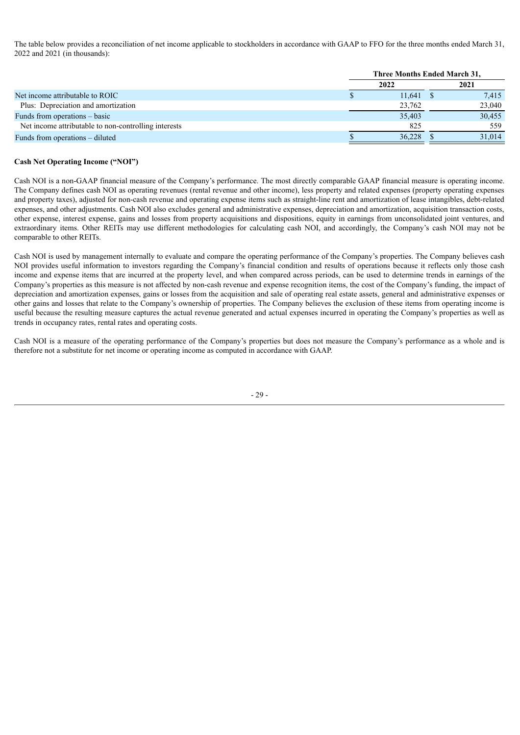The table below provides a reconciliation of net income applicable to stockholders in accordance with GAAP to FFO for the three months ended March 31, 2022 and 2021 (in thousands):

|                                                      | <b>Three Months Ended March 31,</b> |             |  |        |  |
|------------------------------------------------------|-------------------------------------|-------------|--|--------|--|
|                                                      |                                     | 2022        |  | 2021   |  |
| Net income attributable to ROIC                      |                                     | $11,641$ \$ |  | 7.415  |  |
| Plus: Depreciation and amortization                  |                                     | 23.762      |  | 23,040 |  |
| Funds from operations – basic                        |                                     | 35,403      |  | 30,455 |  |
| Net income attributable to non-controlling interests |                                     | 825         |  | 559    |  |
| Funds from operations – diluted                      |                                     | 36,228      |  | 31,014 |  |

#### **Cash Net Operating Income ("NOI")**

Cash NOI is a non-GAAP financial measure of the Company's performance. The most directly comparable GAAP financial measure is operating income. The Company defines cash NOI as operating revenues (rental revenue and other income), less property and related expenses (property operating expenses and property taxes), adjusted for non-cash revenue and operating expense items such as straight-line rent and amortization of lease intangibles, debt-related expenses, and other adjustments. Cash NOI also excludes general and administrative expenses, depreciation and amortization, acquisition transaction costs, other expense, interest expense, gains and losses from property acquisitions and dispositions, equity in earnings from unconsolidated joint ventures, and extraordinary items. Other REITs may use different methodologies for calculating cash NOI, and accordingly, the Company's cash NOI may not be comparable to other REITs.

Cash NOI is used by management internally to evaluate and compare the operating performance of the Company's properties. The Company believes cash NOI provides useful information to investors regarding the Company's financial condition and results of operations because it reflects only those cash income and expense items that are incurred at the property level, and when compared across periods, can be used to determine trends in earnings of the Company's properties as this measure is not affected by non-cash revenue and expense recognition items, the cost of the Company's funding, the impact of depreciation and amortization expenses, gains or losses from the acquisition and sale of operating real estate assets, general and administrative expenses or other gains and losses that relate to the Company's ownership of properties. The Company believes the exclusion of these items from operating income is useful because the resulting measure captures the actual revenue generated and actual expenses incurred in operating the Company's properties as well as trends in occupancy rates, rental rates and operating costs.

Cash NOI is a measure of the operating performance of the Company's properties but does not measure the Company's performance as a whole and is therefore not a substitute for net income or operating income as computed in accordance with GAAP.

- 29 -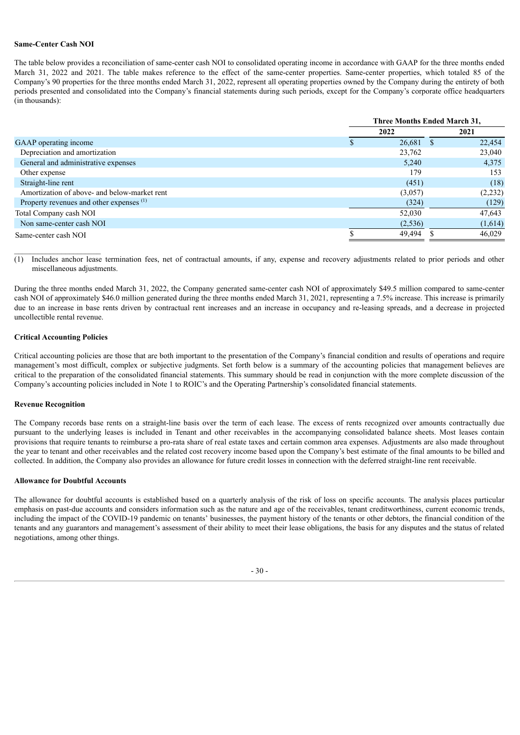## **Same-Center Cash NOI**

The table below provides a reconciliation of same-center cash NOI to consolidated operating income in accordance with GAAP for the three months ended March 31, 2022 and 2021. The table makes reference to the effect of the same-center properties. Same-center properties, which totaled 85 of the Company's 90 properties for the three months ended March 31, 2022, represent all operating properties owned by the Company during the entirety of both periods presented and consolidated into the Company's financial statements during such periods, except for the Company's corporate office headquarters (in thousands):

|                                                     | <b>Three Months Ended March 31,</b> |         |  |          |  |
|-----------------------------------------------------|-------------------------------------|---------|--|----------|--|
|                                                     |                                     | 2022    |  | 2021     |  |
| GAAP operating income                               |                                     | 26,681  |  | 22,454   |  |
| Depreciation and amortization                       |                                     | 23,762  |  | 23,040   |  |
| General and administrative expenses                 |                                     | 5,240   |  | 4,375    |  |
| Other expense                                       |                                     | 179     |  | 153      |  |
| Straight-line rent                                  |                                     | (451)   |  | (18)     |  |
| Amortization of above- and below-market rent        |                                     | (3,057) |  | (2, 232) |  |
| Property revenues and other expenses <sup>(1)</sup> |                                     | (324)   |  | (129)    |  |
| Total Company cash NOI                              |                                     | 52,030  |  | 47,643   |  |
| Non same-center cash NOI                            |                                     | (2,536) |  | (1,614)  |  |
| Same-center cash NOI                                |                                     | 49,494  |  | 46,029   |  |

(1) Includes anchor lease termination fees, net of contractual amounts, if any, expense and recovery adjustments related to prior periods and other miscellaneous adjustments.

During the three months ended March 31, 2022, the Company generated same-center cash NOI of approximately \$49.5 million compared to same-center cash NOI of approximately \$46.0 million generated during the three months ended March 31, 2021, representing a 7.5% increase. This increase is primarily due to an increase in base rents driven by contractual rent increases and an increase in occupancy and re-leasing spreads, and a decrease in projected uncollectible rental revenue.

#### **Critical Accounting Policies**

Critical accounting policies are those that are both important to the presentation of the Company's financial condition and results of operations and require management's most difficult, complex or subjective judgments. Set forth below is a summary of the accounting policies that management believes are critical to the preparation of the consolidated financial statements. This summary should be read in conjunction with the more complete discussion of the Company's accounting policies included in Note 1 to ROIC's and the Operating Partnership's consolidated financial statements.

#### **Revenue Recognition**

The Company records base rents on a straight-line basis over the term of each lease. The excess of rents recognized over amounts contractually due pursuant to the underlying leases is included in Tenant and other receivables in the accompanying consolidated balance sheets. Most leases contain provisions that require tenants to reimburse a pro-rata share of real estate taxes and certain common area expenses. Adjustments are also made throughout the year to tenant and other receivables and the related cost recovery income based upon the Company's best estimate of the final amounts to be billed and collected. In addition, the Company also provides an allowance for future credit losses in connection with the deferred straight-line rent receivable.

#### **Allowance for Doubtful Accounts**

The allowance for doubtful accounts is established based on a quarterly analysis of the risk of loss on specific accounts. The analysis places particular emphasis on past-due accounts and considers information such as the nature and age of the receivables, tenant creditworthiness, current economic trends, including the impact of the COVID-19 pandemic on tenants' businesses, the payment history of the tenants or other debtors, the financial condition of the tenants and any guarantors and management's assessment of their ability to meet their lease obligations, the basis for any disputes and the status of related negotiations, among other things.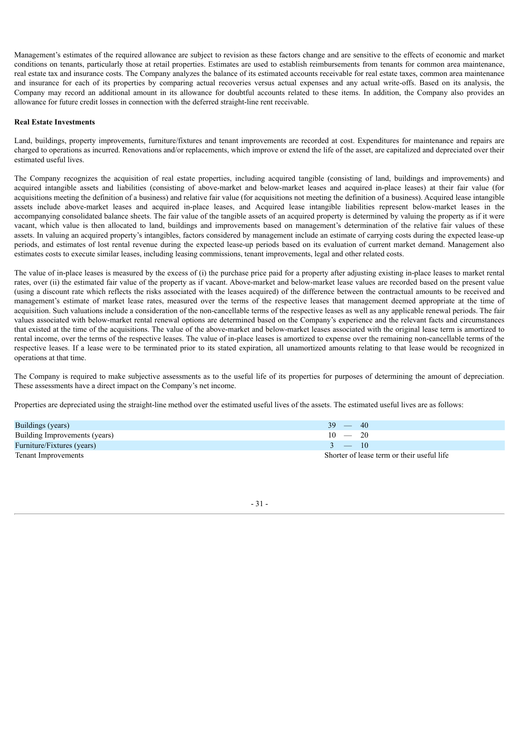Management's estimates of the required allowance are subject to revision as these factors change and are sensitive to the effects of economic and market conditions on tenants, particularly those at retail properties. Estimates are used to establish reimbursements from tenants for common area maintenance, real estate tax and insurance costs. The Company analyzes the balance of its estimated accounts receivable for real estate taxes, common area maintenance and insurance for each of its properties by comparing actual recoveries versus actual expenses and any actual write-offs. Based on its analysis, the Company may record an additional amount in its allowance for doubtful accounts related to these items. In addition, the Company also provides an allowance for future credit losses in connection with the deferred straight-line rent receivable.

#### **Real Estate Investments**

Land, buildings, property improvements, furniture/fixtures and tenant improvements are recorded at cost. Expenditures for maintenance and repairs are charged to operations as incurred. Renovations and/or replacements, which improve or extend the life of the asset, are capitalized and depreciated over their estimated useful lives.

The Company recognizes the acquisition of real estate properties, including acquired tangible (consisting of land, buildings and improvements) and acquired intangible assets and liabilities (consisting of above-market and below-market leases and acquired in-place leases) at their fair value (for acquisitions meeting the definition of a business) and relative fair value (for acquisitions not meeting the definition of a business). Acquired lease intangible assets include above-market leases and acquired in-place leases, and Acquired lease intangible liabilities represent below-market leases in the accompanying consolidated balance sheets. The fair value of the tangible assets of an acquired property is determined by valuing the property as if it were vacant, which value is then allocated to land, buildings and improvements based on management's determination of the relative fair values of these assets. In valuing an acquired property's intangibles, factors considered by management include an estimate of carrying costs during the expected lease-up periods, and estimates of lost rental revenue during the expected lease-up periods based on its evaluation of current market demand. Management also estimates costs to execute similar leases, including leasing commissions, tenant improvements, legal and other related costs.

The value of in-place leases is measured by the excess of (i) the purchase price paid for a property after adjusting existing in-place leases to market rental rates, over (ii) the estimated fair value of the property as if vacant. Above-market and below-market lease values are recorded based on the present value (using a discount rate which reflects the risks associated with the leases acquired) of the difference between the contractual amounts to be received and management's estimate of market lease rates, measured over the terms of the respective leases that management deemed appropriate at the time of acquisition. Such valuations include a consideration of the non-cancellable terms of the respective leases as well as any applicable renewal periods. The fair values associated with below-market rental renewal options are determined based on the Company's experience and the relevant facts and circumstances that existed at the time of the acquisitions. The value of the above-market and below-market leases associated with the original lease term is amortized to rental income, over the terms of the respective leases. The value of in-place leases is amortized to expense over the remaining non-cancellable terms of the respective leases. If a lease were to be terminated prior to its stated expiration, all unamortized amounts relating to that lease would be recognized in operations at that time.

The Company is required to make subjective assessments as to the useful life of its properties for purposes of determining the amount of depreciation. These assessments have a direct impact on the Company's net income.

Properties are depreciated using the straight-line method over the estimated useful lives of the assets. The estimated useful lives are as follows:

| Buildings (years)             | $39 - 40$                                  |
|-------------------------------|--------------------------------------------|
| Building Improvements (years) | $10 - 20$                                  |
| Furniture/Fixtures (years)    | $3 = 10$                                   |
| <b>Tenant Improvements</b>    | Shorter of lease term or their useful life |

- 31 -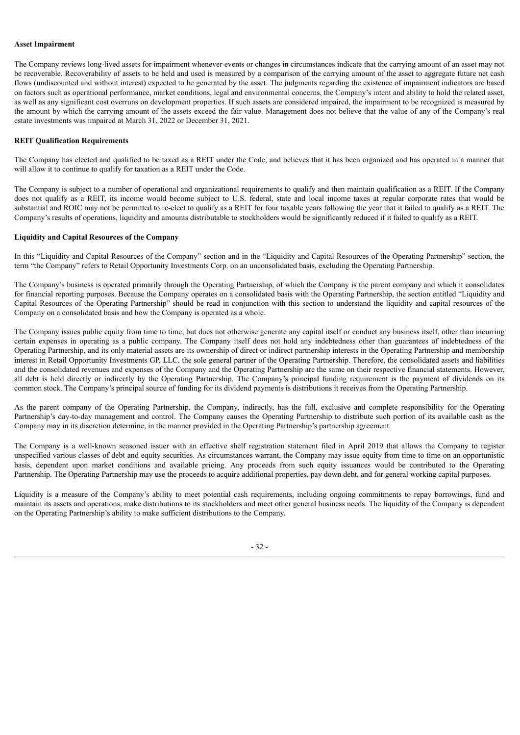#### **Asset Impairment**

The Company reviews long-lived assets for impairment whenever events or changes in circumstances indicate that the carrying amount of an asset may not be recoverable. Recoverability of assets to be held and used is measured by a comparison of the carrying amount of the asset to aggregate future net cash flows (undiscounted and without interest) expected to be generated by the asset. The judgments regarding the existence of impairment indicators are based on factors such as operational performance, market conditions, legal and environmental concerns, the Company's intent and ability to hold the related asset, as well as any significant cost overruns on development properties. If such assets are considered impaired, the impairment to be recognized is measured by the amount by which the carrying amount of the assets exceed the fair value. Management does not believe that the value of any of the Company's real estate investments was impaired at March 31, 2022 or December 31, 2021.

## **REIT Qualification Requirements**

The Company has elected and qualified to be taxed as a REIT under the Code, and believes that it has been organized and has operated in a manner that will allow it to continue to qualify for taxation as a REIT under the Code.

The Company is subject to a number of operational and organizational requirements to qualify and then maintain qualification as a REIT. If the Company does not qualify as a REIT, its income would become subject to U.S. federal, state and local income taxes at regular corporate rates that would be substantial and ROIC may not be permitted to re-elect to qualify as a REIT for four taxable years following the year that it failed to qualify as a REIT. The Company's results of operations, liquidity and amounts distributable to stockholders would be significantly reduced if it failed to qualify as a REIT.

## **Liquidity and Capital Resources of the Company**

In this "Liquidity and Capital Resources of the Company" section and in the "Liquidity and Capital Resources of the Operating Partnership" section, the term "the Company" refers to Retail Opportunity Investments Corp. on an unconsolidated basis, excluding the Operating Partnership.

The Company's business is operated primarily through the Operating Partnership, of which the Company is the parent company and which it consolidates for financial reporting purposes. Because the Company operates on a consolidated basis with the Operating Partnership, the section entitled "Liquidity and Capital Resources of the Operating Partnership" should be read in conjunction with this section to understand the liquidity and capital resources of the Company on a consolidated basis and how the Company is operated as a whole.

The Company issues public equity from time to time, but does not otherwise generate any capital itself or conduct any business itself, other than incurring certain expenses in operating as a public company. The Company itself does not hold any indebtedness other than guarantees of indebtedness of the Operating Partnership, and its only material assets are its ownership of direct or indirect partnership interests in the Operating Partnership and membership interest in Retail Opportunity Investments GP, LLC, the sole general partner of the Operating Partnership. Therefore, the consolidated assets and liabilities and the consolidated revenues and expenses of the Company and the Operating Partnership are the same on their respective financial statements. However, all debt is held directly or indirectly by the Operating Partnership. The Company's principal funding requirement is the payment of dividends on its common stock. The Company's principal source of funding for its dividend payments is distributions it receives from the Operating Partnership.

As the parent company of the Operating Partnership, the Company, indirectly, has the full, exclusive and complete responsibility for the Operating Partnership's day-to-day management and control. The Company causes the Operating Partnership to distribute such portion of its available cash as the Company may in its discretion determine, in the manner provided in the Operating Partnership's partnership agreement.

The Company is a well-known seasoned issuer with an effective shelf registration statement filed in April 2019 that allows the Company to register unspecified various classes of debt and equity securities. As circumstances warrant, the Company may issue equity from time to time on an opportunistic basis, dependent upon market conditions and available pricing. Any proceeds from such equity issuances would be contributed to the Operating Partnership. The Operating Partnership may use the proceeds to acquire additional properties, pay down debt, and for general working capital purposes.

Liquidity is a measure of the Company's ability to meet potential cash requirements, including ongoing commitments to repay borrowings, fund and maintain its assets and operations, make distributions to its stockholders and meet other general business needs. The liquidity of the Company is dependent on the Operating Partnership's ability to make sufficient distributions to the Company.

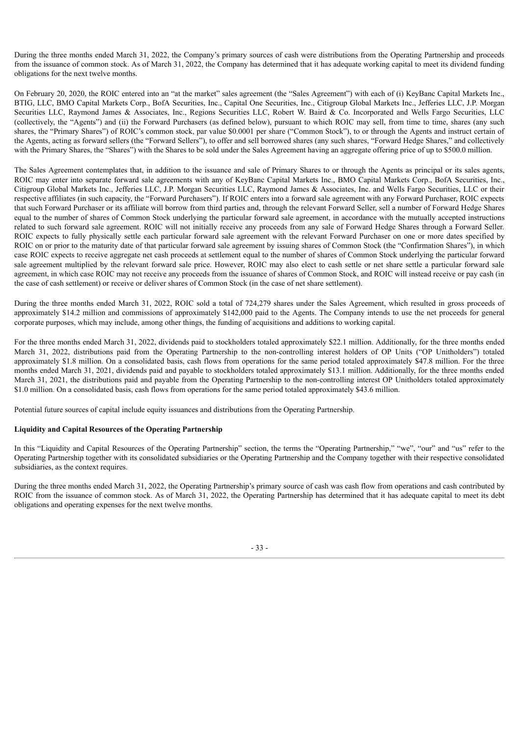During the three months ended March 31, 2022, the Company's primary sources of cash were distributions from the Operating Partnership and proceeds from the issuance of common stock. As of March 31, 2022, the Company has determined that it has adequate working capital to meet its dividend funding obligations for the next twelve months.

On February 20, 2020, the ROIC entered into an "at the market" sales agreement (the "Sales Agreement") with each of (i) KeyBanc Capital Markets Inc., BTIG, LLC, BMO Capital Markets Corp., BofA Securities, Inc., Capital One Securities, Inc., Citigroup Global Markets Inc., Jefferies LLC, J.P. Morgan Securities LLC, Raymond James & Associates, Inc., Regions Securities LLC, Robert W. Baird & Co. Incorporated and Wells Fargo Securities, LLC (collectively, the "Agents") and (ii) the Forward Purchasers (as defined below), pursuant to which ROIC may sell, from time to time, shares (any such shares, the "Primary Shares") of ROIC's common stock, par value \$0.0001 per share ("Common Stock"), to or through the Agents and instruct certain of the Agents, acting as forward sellers (the "Forward Sellers"), to offer and sell borrowed shares (any such shares, "Forward Hedge Shares," and collectively with the Primary Shares, the "Shares") with the Shares to be sold under the Sales Agreement having an aggregate offering price of up to \$500.0 million.

The Sales Agreement contemplates that, in addition to the issuance and sale of Primary Shares to or through the Agents as principal or its sales agents, ROIC may enter into separate forward sale agreements with any of KeyBanc Capital Markets Inc., BMO Capital Markets Corp., BofA Securities, Inc., Citigroup Global Markets Inc., Jefferies LLC, J.P. Morgan Securities LLC, Raymond James & Associates, Inc. and Wells Fargo Securities, LLC or their respective affiliates (in such capacity, the "Forward Purchasers"). If ROIC enters into a forward sale agreement with any Forward Purchaser, ROIC expects that such Forward Purchaser or its affiliate will borrow from third parties and, through the relevant Forward Seller, sell a number of Forward Hedge Shares equal to the number of shares of Common Stock underlying the particular forward sale agreement, in accordance with the mutually accepted instructions related to such forward sale agreement. ROIC will not initially receive any proceeds from any sale of Forward Hedge Shares through a Forward Seller. ROIC expects to fully physically settle each particular forward sale agreement with the relevant Forward Purchaser on one or more dates specified by ROIC on or prior to the maturity date of that particular forward sale agreement by issuing shares of Common Stock (the "Confirmation Shares"), in which case ROIC expects to receive aggregate net cash proceeds at settlement equal to the number of shares of Common Stock underlying the particular forward sale agreement multiplied by the relevant forward sale price. However, ROIC may also elect to cash settle or net share settle a particular forward sale agreement, in which case ROIC may not receive any proceeds from the issuance of shares of Common Stock, and ROIC will instead receive or pay cash (in the case of cash settlement) or receive or deliver shares of Common Stock (in the case of net share settlement).

During the three months ended March 31, 2022, ROIC sold a total of 724,279 shares under the Sales Agreement, which resulted in gross proceeds of approximately \$14.2 million and commissions of approximately \$142,000 paid to the Agents. The Company intends to use the net proceeds for general corporate purposes, which may include, among other things, the funding of acquisitions and additions to working capital.

For the three months ended March 31, 2022, dividends paid to stockholders totaled approximately \$22.1 million. Additionally, for the three months ended March 31, 2022, distributions paid from the Operating Partnership to the non-controlling interest holders of OP Units ("OP Unitholders") totaled approximately \$1.8 million. On a consolidated basis, cash flows from operations for the same period totaled approximately \$47.8 million. For the three months ended March 31, 2021, dividends paid and payable to stockholders totaled approximately \$13.1 million. Additionally, for the three months ended March 31, 2021, the distributions paid and payable from the Operating Partnership to the non-controlling interest OP Unitholders totaled approximately \$1.0 million. On a consolidated basis, cash flows from operations for the same period totaled approximately \$43.6 million.

Potential future sources of capital include equity issuances and distributions from the Operating Partnership.

# **Liquidity and Capital Resources of the Operating Partnership**

In this "Liquidity and Capital Resources of the Operating Partnership" section, the terms the "Operating Partnership," "we", "our" and "us" refer to the Operating Partnership together with its consolidated subsidiaries or the Operating Partnership and the Company together with their respective consolidated subsidiaries, as the context requires.

During the three months ended March 31, 2022, the Operating Partnership's primary source of cash was cash flow from operations and cash contributed by ROIC from the issuance of common stock. As of March 31, 2022, the Operating Partnership has determined that it has adequate capital to meet its debt obligations and operating expenses for the next twelve months.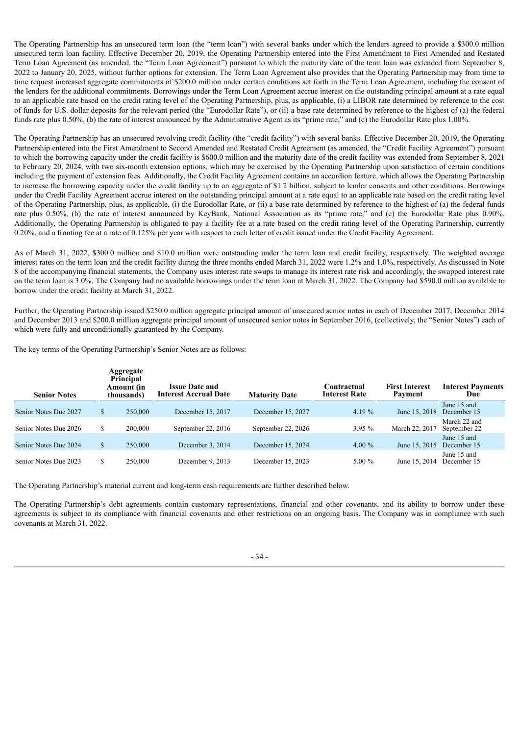The Operating Partnership has an unsecured term loan (the "term loan") with several banks under which the lenders agreed to provide a \$300.0 million unsecured term loan facility. Effective December 20, 2019, the Operating Partnership entered into the First Amendment to First Amended and Restated Term Loan Agreement (as amended, the "Term Loan Agreement") pursuant to which the maturity date of the term loan was extended from September 8, 2022 to January 20, 2025, without further options for extension. The Term Loan Agreement also provides that the Operating Partnership may from time to time request increased aggregate commitments of \$200.0 million under certain conditions set forth in the Term Loan Agreement, including the consent of the lenders for the additional commitments. Borrowings under the Term Loan Agreement accrue interest on the outstanding principal amount at a rate equal to an applicable rate based on the credit rating level of the Operating Partnership, plus, as applicable, (i) a LIBOR rate determined by reference to the cost of funds for U.S. dollar deposits for the relevant period (the "Eurodollar Rate"), or (ii) a base rate determined by reference to the highest of (a) the federal funds rate plus 0.50%, (b) the rate of interest announced by the Administrative Agent as its "prime rate," and (c) the Eurodollar Rate plus 1.00%.

The Operating Partnership has an unsecured revolving credit facility (the "credit facility") with several banks. Effective December 20, 2019, the Operating Partnership entered into the First Amendment to Second Amended and Restated Credit Agreement (as amended, the "Credit Facility Agreement") pursuant to which the borrowing capacity under the credit facility is \$600.0 million and the maturity date of the credit facility was extended from September 8, 2021 to February 20, 2024, with two six-month extension options, which may be exercised by the Operating Partnership upon satisfaction of certain conditions including the payment of extension fees. Additionally, the Credit Facility Agreement contains an accordion feature, which allows the Operating Partnership to increase the borrowing capacity under the credit facility up to an aggregate of \$1.2 billion, subject to lender consents and other conditions. Borrowings under the Credit Facility Agreement accrue interest on the outstanding principal amount at a rate equal to an applicable rate based on the credit rating level of the Operating Partnership, plus, as applicable, (i) the Eurodollar Rate, or (ii) a base rate determined by reference to the highest of (a) the federal funds rate plus 0.50%, (b) the rate of interest announced by KeyBank, National Association as its "prime rate," and (c) the Eurodollar Rate plus 0.90%. Additionally, the Operating Partnership is obligated to pay a facility fee at a rate based on the credit rating level of the Operating Partnership, currently 0.20%, and a fronting fee at a rate of 0.125% per year with respect to each letter of credit issued under the Credit Facility Agreement.

As of March 31, 2022, \$300.0 million and \$10.0 million were outstanding under the term loan and credit facility, respectively. The weighted average interest rates on the term loan and the credit facility during the three months ended March 31, 2022 were 1.2% and 1.0%, respectively. As discussed in Note 8 of the accompanying financial statements, the Company uses interest rate swaps to manage its interest rate risk and accordingly, the swapped interest rate on the term loan is 3.0%. The Company had no available borrowings under the term loan at March 31, 2022. The Company had \$590.0 million available to borrow under the credit facility at March 31, 2022.

Further, the Operating Partnership issued \$250.0 million aggregate principal amount of unsecured senior notes in each of December 2017, December 2014 and December 2013 and \$200.0 million aggregate principal amount of unsecured senior notes in September 2016, (collectively, the "Senior Notes") each of which were fully and unconditionally guaranteed by the Company.

The key terms of the Operating Partnership's Senior Notes are as follows:

| <b>Senior Notes</b>   | Aggregate<br>Principal<br>Amount (in<br>thousands) | <b>Issue Date and</b><br><b>Interest Accrual Date</b> | <b>Maturity Date</b> | Contractual<br><b>Interest Rate</b> | <b>First Interest</b><br>Payment | <b>Interest Payments</b><br>Due |
|-----------------------|----------------------------------------------------|-------------------------------------------------------|----------------------|-------------------------------------|----------------------------------|---------------------------------|
| Senior Notes Due 2027 | 250,000                                            | December 15, 2017                                     | December 15, 2027    | $4.19\%$                            | June 15, 2018                    | June 15 and<br>December 15      |
| Senior Notes Due 2026 | 200,000                                            | September 22, 2016                                    | September 22, 2026   | $3.95\%$                            | March 22, 2017                   | March 22 and<br>September 22    |
| Senior Notes Due 2024 | 250,000                                            | December 3, 2014                                      | December 15, 2024    | 4.00 $%$                            | June 15, 2015                    | June 15 and<br>December 15      |
| Senior Notes Due 2023 | 250,000                                            | December 9, 2013                                      | December 15, 2023    | $5.00\%$                            | June 15, 2014                    | June 15 and<br>December 15      |

The Operating Partnership's material current and long-term cash requirements are further described below.

The Operating Partnership's debt agreements contain customary representations, financial and other covenants, and its ability to borrow under these agreements is subject to its compliance with financial covenants and other restrictions on an ongoing basis. The Company was in compliance with such covenants at March 31, 2022.

- 34 -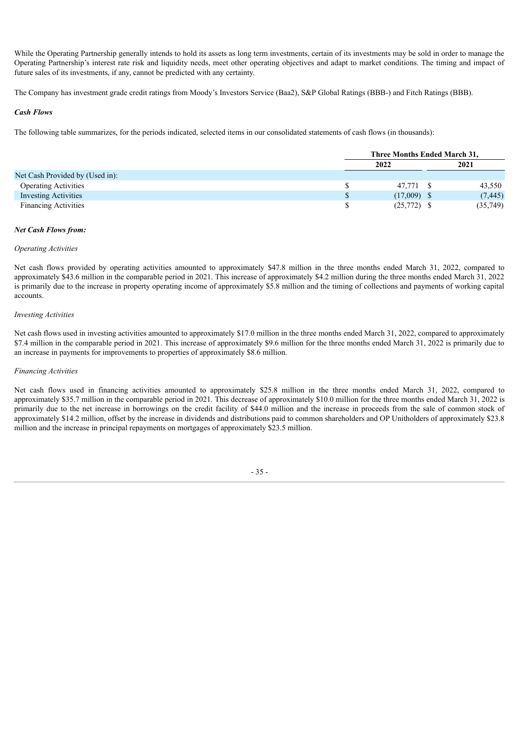While the Operating Partnership generally intends to hold its assets as long term investments, certain of its investments may be sold in order to manage the Operating Partnership's interest rate risk and liquidity needs, meet other operating objectives and adapt to market conditions. The timing and impact of future sales of its investments, if any, cannot be predicted with any certainty.

The Company has investment grade credit ratings from Moody's Investors Service (Baa2), S&P Global Ratings (BBB-) and Fitch Ratings (BBB).

# *Cash Flows*

The following table summarizes, for the periods indicated, selected items in our consolidated statements of cash flows (in thousands):

|                                 | Three Months Ended March 31, |          |  |  |  |
|---------------------------------|------------------------------|----------|--|--|--|
|                                 | 2022                         | 2021     |  |  |  |
| Net Cash Provided by (Used in): |                              |          |  |  |  |
| <b>Operating Activities</b>     | 47.771 \$                    | 43,550   |  |  |  |
| <b>Investing Activities</b>     | $(17,009)$ \$                | (7, 445) |  |  |  |
| <b>Financing Activities</b>     | (25,772)                     | (35,749) |  |  |  |

# *Net Cash Flows from:*

## *Operating Activities*

Net cash flows provided by operating activities amounted to approximately \$47.8 million in the three months ended March 31, 2022, compared to approximately \$43.6 million in the comparable period in 2021. This increase of approximately \$4.2 million during the three months ended March 31, 2022 is primarily due to the increase in property operating income of approximately \$5.8 million and the timing of collections and payments of working capital accounts.

## *Investing Activities*

Net cash flows used in investing activities amounted to approximately \$17.0 million in the three months ended March 31, 2022, compared to approximately \$7.4 million in the comparable period in 2021. This increase of approximately \$9.6 million for the three months ended March 31, 2022 is primarily due to an increase in payments for improvements to properties of approximately \$8.6 million.

## *Financing Activities*

Net cash flows used in financing activities amounted to approximately \$25.8 million in the three months ended March 31, 2022, compared to approximately \$35.7 million in the comparable period in 2021. This decrease of approximately \$10.0 million for the three months ended March 31, 2022 is primarily due to the net increase in borrowings on the credit facility of \$44.0 million and the increase in proceeds from the sale of common stock of approximately \$14.2 million, offset by the increase in dividends and distributions paid to common shareholders and OP Unitholders of approximately \$23.8 million and the increase in principal repayments on mortgages of approximately \$23.5 million.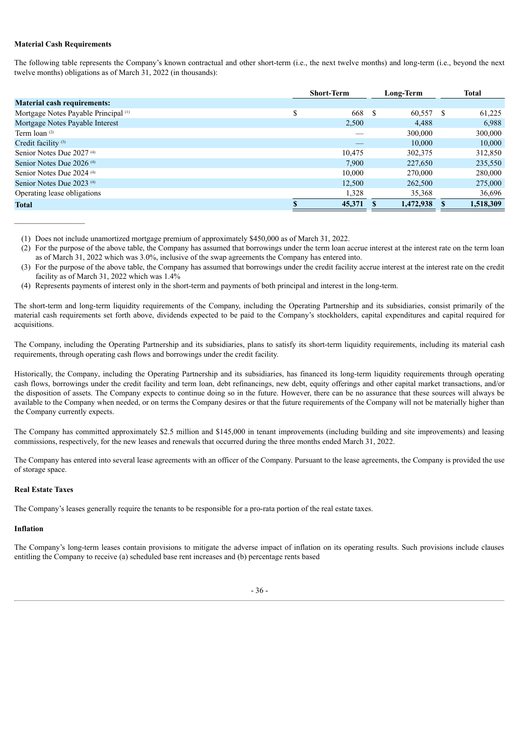## **Material Cash Requirements**

The following table represents the Company's known contractual and other short-term (i.e., the next twelve months) and long-term (i.e., beyond the next twelve months) obligations as of March 31, 2022 (in thousands):

|                                                 | <b>Short-Term</b> | Long-Term |               | <b>Total</b> |
|-------------------------------------------------|-------------------|-----------|---------------|--------------|
| <b>Material cash requirements:</b>              |                   |           |               |              |
| Mortgage Notes Payable Principal <sup>(1)</sup> | 668               | 60,557    | <sup>\$</sup> | 61,225       |
| Mortgage Notes Payable Interest                 | 2,500             | 4,488     |               | 6,988        |
| Term loan (2)                                   |                   | 300,000   |               | 300,000      |
| Credit facility <sup>(3)</sup>                  |                   | 10,000    |               | 10,000       |
| Senior Notes Due 2027 <sup>(4)</sup>            | 10,475            | 302,375   |               | 312,850      |
| Senior Notes Due 2026 <sup>(4)</sup>            | 7.900             | 227,650   |               | 235,550      |
| Senior Notes Due 2024 (4)                       | 10.000            | 270,000   |               | 280,000      |
| Senior Notes Due 2023 <sup>(4)</sup>            | 12.500            | 262,500   |               | 275,000      |
| Operating lease obligations                     | 1,328             | 35,368    |               | 36,696       |
| <b>Total</b>                                    | 45,371 \$         | 1,472,938 |               | 1,518,309    |

(1) Does not include unamortized mortgage premium of approximately \$450,000 as of March 31, 2022.

- (2) For the purpose of the above table, the Company has assumed that borrowings under the term loan accrue interest at the interest rate on the term loan as of March 31, 2022 which was 3.0%, inclusive of the swap agreements the Company has entered into.
- (3) For the purpose of the above table, the Company has assumed that borrowings under the credit facility accrue interest at the interest rate on the credit facility as of March 31, 2022 which was 1.4%
- (4) Represents payments of interest only in the short-term and payments of both principal and interest in the long-term.

The short-term and long-term liquidity requirements of the Company, including the Operating Partnership and its subsidiaries, consist primarily of the material cash requirements set forth above, dividends expected to be paid to the Company's stockholders, capital expenditures and capital required for acquisitions.

The Company, including the Operating Partnership and its subsidiaries, plans to satisfy its short-term liquidity requirements, including its material cash requirements, through operating cash flows and borrowings under the credit facility.

Historically, the Company, including the Operating Partnership and its subsidiaries, has financed its long-term liquidity requirements through operating cash flows, borrowings under the credit facility and term loan, debt refinancings, new debt, equity offerings and other capital market transactions, and/or the disposition of assets. The Company expects to continue doing so in the future. However, there can be no assurance that these sources will always be available to the Company when needed, or on terms the Company desires or that the future requirements of the Company will not be materially higher than the Company currently expects.

The Company has committed approximately \$2.5 million and \$145,000 in tenant improvements (including building and site improvements) and leasing commissions, respectively, for the new leases and renewals that occurred during the three months ended March 31, 2022.

The Company has entered into several lease agreements with an officer of the Company. Pursuant to the lease agreements, the Company is provided the use of storage space.

## **Real Estate Taxes**

The Company's leases generally require the tenants to be responsible for a pro-rata portion of the real estate taxes.

## **Inflation**

The Company's long-term leases contain provisions to mitigate the adverse impact of inflation on its operating results. Such provisions include clauses entitling the Company to receive (a) scheduled base rent increases and (b) percentage rents based

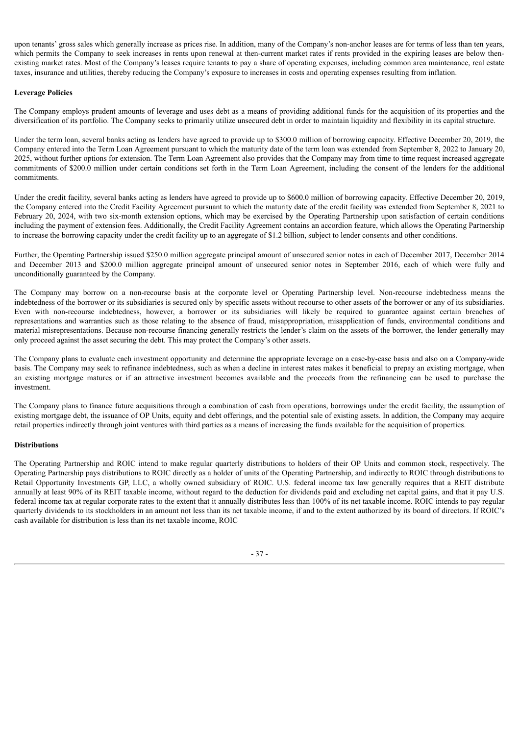upon tenants' gross sales which generally increase as prices rise. In addition, many of the Company's non-anchor leases are for terms of less than ten years, which permits the Company to seek increases in rents upon renewal at then-current market rates if rents provided in the expiring leases are below thenexisting market rates. Most of the Company's leases require tenants to pay a share of operating expenses, including common area maintenance, real estate taxes, insurance and utilities, thereby reducing the Company's exposure to increases in costs and operating expenses resulting from inflation.

## **Leverage Policies**

The Company employs prudent amounts of leverage and uses debt as a means of providing additional funds for the acquisition of its properties and the diversification of its portfolio. The Company seeks to primarily utilize unsecured debt in order to maintain liquidity and flexibility in its capital structure.

Under the term loan, several banks acting as lenders have agreed to provide up to \$300.0 million of borrowing capacity. Effective December 20, 2019, the Company entered into the Term Loan Agreement pursuant to which the maturity date of the term loan was extended from September 8, 2022 to January 20, 2025, without further options for extension. The Term Loan Agreement also provides that the Company may from time to time request increased aggregate commitments of \$200.0 million under certain conditions set forth in the Term Loan Agreement, including the consent of the lenders for the additional commitments.

Under the credit facility, several banks acting as lenders have agreed to provide up to \$600.0 million of borrowing capacity. Effective December 20, 2019, the Company entered into the Credit Facility Agreement pursuant to which the maturity date of the credit facility was extended from September 8, 2021 to February 20, 2024, with two six-month extension options, which may be exercised by the Operating Partnership upon satisfaction of certain conditions including the payment of extension fees. Additionally, the Credit Facility Agreement contains an accordion feature, which allows the Operating Partnership to increase the borrowing capacity under the credit facility up to an aggregate of \$1.2 billion, subject to lender consents and other conditions.

Further, the Operating Partnership issued \$250.0 million aggregate principal amount of unsecured senior notes in each of December 2017, December 2014 and December 2013 and \$200.0 million aggregate principal amount of unsecured senior notes in September 2016, each of which were fully and unconditionally guaranteed by the Company.

The Company may borrow on a non-recourse basis at the corporate level or Operating Partnership level. Non-recourse indebtedness means the indebtedness of the borrower or its subsidiaries is secured only by specific assets without recourse to other assets of the borrower or any of its subsidiaries. Even with non-recourse indebtedness, however, a borrower or its subsidiaries will likely be required to guarantee against certain breaches of representations and warranties such as those relating to the absence of fraud, misappropriation, misapplication of funds, environmental conditions and material misrepresentations. Because non-recourse financing generally restricts the lender's claim on the assets of the borrower, the lender generally may only proceed against the asset securing the debt. This may protect the Company's other assets.

The Company plans to evaluate each investment opportunity and determine the appropriate leverage on a case-by-case basis and also on a Company-wide basis. The Company may seek to refinance indebtedness, such as when a decline in interest rates makes it beneficial to prepay an existing mortgage, when an existing mortgage matures or if an attractive investment becomes available and the proceeds from the refinancing can be used to purchase the investment.

The Company plans to finance future acquisitions through a combination of cash from operations, borrowings under the credit facility, the assumption of existing mortgage debt, the issuance of OP Units, equity and debt offerings, and the potential sale of existing assets. In addition, the Company may acquire retail properties indirectly through joint ventures with third parties as a means of increasing the funds available for the acquisition of properties.

## **Distributions**

The Operating Partnership and ROIC intend to make regular quarterly distributions to holders of their OP Units and common stock, respectively. The Operating Partnership pays distributions to ROIC directly as a holder of units of the Operating Partnership, and indirectly to ROIC through distributions to Retail Opportunity Investments GP, LLC, a wholly owned subsidiary of ROIC. U.S. federal income tax law generally requires that a REIT distribute annually at least 90% of its REIT taxable income, without regard to the deduction for dividends paid and excluding net capital gains, and that it pay U.S. federal income tax at regular corporate rates to the extent that it annually distributes less than 100% of its net taxable income. ROIC intends to pay regular quarterly dividends to its stockholders in an amount not less than its net taxable income, if and to the extent authorized by its board of directors. If ROIC's cash available for distribution is less than its net taxable income, ROIC

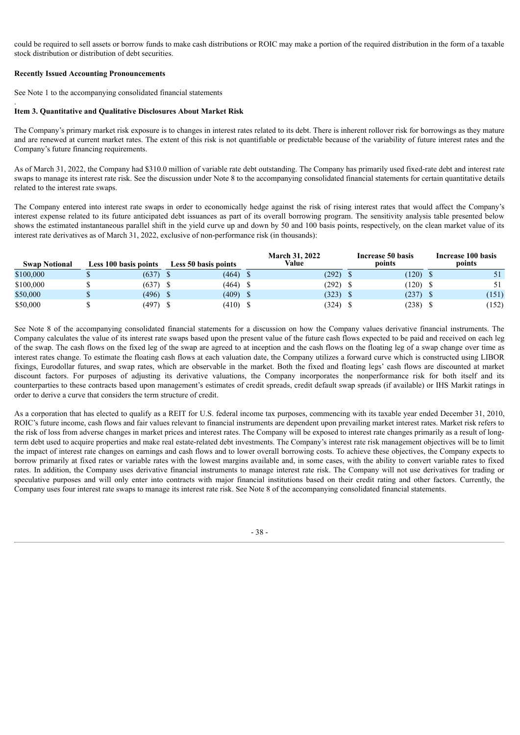could be required to sell assets or borrow funds to make cash distributions or ROIC may make a portion of the required distribution in the form of a taxable stock distribution or distribution of debt securities.

#### **Recently Issued Accounting Pronouncements**

.

See Note 1 to the accompanying consolidated financial statements

## <span id="page-41-0"></span>**Item 3. Quantitative and Qualitative Disclosures About Market Risk**

The Company's primary market risk exposure is to changes in interest rates related to its debt. There is inherent rollover risk for borrowings as they mature and are renewed at current market rates. The extent of this risk is not quantifiable or predictable because of the variability of future interest rates and the Company's future financing requirements.

As of March 31, 2022, the Company had \$310.0 million of variable rate debt outstanding. The Company has primarily used fixed-rate debt and interest rate swaps to manage its interest rate risk. See the discussion under Note 8 to the accompanying consolidated financial statements for certain quantitative details related to the interest rate swaps.

The Company entered into interest rate swaps in order to economically hedge against the risk of rising interest rates that would affect the Company's interest expense related to its future anticipated debt issuances as part of its overall borrowing program. The sensitivity analysis table presented below shows the estimated instantaneous parallel shift in the yield curve up and down by 50 and 100 basis points, respectively, on the clean market value of its interest rate derivatives as of March 31, 2022, exclusive of non-performance risk (in thousands):

| <b>Swap Notional</b> | Less 100 basis points | Less 50 basis points | <b>March 31, 2022</b><br>Value | Increase 50 basis<br>points | Increase 100 basis<br>points |
|----------------------|-----------------------|----------------------|--------------------------------|-----------------------------|------------------------------|
| \$100,000            | (637)                 | $(464)$ \$           | (292)                          | (120)                       | 51                           |
| \$100,000            | (637)                 | $(464)$ \$           | (292)                          | (120)                       | 51                           |
| \$50,000             | (496)                 | $(409)$ \$           | (323)                          | (237)                       | (151)                        |
| \$50,000             | (497).                | $(410)$ \$           | (324)                          | (238)                       | (152)                        |

See Note 8 of the accompanying consolidated financial statements for a discussion on how the Company values derivative financial instruments. The Company calculates the value of its interest rate swaps based upon the present value of the future cash flows expected to be paid and received on each leg of the swap. The cash flows on the fixed leg of the swap are agreed to at inception and the cash flows on the floating leg of a swap change over time as interest rates change. To estimate the floating cash flows at each valuation date, the Company utilizes a forward curve which is constructed using LIBOR fixings, Eurodollar futures, and swap rates, which are observable in the market. Both the fixed and floating legs' cash flows are discounted at market discount factors. For purposes of adjusting its derivative valuations, the Company incorporates the nonperformance risk for both itself and its counterparties to these contracts based upon management's estimates of credit spreads, credit default swap spreads (if available) or IHS Markit ratings in order to derive a curve that considers the term structure of credit.

<span id="page-41-1"></span>As a corporation that has elected to qualify as a REIT for U.S. federal income tax purposes, commencing with its taxable year ended December 31, 2010, ROIC's future income, cash flows and fair values relevant to financial instruments are dependent upon prevailing market interest rates. Market risk refers to the risk of loss from adverse changes in market prices and interest rates. The Company will be exposed to interest rate changes primarily as a result of longterm debt used to acquire properties and make real estate-related debt investments. The Company's interest rate risk management objectives will be to limit the impact of interest rate changes on earnings and cash flows and to lower overall borrowing costs. To achieve these objectives, the Company expects to borrow primarily at fixed rates or variable rates with the lowest margins available and, in some cases, with the ability to convert variable rates to fixed rates. In addition, the Company uses derivative financial instruments to manage interest rate risk. The Company will not use derivatives for trading or speculative purposes and will only enter into contracts with major financial institutions based on their credit rating and other factors. Currently, the Company uses four interest rate swaps to manage its interest rate risk. See Note 8 of the accompanying consolidated financial statements.

- 38 -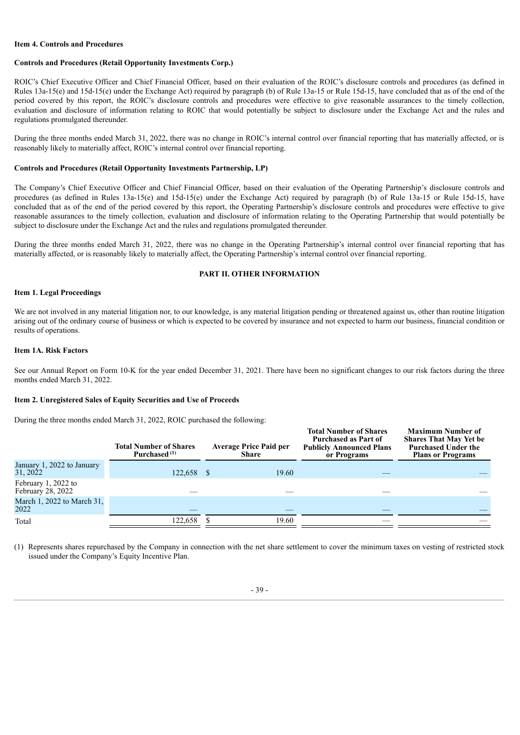#### **Item 4. Controls and Procedures**

## **Controls and Procedures (Retail Opportunity Investments Corp.)**

ROIC's Chief Executive Officer and Chief Financial Officer, based on their evaluation of the ROIC's disclosure controls and procedures (as defined in Rules 13a-15(e) and 15d-15(e) under the Exchange Act) required by paragraph (b) of Rule 13a-15 or Rule 15d-15, have concluded that as of the end of the period covered by this report, the ROIC's disclosure controls and procedures were effective to give reasonable assurances to the timely collection, evaluation and disclosure of information relating to ROIC that would potentially be subject to disclosure under the Exchange Act and the rules and regulations promulgated thereunder.

During the three months ended March 31, 2022, there was no change in ROIC's internal control over financial reporting that has materially affected, or is reasonably likely to materially affect, ROIC's internal control over financial reporting.

## **Controls and Procedures (Retail Opportunity Investments Partnership, LP)**

The Company's Chief Executive Officer and Chief Financial Officer, based on their evaluation of the Operating Partnership's disclosure controls and procedures (as defined in Rules 13a-15(e) and 15d-15(e) under the Exchange Act) required by paragraph (b) of Rule 13a-15 or Rule 15d-15, have concluded that as of the end of the period covered by this report, the Operating Partnership's disclosure controls and procedures were effective to give reasonable assurances to the timely collection, evaluation and disclosure of information relating to the Operating Partnership that would potentially be subject to disclosure under the Exchange Act and the rules and regulations promulgated thereunder.

During the three months ended March 31, 2022, there was no change in the Operating Partnership's internal control over financial reporting that has materially affected, or is reasonably likely to materially affect, the Operating Partnership's internal control over financial reporting.

# **PART II. OTHER INFORMATION**

## <span id="page-42-1"></span><span id="page-42-0"></span>**Item 1. Legal Proceedings**

We are not involved in any material litigation nor, to our knowledge, is any material litigation pending or threatened against us, other than routine litigation arising out of the ordinary course of business or which is expected to be covered by insurance and not expected to harm our business, financial condition or results of operations.

#### <span id="page-42-2"></span>**Item 1A. Risk Factors**

See our Annual Report on Form 10-K for the year ended December 31, 2021. There have been no significant changes to our risk factors during the three months ended March 31, 2022.

#### <span id="page-42-3"></span>**Item 2. Unregistered Sales of Equity Securities and Use of Proceeds**

During the three months ended March 31, 2022, ROIC purchased the following:

|                                          | <b>Total Number of Shares</b><br>Purchased <sup>(1)</sup> | <b>Average Price Paid per</b><br>Share | <b>Total Number of Shares</b><br><b>Purchased as Part of</b><br><b>Publicly Announced Plans</b><br>or Programs | <b>Maximum Number of</b><br><b>Shares That May Yet be</b><br><b>Purchased Under the</b><br><b>Plans or Programs</b> |
|------------------------------------------|-----------------------------------------------------------|----------------------------------------|----------------------------------------------------------------------------------------------------------------|---------------------------------------------------------------------------------------------------------------------|
| January 1, 2022 to January<br>31, 2022   | 122,658 \$                                                | 19.60                                  |                                                                                                                |                                                                                                                     |
| February 1, 2022 to<br>February 28, 2022 |                                                           |                                        |                                                                                                                |                                                                                                                     |
| March 1, 2022 to March 31,<br>2022       |                                                           |                                        |                                                                                                                |                                                                                                                     |
| Total                                    | 122,658                                                   | 19.60                                  |                                                                                                                |                                                                                                                     |

(1) Represents shares repurchased by the Company in connection with the net share settlement to cover the minimum taxes on vesting of restricted stock issued under the Company's Equity Incentive Plan.

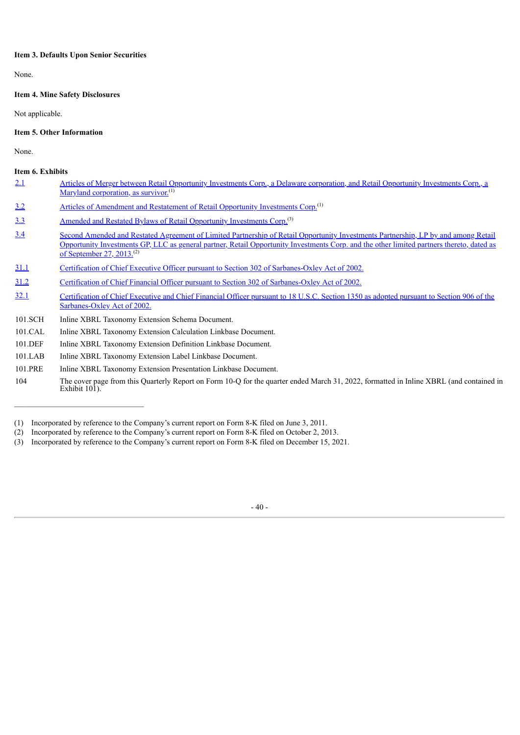# <span id="page-43-0"></span>**Item 3. Defaults Upon Senior Securities**

None.

# <span id="page-43-1"></span>**Item 4. Mine Safety Disclosures**

Not applicable.

# <span id="page-43-2"></span>**Item 5. Other Information**

None.

# <span id="page-43-3"></span>**Item 6. Exhibits**

| 2.1  | Articles of Merger between Retail Opportunity Investments Corp., a Delaware corporation, and Retail Opportunity Investments Corp., a<br>Maryland corporation, as survivor. $(1)$                                                                                                                                         |
|------|--------------------------------------------------------------------------------------------------------------------------------------------------------------------------------------------------------------------------------------------------------------------------------------------------------------------------|
| 3.2  | Articles of Amendment and Restatement of Retail Opportunity Investments Corp. <sup>(1)</sup>                                                                                                                                                                                                                             |
| 3.3  | <u>Amended and Restated Bylaws of Retail Opportunity Investments Corp.</u> <sup>(3)</sup>                                                                                                                                                                                                                                |
| 3.4  | Second Amended and Restated Agreement of Limited Partnership of Retail Opportunity Investments Partnership, LP by and among Retail<br>Opportunity Investments GP, LLC as general partner, Retail Opportunity Investments Corp. and the other limited partners thereto, dated as<br>of September 27, 2013. <sup>(2)</sup> |
| 31.1 | Certification of Chief Executive Officer pursuant to Section 302 of Sarbanes-Oxley Act of 2002.                                                                                                                                                                                                                          |
| 31.2 | Certification of Chief Financial Officer pursuant to Section 302 of Sarbanes-Oxley Act of 2002.                                                                                                                                                                                                                          |
| 32.1 | Certification of Chief Executive and Chief Financial Officer pursuant to 18 U.S.C. Section 1350 as adopted pursuant to Section 906 of the<br>Sarbanes-Oxley Act of 2002.                                                                                                                                                 |

- 101.SCH Inline XBRL Taxonomy Extension Schema Document.
- 101.CAL Inline XBRL Taxonomy Extension Calculation Linkbase Document.
- 101.DEF Inline XBRL Taxonomy Extension Definition Linkbase Document.
- 101.LAB Inline XBRL Taxonomy Extension Label Linkbase Document.
- 101.PRE Inline XBRL Taxonomy Extension Presentation Linkbase Document.
- 104 The cover page from this Quarterly Report on Form 10-Q for the quarter ended March 31, 2022, formatted in Inline XBRL (and contained in Exhibit 101).

- 40 -

<sup>(1)</sup> Incorporated by reference to the Company's current report on Form 8-K filed on June 3, 2011.

<sup>(2)</sup> Incorporated by reference to the Company's current report on Form 8-K filed on October 2, 2013.

<span id="page-43-4"></span><sup>(3)</sup> Incorporated by reference to the Company's current report on Form 8-K filed on December 15, 2021.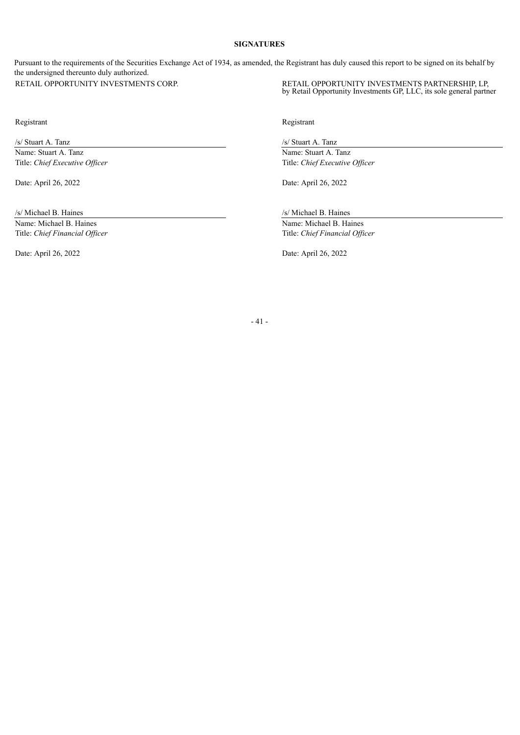# **SIGNATURES**

Pursuant to the requirements of the Securities Exchange Act of 1934, as amended, the Registrant has duly caused this report to be signed on its behalf by the undersigned thereunto duly authorized.

Registrant Registrant

/s/ Stuart A. Tanz /s/ Stuart A. Tanz Name: Stuart A. Tanz Name: Stuart A. Tanz Title: *Chief Executive Of icer* Title: *Chief Executive Of icer*

/s/ Michael B. Haines /s/ Michael B. Haines Name: Michael B. Haines Name: Michael B. Haines

Date: April 26, 2022 Date: April 26, 2022

RETAIL OPPORTUNITY INVESTMENTS CORP. RETAIL OPPORTUNITY INVESTMENTS PARTNERSHIP, LP, by Retail Opportunity Investments GP, LLC, its sole general partner

Date: April 26, 2022 Date: April 26, 2022

Title: *Chief Financial Of icer* Title: *Chief Financial Of icer*

- 41 -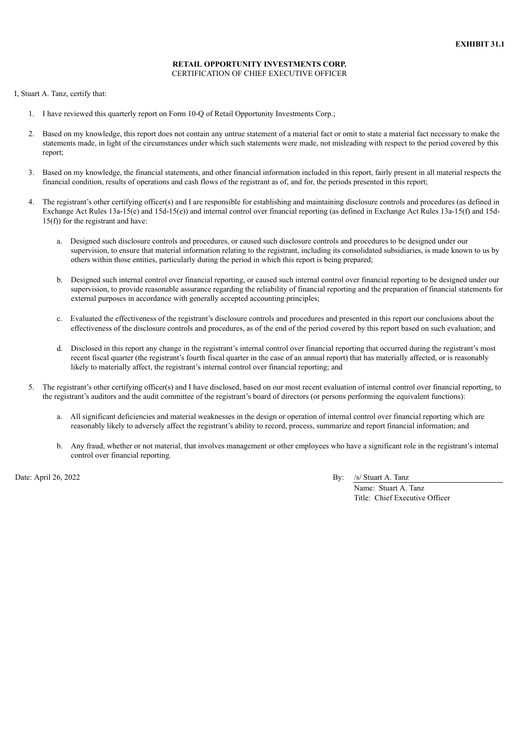# **RETAIL OPPORTUNITY INVESTMENTS CORP.** CERTIFICATION OF CHIEF EXECUTIVE OFFICER

<span id="page-45-0"></span>I, Stuart A. Tanz, certify that:

- 1. I have reviewed this quarterly report on Form 10-Q of Retail Opportunity Investments Corp.;
- 2. Based on my knowledge, this report does not contain any untrue statement of a material fact or omit to state a material fact necessary to make the statements made, in light of the circumstances under which such statements were made, not misleading with respect to the period covered by this report;
- 3. Based on my knowledge, the financial statements, and other financial information included in this report, fairly present in all material respects the financial condition, results of operations and cash flows of the registrant as of, and for, the periods presented in this report;
- 4. The registrant's other certifying officer(s) and I are responsible for establishing and maintaining disclosure controls and procedures (as defined in Exchange Act Rules 13a-15(e) and 15d-15(e)) and internal control over financial reporting (as defined in Exchange Act Rules 13a-15(f) and 15d-15(f)) for the registrant and have:
	- a. Designed such disclosure controls and procedures, or caused such disclosure controls and procedures to be designed under our supervision, to ensure that material information relating to the registrant, including its consolidated subsidiaries, is made known to us by others within those entities, particularly during the period in which this report is being prepared;
	- b. Designed such internal control over financial reporting, or caused such internal control over financial reporting to be designed under our supervision, to provide reasonable assurance regarding the reliability of financial reporting and the preparation of financial statements for external purposes in accordance with generally accepted accounting principles;
	- c. Evaluated the effectiveness of the registrant's disclosure controls and procedures and presented in this report our conclusions about the effectiveness of the disclosure controls and procedures, as of the end of the period covered by this report based on such evaluation; and
	- d. Disclosed in this report any change in the registrant's internal control over financial reporting that occurred during the registrant's most recent fiscal quarter (the registrant's fourth fiscal quarter in the case of an annual report) that has materially affected, or is reasonably likely to materially affect, the registrant's internal control over financial reporting; and
- 5. The registrant's other certifying officer(s) and I have disclosed, based on our most recent evaluation of internal control over financial reporting, to the registrant's auditors and the audit committee of the registrant's board of directors (or persons performing the equivalent functions):
	- a. All significant deficiencies and material weaknesses in the design or operation of internal control over financial reporting which are reasonably likely to adversely affect the registrant's ability to record, process, summarize and report financial information; and
	- b. Any fraud, whether or not material, that involves management or other employees who have a significant role in the registrant's internal control over financial reporting.

Date: April 26, 2022 By: /s/ Stuart A. Tanz

Name: Stuart A. Tanz Title: Chief Executive Officer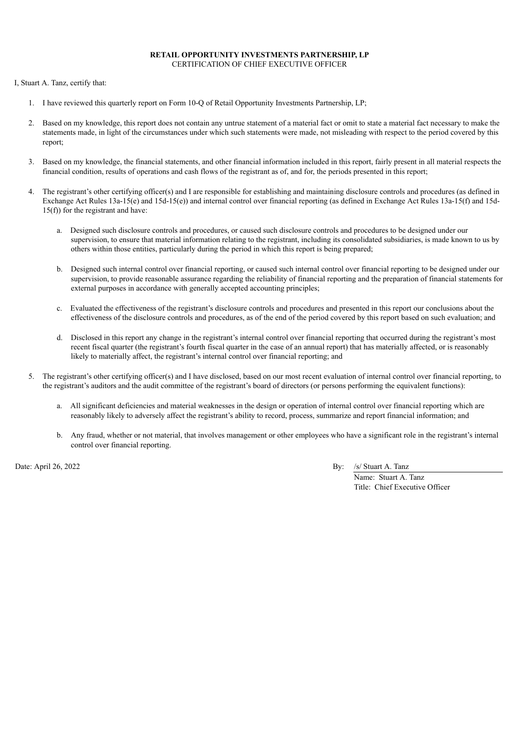# **RETAIL OPPORTUNITY INVESTMENTS PARTNERSHIP, LP** CERTIFICATION OF CHIEF EXECUTIVE OFFICER

I, Stuart A. Tanz, certify that:

- 1. I have reviewed this quarterly report on Form 10-Q of Retail Opportunity Investments Partnership, LP;
- 2. Based on my knowledge, this report does not contain any untrue statement of a material fact or omit to state a material fact necessary to make the statements made, in light of the circumstances under which such statements were made, not misleading with respect to the period covered by this report;
- 3. Based on my knowledge, the financial statements, and other financial information included in this report, fairly present in all material respects the financial condition, results of operations and cash flows of the registrant as of, and for, the periods presented in this report;
- 4. The registrant's other certifying officer(s) and I are responsible for establishing and maintaining disclosure controls and procedures (as defined in Exchange Act Rules 13a-15(e) and 15d-15(e)) and internal control over financial reporting (as defined in Exchange Act Rules 13a-15(f) and 15d-15(f)) for the registrant and have:
	- a. Designed such disclosure controls and procedures, or caused such disclosure controls and procedures to be designed under our supervision, to ensure that material information relating to the registrant, including its consolidated subsidiaries, is made known to us by others within those entities, particularly during the period in which this report is being prepared;
	- b. Designed such internal control over financial reporting, or caused such internal control over financial reporting to be designed under our supervision, to provide reasonable assurance regarding the reliability of financial reporting and the preparation of financial statements for external purposes in accordance with generally accepted accounting principles;
	- c. Evaluated the effectiveness of the registrant's disclosure controls and procedures and presented in this report our conclusions about the effectiveness of the disclosure controls and procedures, as of the end of the period covered by this report based on such evaluation; and
	- d. Disclosed in this report any change in the registrant's internal control over financial reporting that occurred during the registrant's most recent fiscal quarter (the registrant's fourth fiscal quarter in the case of an annual report) that has materially affected, or is reasonably likely to materially affect, the registrant's internal control over financial reporting; and
- 5. The registrant's other certifying officer(s) and I have disclosed, based on our most recent evaluation of internal control over financial reporting, to the registrant's auditors and the audit committee of the registrant's board of directors (or persons performing the equivalent functions):
	- a. All significant deficiencies and material weaknesses in the design or operation of internal control over financial reporting which are reasonably likely to adversely affect the registrant's ability to record, process, summarize and report financial information; and
	- b. Any fraud, whether or not material, that involves management or other employees who have a significant role in the registrant's internal control over financial reporting.

Date: April 26, 2022 By: /s/ Stuart A. Tanz

Name: Stuart A. Tanz Title: Chief Executive Officer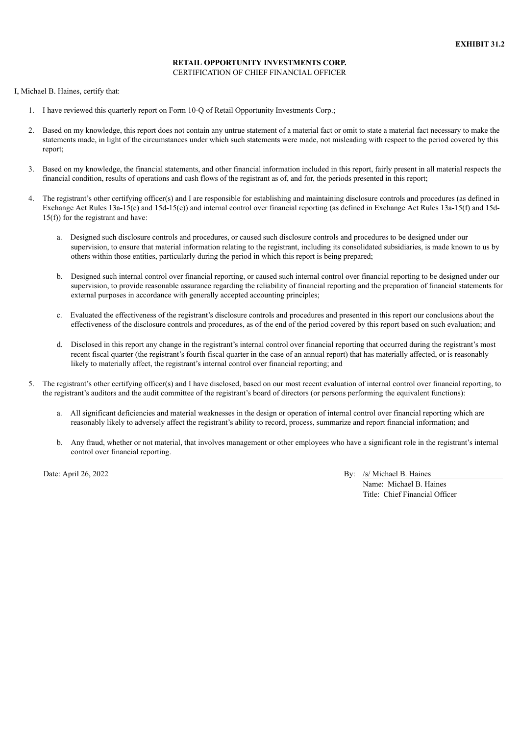# **RETAIL OPPORTUNITY INVESTMENTS CORP.** CERTIFICATION OF CHIEF FINANCIAL OFFICER

<span id="page-47-0"></span>I, Michael B. Haines, certify that:

- 1. I have reviewed this quarterly report on Form 10-Q of Retail Opportunity Investments Corp.;
- 2. Based on my knowledge, this report does not contain any untrue statement of a material fact or omit to state a material fact necessary to make the statements made, in light of the circumstances under which such statements were made, not misleading with respect to the period covered by this report;
- 3. Based on my knowledge, the financial statements, and other financial information included in this report, fairly present in all material respects the financial condition, results of operations and cash flows of the registrant as of, and for, the periods presented in this report;
- 4. The registrant's other certifying officer(s) and I are responsible for establishing and maintaining disclosure controls and procedures (as defined in Exchange Act Rules 13a-15(e) and 15d-15(e)) and internal control over financial reporting (as defined in Exchange Act Rules 13a-15(f) and 15d-15(f)) for the registrant and have:
	- a. Designed such disclosure controls and procedures, or caused such disclosure controls and procedures to be designed under our supervision, to ensure that material information relating to the registrant, including its consolidated subsidiaries, is made known to us by others within those entities, particularly during the period in which this report is being prepared;
	- b. Designed such internal control over financial reporting, or caused such internal control over financial reporting to be designed under our supervision, to provide reasonable assurance regarding the reliability of financial reporting and the preparation of financial statements for external purposes in accordance with generally accepted accounting principles;
	- c. Evaluated the effectiveness of the registrant's disclosure controls and procedures and presented in this report our conclusions about the effectiveness of the disclosure controls and procedures, as of the end of the period covered by this report based on such evaluation; and
	- d. Disclosed in this report any change in the registrant's internal control over financial reporting that occurred during the registrant's most recent fiscal quarter (the registrant's fourth fiscal quarter in the case of an annual report) that has materially affected, or is reasonably likely to materially affect, the registrant's internal control over financial reporting; and
- 5. The registrant's other certifying officer(s) and I have disclosed, based on our most recent evaluation of internal control over financial reporting, to the registrant's auditors and the audit committee of the registrant's board of directors (or persons performing the equivalent functions):
	- a. All significant deficiencies and material weaknesses in the design or operation of internal control over financial reporting which are reasonably likely to adversely affect the registrant's ability to record, process, summarize and report financial information; and
	- b. Any fraud, whether or not material, that involves management or other employees who have a significant role in the registrant's internal control over financial reporting.

Date: April 26, 2022 By: /s/ Michael B. Haines Name: Michael B. Haines Title: Chief Financial Officer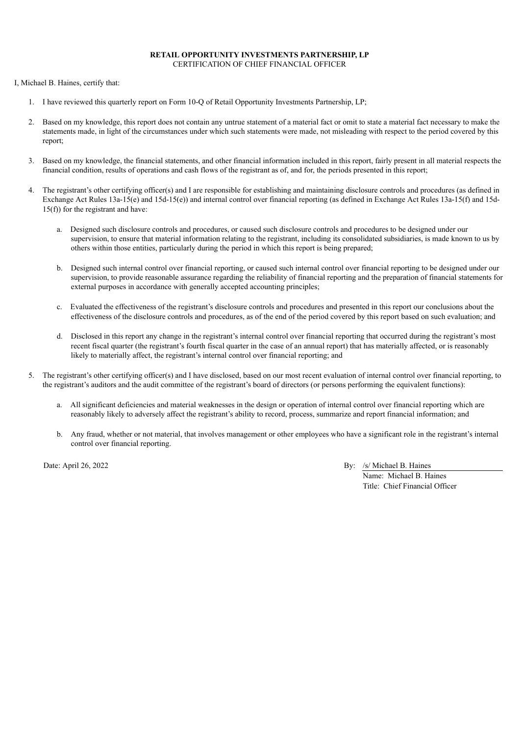# **RETAIL OPPORTUNITY INVESTMENTS PARTNERSHIP, LP** CERTIFICATION OF CHIEF FINANCIAL OFFICER

I, Michael B. Haines, certify that:

- 1. I have reviewed this quarterly report on Form 10-Q of Retail Opportunity Investments Partnership, LP;
- 2. Based on my knowledge, this report does not contain any untrue statement of a material fact or omit to state a material fact necessary to make the statements made, in light of the circumstances under which such statements were made, not misleading with respect to the period covered by this report;
- 3. Based on my knowledge, the financial statements, and other financial information included in this report, fairly present in all material respects the financial condition, results of operations and cash flows of the registrant as of, and for, the periods presented in this report;
- 4. The registrant's other certifying officer(s) and I are responsible for establishing and maintaining disclosure controls and procedures (as defined in Exchange Act Rules 13a-15(e) and 15d-15(e)) and internal control over financial reporting (as defined in Exchange Act Rules 13a-15(f) and 15d-15(f)) for the registrant and have:
	- a. Designed such disclosure controls and procedures, or caused such disclosure controls and procedures to be designed under our supervision, to ensure that material information relating to the registrant, including its consolidated subsidiaries, is made known to us by others within those entities, particularly during the period in which this report is being prepared;
	- b. Designed such internal control over financial reporting, or caused such internal control over financial reporting to be designed under our supervision, to provide reasonable assurance regarding the reliability of financial reporting and the preparation of financial statements for external purposes in accordance with generally accepted accounting principles;
	- c. Evaluated the effectiveness of the registrant's disclosure controls and procedures and presented in this report our conclusions about the effectiveness of the disclosure controls and procedures, as of the end of the period covered by this report based on such evaluation; and
	- d. Disclosed in this report any change in the registrant's internal control over financial reporting that occurred during the registrant's most recent fiscal quarter (the registrant's fourth fiscal quarter in the case of an annual report) that has materially affected, or is reasonably likely to materially affect, the registrant's internal control over financial reporting; and
- 5. The registrant's other certifying officer(s) and I have disclosed, based on our most recent evaluation of internal control over financial reporting, to the registrant's auditors and the audit committee of the registrant's board of directors (or persons performing the equivalent functions):
	- a. All significant deficiencies and material weaknesses in the design or operation of internal control over financial reporting which are reasonably likely to adversely affect the registrant's ability to record, process, summarize and report financial information; and
	- b. Any fraud, whether or not material, that involves management or other employees who have a significant role in the registrant's internal control over financial reporting.

Date: April 26, 2022 By: /s/ Michael B. Haines Name: Michael B. Haines Title: Chief Financial Officer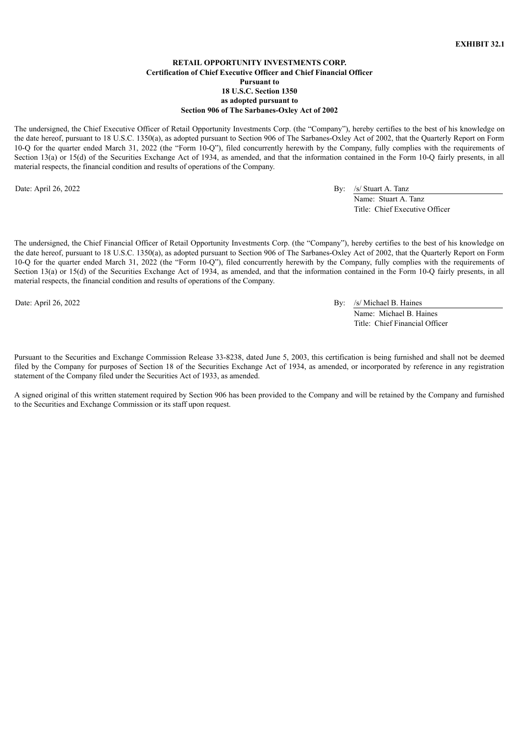# **RETAIL OPPORTUNITY INVESTMENTS CORP. Certification of Chief Executive Officer and Chief Financial Officer Pursuant to 18 U.S.C. Section 1350 as adopted pursuant to Section 906 of The Sarbanes-Oxley Act of 2002**

<span id="page-49-0"></span>The undersigned, the Chief Executive Officer of Retail Opportunity Investments Corp. (the "Company"), hereby certifies to the best of his knowledge on the date hereof, pursuant to 18 U.S.C. 1350(a), as adopted pursuant to Section 906 of The Sarbanes-Oxley Act of 2002, that the Quarterly Report on Form 10-Q for the quarter ended March 31, 2022 (the "Form 10-Q"), filed concurrently herewith by the Company, fully complies with the requirements of Section 13(a) or 15(d) of the Securities Exchange Act of 1934, as amended, and that the information contained in the Form 10-Q fairly presents, in all material respects, the financial condition and results of operations of the Company.

Date: April 26, 2022 By: /s/ Stuart A. Tanz

Name: Stuart A. Tanz Title: Chief Executive Officer

The undersigned, the Chief Financial Officer of Retail Opportunity Investments Corp. (the "Company"), hereby certifies to the best of his knowledge on the date hereof, pursuant to 18 U.S.C. 1350(a), as adopted pursuant to Section 906 of The Sarbanes-Oxley Act of 2002, that the Quarterly Report on Form 10-Q for the quarter ended March 31, 2022 (the "Form 10-Q"), filed concurrently herewith by the Company, fully complies with the requirements of Section 13(a) or 15(d) of the Securities Exchange Act of 1934, as amended, and that the information contained in the Form 10-Q fairly presents, in all material respects, the financial condition and results of operations of the Company.

Date: April 26, 2022 By: /s/ Michael B. Haines

Name: Michael B. Haines Title: Chief Financial Officer

Pursuant to the Securities and Exchange Commission Release 33-8238, dated June 5, 2003, this certification is being furnished and shall not be deemed filed by the Company for purposes of Section 18 of the Securities Exchange Act of 1934, as amended, or incorporated by reference in any registration statement of the Company filed under the Securities Act of 1933, as amended.

A signed original of this written statement required by Section 906 has been provided to the Company and will be retained by the Company and furnished to the Securities and Exchange Commission or its staff upon request.